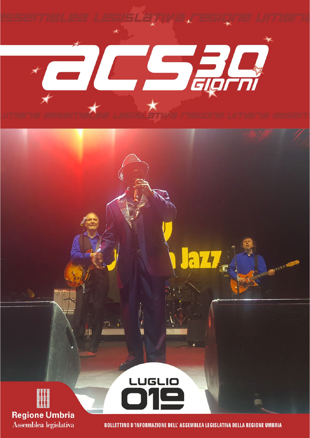



M

**BOLLETTINO D'INFORMAZIONE DELL'ASSEMBLEA LEGISLATIVA DELLA REGIONE UMBRIA** 

LUGLIO

HHIITER MATTH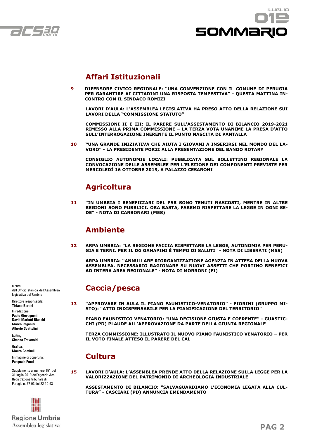



## **Affari Istituzionali**

**9 DIFENSORE CIVICO REGIONALE: "UNA CONVENZIONE CON IL COMUNE DI PERUGIA**  PER GARANTIRE AI CITTADINI UNA RISPOSTA TEMPESTIVA" - QUESTA MATTINA IN-**CONTRO CON IL SINDACO ROMIZI**

 **LAVORI D'AULA: L'ASSEMBLEA LEGISLATIVA HA PRESO ATTO DELLA RELAZIONE SUI LAVORI DELLA "COMMISSIONE STATUTO"**

 **COMMISSIONI II E III: IL PARERE SULL'ASSESTAMENTO DI BILANCIO 2019-2021 RIMESSO ALLA PRIMA COMMISSIONE – LA TERZA VOTA UNANIME LA PRESA D'ATTO SULL'INTERROGAZIONE INERENTE IL PUNTO NASCITA DI PANTALLA**

**10 "UNA GRANDE INIZIATIVA CHE AIUTA I GIOVANI A INSERIRSI NEL MONDO DEL LA-VORO" - LA PRESIDENTE PORZI ALLA PRESENTAZIONE DEL BANDO ROTARY**

 **CONSIGLIO AUTONOMIE LOCALI: PUBBLICATA SUL BOLLETTINO REGIONALE LA CONVOCAZIONE DELLE ASSEMBLEE PER L'ELEZIONE DEI COMPONENTI PREVISTE PER MERCOLEDÌ 16 OTTOBRE 2019, A PALAZZO CESARONI**

## **Agricoltura**

**11 "IN UMBRIA I BENEFICIARI DEL PSR SONO TENUTI NASCOSTI, MENTRE IN ALTRE REGIONI SONO PUBBLICI. ORA BASTA, FAREMO RISPETTARE LA LEGGE IN OGNI SE-DE" - NOTA DI CARBONARI (M5S)**

## **Ambiente**

**12 ARPA UMBRIA: "LA REGIONE FACCIA RISPETTARE LA LEGGE, AUTONOMIA PER PERU-GIA E TERNI. PER IL DG GANAPINI È TEMPO DI SALUTI" - NOTA DI LIBERATI (M5S)**

 **ARPA UMBRIA: "ANNULLARE RIORGANIZZAZIONE AGENZIA IN ATTESA DELLA NUOVA ASSEMBLEA. NECESSARIO RAGIONARE SU NUOVI ASSETTI CHE PORTINO BENEFICI AD INTERA AREA REGIONALE" - NOTA DI MORRONI (FI)**

## **Caccia/pesca**

**13 "APPROVARE IN AULA IL PIANO FAUNISTICO-VENATORIO" - FIORINI (GRUPPO MI-STO): "ATTO INDISPENSABILE PER LA PIANIFICAZIONE DEL TERRITORIO"**

 **PIANO FAUNISTICO VENATORIO: "UNA DECISIONE GIUSTA E COERENTE" - GUASTIC-CHI (PD) PLAUDE ALL'APPROVAZIONE DA PARTE DELLA GIUNTA REGIONALE**

 **TERZA COMMISSIONE: ILLUSTRATO IL NUOVO PIANO FAUNISTICO VENATORIO – PER IL VOTO FINALE ATTESO IL PARERE DEL CAL**

## **Cultura**

**15 LAVORI D'AULA: L'ASSEMBLEA PRENDE ATTO DELLA RELAZIONE SULLA LEGGE PER LA VALORIZZAZIONE DEL PATRIMONIO DI ARCHEOLOGIA INDUSTRIALE**

 **ASSESTAMENTO DI BILANCIO: "SALVAGUARDIAMO L'ECONOMIA LEGATA ALLA CUL-TURA" - CASCIARI (PD) ANNUNCIA EMENDAMENTO**

a cura dell'Ufficio stampa dell'Assemblea legislativa dell'Umbria

Direttore responsabile: **Tiziano Bertini** In redazione:

**Paolo Giovagnoni David Mariotti Bianchi Marco Paganini Alberto Scattolini**

Editing: **Simona Traversini**

Grafica: **Mauro Gambuli**

Immagine di copertina: **Pasquale Punzi**

Supplemento al numero 151 del 31 luglio 2019 dell'agenzia Acs Registrazione tribunale di Perugia n. 27-93 del 22-10-93

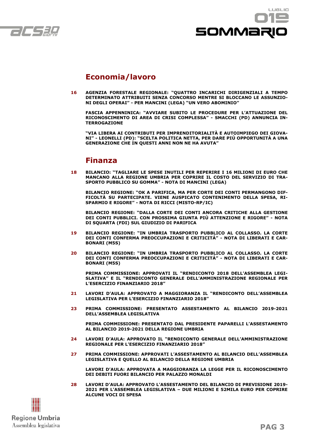



## **Economia/lavoro**

**16 AGENZIA FORESTALE REGIONALE: "QUATTRO INCARICHI DIRIGENZIALI A TEMPO DETERMINATO ATTRIBUITI SENZA CONCORSO MENTRE SI BLOCCANO LE ASSUNZIO-NI DEGLI OPERAI" - PER MANCINI (LEGA) "UN VERO ABOMINIO"**

 **FASCIA APPENNINICA: "AVVIARE SUBITO LE PROCEDURE PER L'ATTUAZIONE DEL RICONOSCIMENTO DI AREA DI CRISI COMPLESSA" - SMACCHI (PD) ANNUNCIA IN-TERROGAZIONE**

 **"VIA LIBERA AI CONTRIBUTI PER IMPRENDITORIALITÀ E AUTOIMPIEGO DEI GIOVA-NI" - LEONELLI (PD): "SCELTA POLITICA NETTA, PER DARE PIÙ OPPORTUNITÀ A UNA GENERAZIONE CHE IN QUESTI ANNI NON NE HA AVUTA"**

## **Finanza**

**18 BILANCIO: "TAGLIARE LE SPESE INUTILI PER REPERIRE I 16 MILIONI DI EURO CHE MANCANO ALLA REGIONE UMBRIA PER COPRIRE IL COSTO DEL SERVIZIO DI TRA-SPORTO PUBBLICO SU GOMMA" - NOTA DI MANCINI (LEGA)**

 **BILANCIO REGIONE: "OK A PARIFICA, MA PER CORTE DEI CONTI PERMANGONO DIF-FICOLTÀ SU PARTECIPATE. VIENE AUSPICATO CONTENIMENTO DELLA SPESA, RI-SPARMIO E RIGORE" - NOTA DI RICCI (MISTO-RP/IC)**

 **BILANCIO REGIONE: "DALLA CORTE DEI CONTI ANCORA CRITICHE ALLA GESTIONE DEI CONTI PUBBLICI. CON PROSSIMA GIUNTA PIÙ ATTENZIONE E RIGORE" - NOTA DI SQUARTA (FDI) SUL GIUDIZIO DI PARIFICA**

- **19 BILANCIO REGIONE: "IN UMBRIA TRASPORTO PUBBLICO AL COLLASSO. LA CORTE DEI CONTI CONFERMA PREOCCUPAZIONI E CRITICITÁ" - NOTA DI LIBERATI E CAR-BONARI (M5S)**
- **20 BILANCIO REGIONE: "IN UMBRIA TRASPORTO PUBBLICO AL COLLASSO. LA CORTE DEI CONTI CONFERMA PREOCCUPAZIONI E CRITICITÁ" - NOTA DI LIBERATI E CAR-BONARI (M5S)**

 **PRIMA COMMISSIONE: APPROVATI IL "RENDICONTO 2018 DELL'ASSEMBLEA LEGI-SLATIVA" E IL "RENDICONTO GENERALE DELL'AMMINISTRAZIONE REGIONALE PER L'ESERCIZIO FINANZIARIO 2018"**

- **21 LAVORI D'AULA: APPROVATO A MAGGIORANZA IL "RENDICONTO DELL'ASSEMBLEA LEGISLATIVA PER L'ESERCIZIO FINANZIARIO 2018"**
- **23 PRIMA COMMISSIONE: PRESENTATO ASSESTAMENTO AL BILANCIO 2019-2021 DELL'ASSEMBLEA LEGISLATIVA**

 **PRIMA COMMISSIONE: PRESENTATO DAL PRESIDENTE PAPARELLI L'ASSESTAMENTO AL BILANCIO 2019-2021 DELLA REGIONE UMBRIA**

- **24 LAVORI D'AULA: APPROVATO IL "RENDICONTO GENERALE DELL'AMMINISTRAZIONE REGIONALE PER L'ESERCIZIO FINANZIARIO 2018"**
- **27 PRIMA COMMISSIONE: APPROVATI L'ASSESTAMENTO AL BILANCIO DELL'ASSEMBLEA LEGISLATIVA E QUELLO AL BILANCIO DELLA REGIONE UMBRIA**

 **LAVORI D'AULA: APPROVATA A MAGGIORANZA LA LEGGE PER IL RICONOSCIMENTO DEI DEBITI FUORI BILANCIO PER PALAZZO MONALDI**

**28 LAVORI D'AULA: APPROVATO L'ASSESTAMENTO DEL BILANCIO DI PREVISIONE 2019- 2021 PER L'ASSEMBLEA LEGISLATIVA – DUE MILIONI E 52MILA EURO PER COPRIRE ALCUNE VOCI DI SPESA**

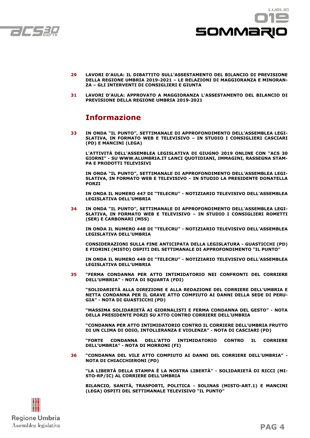



- **29 LAVORI D'AULA: IL DIBATTITO SULL'ASSESTAMENTO DEL BILANCIO DI PREVISIONE DELLA REGIONE UMBRIA 2019-2021 – LE RELAZIONI DI MAGGIORANZA E MINORAN-ZA – GLI INTERVENTI DI CONSIGLIERI E GIUNTA**
- **31 LAVORI D'AULA: APPROVATO A MAGGIORANZA L'ASSESTAMENTO DEL BILANCIO DI PREVISIONE DELLA REGIONE UMBRIA 2019-2021**

## **Informazione**

**33 IN ONDA "IL PUNTO", SETTIMANALE DI APPROFONDIMENTO DELL'ASSEMBLEA LEGI-SLATIVA, IN FORMATO WEB E TELEVISIVO – IN STUDIO I CONSIGLIERI CASCIARI (PD) E MANCINI (LEGA)**

 **L'ATTIVITÀ DELL'ASSEMBLEA LEGISLATIVA DI GIUGNO 2019 ONLINE CON "ACS 30 GIORNI" - SU WWW.ALUMBRIA.IT LANCI QUOTIDIANI, IMMAGINI, RASSEGNA STAM-PA E PRODOTTI TELEVISIVI**

 **IN ONDA "IL PUNTO", SETTIMANALE DI APPROFONDIMENTO DELL'ASSEMBLEA LEGI-SLATIVA, IN FORMATO WEB E TELEVISIVO – IN STUDIO LA PRESIDENTE DONATELLA PORZI**

 **IN ONDA IL NUMERO 447 DI "TELECRU" - NOTIZIARIO TELEVISIVO DELL'ASSEMBLEA LEGISLATIVA DELL'UMBRIA**

**34 IN ONDA "IL PUNTO", SETTIMANALE DI APPROFONDIMENTO DELL'ASSEMBLEA LEGI-SLATIVA, IN FORMATO WEB E TELEVISIVO – IN STUDIO I CONSIGLIERI ROMETTI (SER) E CARBONARI (M5S)**

 **IN ONDA IL NUMERO 448 DI "TELECRU" - NOTIZIARIO TELEVISIVO DELL'ASSEMBLEA LEGISLATIVA DELL'UMBRIA**

 **CONSIDERAZIONI SULLA FINE ANTICIPATA DELLA LEGISLATURA - GUASTICCHI (PD) E FIORINI (MISTO) OSPITI DEL SETTIMANALE DI APPROFONDIMENTO "IL PUNTO"**

 **IN ONDA IL NUMERO 449 DI "TELECRU" - NOTIZIARIO TELEVISIVO DELL'ASSEMBLEA LEGISLATIVA DELL'UMBRIA**

**35 "FERMA CONDANNA PER ATTO INTIMIDATORIO NEI CONFRONTI DEL CORRIERE DELL'UMBRIA" - NOTA DI SQUARTA (FDI)**

 **"SOLIDARIETÀ ALLA DIREZIONE E ALLA REDAZIONE DEL CORRIERE DELL'UMBRIA E NETTA CONDANNA PER IL GRAVE ATTO COMPIUTO AI DANNI DELLA SEDE DI PERU-GIA" - NOTA DI GUASTICCHI (PD)**

**"MASSIMA SOLIDARIETÀ AI GIORNALISTI E FERMA CONDANNA DEL GESTO" - NOTA DELLA PRESIDENTE PORZI SU ATTO CONTRO CORRIERE DELL'UMBRIA**

 **"CONDANNA PER ATTO INTIMIDATORIO CONTRO IL CORRIERE DELL'UMBRIA FRUTTO DI UN CLIMA DI ODIO, INTOLLERANZA E VIOLENZA" - NOTA DI CASCIARI (PD)**

 **"FORTE CONDANNA DELL'ATTO INTIMIDATORIO CONTRO IL CORRIERE DELL'UMBRIA" - NOTA DI MORRONI (FI)**

**36 "CONDANNA DEL VILE ATTO COMPIUTO AI DANNI DEL CORRIERE DELL'UMBRIA" - NOTA DI CHIACCHIERONI (PD)**

 **"LA LIBERTÀ DELLA STAMPA È LA NOSTRA LIBERTÀ" - SOLIDARIETÀ DI RICCI (MI-STO-RP/IC) AL CORRIERE DELL'UMBRIA**

 **BILANCIO, SANITÀ, TRASPORTI, POLITICA - SOLINAS (MISTO-ART.1) E MANCINI (LEGA) OSPITI DEL SETTIMANALE TELEVISIVO "IL PUNTO"**

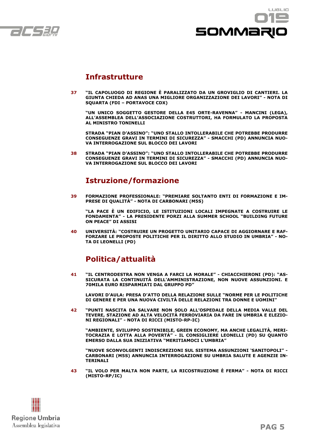



### **Infrastrutture**

**37 "IL CAPOLUOGO DI REGIONE È PARALIZZATO DA UN GROVIGLIO DI CANTIERI. LA GIUNTA CHIEDA AD ANAS UNA MIGLIORE ORGANIZZAZIONE DEI LAVORI" - NOTA DI SQUARTA (FDI – PORTAVOCE CDX)**

 **"UN UNICO SOGGETTO GESTORE DELLA E45 ORTE-RAVENNA" - MANCINI (LEGA), ALL'ASSEMBLEA DELL'ASSOCIAZIONE COSTRUTTORI, HA FORMULATO LA PROPOSTA AL MINISTRO TONINELLI**

 **STRADA "PIAN D'ASSINO": "UNO STALLO INTOLLERABILE CHE POTREBBE PRODURRE CONSEGUENZE GRAVI IN TERMINI DI SICUREZZA" - SMACCHI (PD) ANNUNCIA NUO-VA INTERROGAZIONE SUL BLOCCO DEI LAVORI**

**38 STRADA "PIAN D'ASSINO": "UNO STALLO INTOLLERABILE CHE POTREBBE PRODURRE CONSEGUENZE GRAVI IN TERMINI DI SICUREZZA" - SMACCHI (PD) ANNUNCIA NUO-VA INTERROGAZIONE SUL BLOCCO DEI LAVORI**

## **Istruzione/formazione**

**39 FORMAZIONE PROFESSIONALE: "PREMIARE SOLTANTO ENTI DI FORMAZIONE E IM-PRESE DI QUALITÀ" - NOTA DI CARBONARI (M5S)**

 **"LA PACE È UN EDIFICIO, LE ISTITUZIONI LOCALI IMPEGNATE A COSTRUIRE LE FONDAMENTA" - LA PRESIDENTE PORZI ALLA SUMMER SCHOOL "BUILDING FUTURE ON PEACE" DI ASSISI**

**40 UNIVERSITÀ: "COSTRUIRE UN PROGETTO UNITARIO CAPACE DI AGGIORNARE E RAF-FORZARE LE PROPOSTE POLITICHE PER IL DIRITTO ALLO STUDIO IN UMBRIA" - NO-TA DI LEONELLI (PD)**

## **Politica/attualità**

**41 "IL CENTRODESTRA NON VENGA A FARCI LA MORALE" - CHIACCHIERONI (PD): "AS-SICURATA LA CONTINUITÀ DELL'AMMINISTRAZIONE, NON NUOVE ASSUNZIONI. E 70MILA EURO RISPARMIATI DAL GRUPPO PD"**

 **LAVORI D'AULA: PRESA D'ATTO DELLA RELAZIONE SULLE "NORME PER LE POLITICHE DI GENERE E PER UNA NUOVA CIVILTÀ DELLE RELAZIONI TRA DONNE E UOMINI"**

**42 "PUNTI NASCITA DA SALVARE NON SOLO ALL'OSPEDALE DELLA MEDIA VALLE DEL TEVERE, STAZIONE AD ALTA VELOCITÀ FERROVIARIA DA FARE IN UMBRIA E ELEZIO-NI REGIONALI" - NOTA DI RICCI (MISTO-RP-IC)**

 **"AMBIENTE, SVILUPPO SOSTENIBILE, GREEN ECONOMY, MA ANCHE LEGALITÀ, MERI-TOCRAZIA E LOTTA ALLA POVERTÀ" - IL CONSIGLIERE LEONELLI (PD) SU QUANTO EMERSO DALLA SUA INIZIATIVA "MERITIAMOCI L'UMBRIA"**

 **"NUOVE SCONVOLGENTI INDISCREZIONI SUL SISTEMA ASSUNZIONI 'SANITOPOLI" - CARBONARI (M5S) ANNUNCIA INTERROGAZIONE SU UMBRIA SALUTE E AGENZIE IN-TERINALI**

**43 "IL VOLO PER MALTA NON PARTE, LA RICOSTRUZIONE È FERMA" - NOTA DI RICCI (MISTO-RP/IC)**

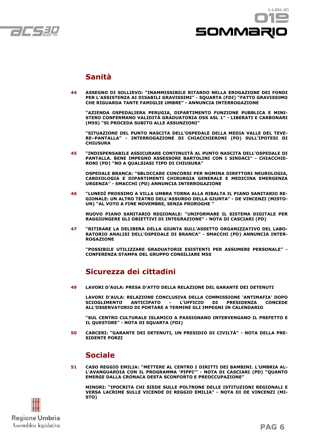



## **Sanità**

**44 ASSEGNO DI SOLLIEVO: "INAMMISSIBILE RITARDO NELLA EROGAZIONE DEI FONDI PER L'ASSISTENZA AI DISABILI GRAVISSIMI" - SQUARTA (FDI) "FATTO GRAVISSIMO CHE RIGUARDA TANTE FAMIGLIE UMBRE" - ANNUNCIA INTERROGAZIONE**

 **"AZIENDA OSPEDALIERA PERUGIA, DIPARTIMENTO FUNZIONE PUBBLICA E MINI-STERO CONFERMANO VALIDITÀ GRADUATORIA OSS ASL 1" - LIBERATI E CARBONARI (M5S) "SI PROCEDA SUBITO ALLE ASSUNZIONI"**

 **"SITUAZIONE DEL PUNTO NASCITA DELL'OSPEDALE DELLA MEDIA VALLE DEL TEVE-RE–PANTALLA" - INTERROGAZIONE DI CHIACCHIERONI (PD) SULL'IPOTESI DI CHIUSURA**

**45 "INDISPENSABILE ASSICURARE CONTINUITÀ AL PUNTO NASCITA DELL'OSPEDALE DI PANTALLA. BENE IMPEGNO ASSESSORE BARTOLINI CON I SINDACI" - CHIACCHIE-RONI (PD) "NO A QUALSIASI TIPO DI CHIUSURA"**

 **OSPEDALE BRANCA: "SBLOCCARE CONCORSI PER NOMINA DIRETTORI NEUROLOGIA, CARDIOLOGIA E DIPARTIMENTI CHIRURGIA GENERALE E MEDICINA EMERGENZA URGENZA" - SMACCHI (PD) ANNUNCIA INTERROGAZIONE**

**46 "LUNEDÌ PROSSIMO A VILLA UMBRA TORNA ALLA RIBALTA IL PIANO SANITARIO RE-GIONALE: UN ALTRO TEATRO DELL'ASSURDO DELLA GIUNTA" - DE VINCENZI (MISTO-UN) "AL VOTO A FINE NOVEMBRE, SENZA PROROGHE "**

 **NUOVO PIANO SANITARIO REGIONALE: "UNIFORMARE IL SISTEMA DIGITALE PER RAGGIUNGERE GLI OBIETTIVI DI INTEGRAZIONE" - NOTA DI CASCIARI (PD)**

**47 "RITIRARE LA DELIBERA DELLA GIUNTA SULL'ASSETTO ORGANIZZATIVO DEL LABO-RATORIO ANALISI DELL'OSPEDALE DI BRANCA" - SMACCHI (PD) ANNUNCIA INTER-ROGAZIONE**

 **"POSSIBILE UTILIZZARE GRADUATORIE ESISTENTI PER ASSUMERE PERSONALE" - CONFERENZA STAMPA DEL GRUPPO CONSILIARE M5S**

## **Sicurezza dei cittadini**

**49 LAVORI D'AULA: PRESA D'ATTO DELLA RELAZIONE DEL GARANTE DEI DETENUTI**

 **LAVORI D'AULA: RELAZIONE CONCLUSIVA DELLA COMMISSIONE 'ANTIMAFIA' DOPO SCIOGLIMENTO ANTICIPATO - L'UFFICIO DI PRESIDENZA CONCEDE ALL'OSSERVATORIO DI PORTARE A TERMINE GLI IMPEGNI IN CALENDARIO**

 **"SUL CENTRO CULTURALE ISLAMICO A PASSIGNANO INTERVENGANO IL PREFETTO E IL QUESTORE" - NOTA DI SQUARTA (FDI)**

**50 CARCERI: "GARANTE DEI DETENUTI, UN PRESIDIO DI CIVILTÀ" - NOTA DELLA PRE-SIDENTE PORZI**

## **Sociale**

**51 CASO REGGIO EMILIA: "METTERE AL CENTRO I DIRITTI DEI BAMBINI. L'UMBRIA AL-L'AVANGUARDIA CON IL PROGRAMMA 'PIPPI'" - NOTA DI CASCIARI (PD) "QUANTO EMERGE DALLA CRONACA DESTA SCONFORTO E PREOCCUPAZIONE"**

 **MINORI: "IPOCRITA CHI SIEDE SULLE POLTRONE DELLE ISTITUZIONI REGIONALI E VERSA LACRIME SULLE VICENDE DI REGGIO EMILIA" - NOTA DI DE VINCENZI (MI-STO)**

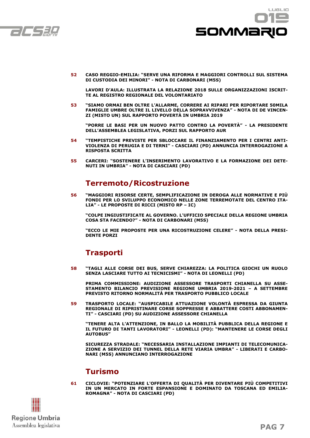



**52 CASO REGGIO-EMILIA: "SERVE UNA RIFORMA E MAGGIORI CONTROLLI SUL SISTEMA DI CUSTODIA DEI MINORI" - NOTA DI CARBONARI (M5S)**

 **LAVORI D'AULA: ILLUSTRATA LA RELAZIONE 2018 SULLE ORGANIZZAZIONI ISCRIT-TE AL REGISTRO REGIONALE DEL VOLONTARIATO**

**53 "SIAMO ORMAI BEN OLTRE L'ALLARME, CORRERE AI RIPARI PER RIPORTARE 50MILA FAMIGLIE UMBRE OLTRE IL LIVELLO DELLA SOPRAVVIVENZA" - NOTA DI DE VINCEN-ZI (MISTO UN) SUL RAPPORTO POVERTÀ IN UMBRIA 2019**

 **"PORRE LE BASI PER UN NUOVO PATTO CONTRO LA POVERTÀ" - LA PRESIDENTE DELL'ASSEMBLEA LEGISLATIVA, PORZI SUL RAPPORTO AUR**

- **54 "TEMPISTICHE PREVISTE PER SBLOCCARE IL FINANZIAMENTO PER I CENTRI ANTI-VIOLENZA DI PERUGIA E DI TERNI" - CASCIARI (PD) ANNUNCIA INTERROGAZIONE A RISPOSTA SCRITTA**
- **55 CARCERI: "SOSTENERE L'INSERIMENTO LAVORATIVO E LA FORMAZIONE DEI DETE-NUTI IN UMBRIA" - NOTA DI CASCIARI (PD)**

## **Terremoto/Ricostruzione**

**56 "MAGGIORI RISORSE CERTE, SEMPLIFICAZIONE IN DEROGA ALLE NORMATIVE E PIÙ FONDI PER LO SVILUPPO ECONOMICO NELLE ZONE TERREMOTATE DEL CENTRO ITA-LIA" - LE PROPOSTE DI RICCI (MISTO RP – IC)**

 **"COLPE INGIUSTIFICATE AL GOVERNO. L'UFFICIO SPECIALE DELLA REGIONE UMBRIA COSA STA FACENDO?" - NOTA DI CARBONARI (M5S)**

 **"ECCO LE MIE PROPOSTE PER UNA RICOSTRUZIONE CELERE" - NOTA DELLA PRESI-DENTE PORZI**

## **Trasporti**

**58 "TAGLI ALLE CORSE DEI BUS, SERVE CHIAREZZA: LA POLITICA GIOCHI UN RUOLO SENZA LASCIARE TUTTO AI TECNICISMI" - NOTA DI LEONELLI (PD)**

 **PRIMA COMMISSIONE: AUDIZIONE ASSESSORE TRASPORTI CHIANELLA SU ASSE-STAMENTO BILANCIO PREVISIONE REGIONE UMBRIA 2019-2021 – A SETTEMBRE PREVISTO RITORNO NORMALITÀ PER TRASPORTO PUBBLICO LOCALE**

**59 TRASPORTO LOCALE: "AUSPICABILE ATTUAZIONE VOLONTÀ ESPRESSA DA GIUNTA REGIONALE DI RIPRISTINARE CORSE SOPPRESSE E ABBATTERE COSTI ABBONAMEN-TI" - CASCIARI (PD) SU AUDIZIONE ASSESSORE CHIANELLA**

 **"TENERE ALTA L'ATTENZIONE, IN BALLO LA MOBILITÀ PUBBLICA DELLA REGIONE E IL FUTURO DI TANTI LAVORATORI" - LEONELLI (PD): "MANTENERE LE CORSE DEGLI AUTOBUS"**

 **SICUREZZA STRADALE: "NECESSARIA INSTALLAZIONE IMPIANTI DI TELECOMUNICA-ZIONE A SERVIZIO DEI TUNNEL DELLA RETE VIARIA UMBRA" - LIBERATI E CARBO-NARI (M5S) ANNUNCIANO INTERROGAZIONE**

## **Turismo**

**61 CICLOVIE: "POTENZIARE L'OFFERTA DI QUALITÀ PER DIVENTARE PIÙ COMPETITIVI IN UN MERCATO IN FORTE ESPANSIONE E DOMINATO DA TOSCANA ED EMILIA-ROMAGNA" - NOTA DI CASCIARI (PD)**

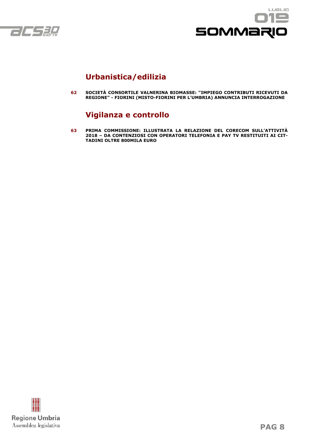



## **Urbanistica/edilizia**

**62 SOCIETÀ CONSORTILE VALNERINA BIOMASSE: "IMPIEGO CONTRIBUTI RICEVUTI DA REGIONE" - FIORINI (MISTO-FIORINI PER L'UMBRIA) ANNUNCIA INTERROGAZIONE**

## **Vigilanza e controllo**

**63 PRIMA COMMISSIONE: ILLUSTRATA LA RELAZIONE DEL CORECOM SULL'ATTIVITÀ 2018 – DA CONTENZIOSI CON OPERATORI TELEFONIA E PAY TV RESTITUITI AI CIT-TADINI OLTRE 800MILA EURO**

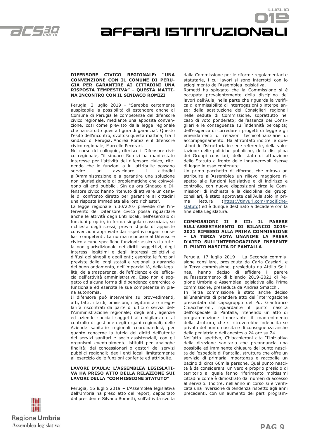

Affari istituzionali

#### **DIFENSORE CIVICO REGIONALE: "UNA CONVENZIONE CON IL COMUNE DI PERU-GIA PER GARANTIRE AI CITTADINI UNA RISPOSTA TEMPESTIVA" - QUESTA MATTI-NA INCONTRO CON IL SINDACO ROMIZI**

Perugia, 2 luglio 2019 - "Sarebbe certamente auspicabile la possibilità di estendere anche al Comune di Perugia le competenze del difensore civico regionale, mediante una apposita convenzione, così come previsto dalla legge regionale che ha istituito questa figura di garanzia". Questo l'esito dell'incontro, svoltosi questa mattina, tra il sindaco di Perugia, Andrea Romizi e il difensore civico regionale, Marcello Pecorari.

Nel corso del colloquio, riferisce il Difensore civico regionale, "il sindaco Romizi ha manifestato interesse per l'attività del difensore civico, ritenendo che le funzioni a lui attribuite possano servire ad avvicinare i cittadini all'Amministrazione e a garantire una soluzione non giurisdizionale di problematiche che coinvolgono gli enti pubblici. Sin da ora Sindaco e Difensore civico hanno ritenuto di attivare un canale di confronto diretto per garantire ai cittadini una risposta immediata alle loro richieste".

La legge regionale n.30/2207 prevede che l'intervento del Difensore civico possa riguardare anche le attività degli Enti locali, nell'esercizio di funzioni proprie, in forma singola o associata, su richiesta degli stessi, previa stipula di apposite convenzioni approvate dai rispettivi organi consiliari competenti. La norma riconosce al Difensore civico alcune specifiche funzioni: assicura la tutela non giurisdizionale dei diritti soggettivi, degli interessi legittimi e degli interessi collettivi e diffusi dei singoli e degli enti; esercita le funzioni previste dalle leggi statali e regionali a garanzia del buon andamento, dell'imparzialità, della legalità, della trasparenza, dell'efficienza e dell'efficacia dell'attività amministrativa. Esso non è soggetto ad alcuna forma di dipendenza gerarchica o funzionale ed esercita le sue competenze in piena autonomia.

Il difensore può intervenire su provvedimenti, atti, fatti, ritardi, omissioni, illegittimità o irregolarità riscontrati da parte di uffici o servizi dell'Amministrazione regionale; degli enti, agenzie ed aziende speciali soggetti alla vigilanza e al controllo di gestione degli organi regionali; delle Aziende sanitarie regionali coordinandosi, per quanto concerne la tutela dei diritti dell'utente dei servizi sanitari e socio-assistenziali, con gli organismi eventualmente istituiti per analoghe finalità; dei concessionari o gestori dei servizi pubblici regionali; degli enti locali limitatamente all'esercizio delle funzioni conferite ed attribuite.

#### **LAVORI D'AULA: L'ASSEMBLEA LEGISLATI-VA HA PRESO ATTO DELLA RELAZIONE SUI LAVORI DELLA "COMMISSIONE STATUTO"**

Perugia, 16 luglio 2019 – L'Assemblea legislativa dell'Umbria ha preso atto del report, depositato dal presidente Silvano Rometti, sull'attività svolta dalla Commissione per le riforme regolamentari e statutarie, i cui lavori si sono interrotti con lo scioglimento dell'Assemblea legislativa.

LUSLIO

Rometti ha spiegato che la Commissione si è occupata prevalentemente della disciplina dei lavori dell'Aula, nella parte che riguarda la verifica di ammissibilità di interrogazioni o interpellanze; della sostituzione dei Consiglieri regionali nelle sedute di Commissione, soprattutto nel caso di voto ponderato; dell'assenza dei Consiglieri e le conseguenze sull'indennità percepita; dell'esigenza di corredare i progetti di legge e gli emendamenti di relazioni tecnicofinanziarie di accompagnamento. Ha affrontato inoltre le questioni dell'istruttoria in sede referente, della valutazione delle politiche pubbliche, della disciplina dei Gruppi consiliari, dello stato di attuazione dello Statuto a fronte delle innumerevoli riserve di legge in esso contenute.

Un primo pacchetto di riforme, che mirava ad attribuire all'Assemblea un rilievo maggiore rispetto alle funzioni legislative e di indirizzo e controllo, con nuove disposizioni circa le Commissioni di inchiesta e la disciplina dei gruppi consiliari, è stato approvate dall'Aula solo in prima lettura (https://tinyurl.com/modifichestatuto) ed è dunque destinato a decadere con la fine della Legislatura.

#### **COMMISSIONI II E III: IL PARERE SULL'ASSESTAMENTO DI BILANCIO 2019- 2021 RIMESSO ALLA PRIMA COMMISSIONE – LA TERZA VOTA UNANIME LA PRESA D'ATTO SULL'INTERROGAZIONE INERENTE IL PUNTO NASCITA DI PANTALLA**

Perugia, 17 luglio 2019 – La Seconda commissione consiliare, presieduta da Carla Casciari, e la Terza commissione, presieduta da Attilio Solinas, hanno deciso di affidare il parere sull'assestamento di bilancio 2019-2021 di Regione Umbria e Assemblea legislativa alla Prima commissione, presieduta da Andrea Smacchi.

In Terza commissione è stato anche deciso all'unanimità di prendere atto dell'interrogazione presentata dal capogruppo del Pd, Gianfranco Chiacchieroni, riguardante il punto nascita dell'ospedale di Pantalla, ritenendo un atto di programmazione importante il mantenimento della struttura, che si ritroverebbe indebolita se privata del punto nascita e di conseguenza anche della pediatria e dell'anestesia 24 ore su 24.

Nell'atto ispettivo, Chiacchieroni cita "l'iniziativa della direzione sanitaria che preannuncia una possibile ed imminente chiusura del punto nascita dell'ospedale di Pantalla, struttura che offre un servizio di primaria importanza e raccoglie un bacino di circa 60mila persone. Quel punto nascita è da considerarsi un vero e proprio presidio di territorio al quale fanno riferimento moltissimi cittadini come è dimostrato dai numeri di accesso al servizio. Inoltre, nell'anno in corso si è verificata una inversione di tendenza rispetto agli anni precedenti, con un aumento dei parti program-

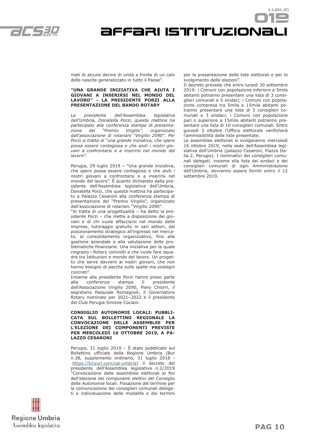

Affari istituzionali

mati di alcune decine di unità a fronte di un calo delle nascite generalizzato in tutto il Paese".

#### **"UNA GRANDE INIZIATIVA CHE AIUTA I GIOVANI A INSERIRSI NEL MONDO DEL LAVORO" - LA PRESIDENTE PORZI ALLA PRESENTAZIONE DEL BANDO ROTARY**

*La presidente dell'Assemblea legislativa dell'Umbria, Donatella Porzi, questa mattina ha partecipato alla conferenza stampa di presentazione del "Premio Virgilio", organizzato dall'associazione di rotariani "Virgilio 2090". Per Porzi si tratta di "una grande iniziativa, che spero possa essere contagiosa e che aiuti i nostri giovani a confrontarsi e a inserirsi nel mondo del lavoro".*

Perugia, 29 luglio 2019 – "Una grande iniziativa, che spero possa essere contagiosa e che aiuti i nostri giovani a confrontarsi e a inserirsi nel mondo del lavoro". È quanto dichiarato dalla presidente dell'Assemblea legislativa dell'Umbria, Donatella Porzi, che questa mattina ha partecipato a Palazzo Cesaroni alla conferenza stampa di presentazione del "Premio Virgilio", organizzato dall'associazione di rotariani "Virgilio 2090".

"Si tratta di una progettualità – ha detto la presidente Porzi – che mette a disposizione dei giovani e di chi vuole affacciarsi nel mondo delle imprese, tutoraggio gratuito in vari settori, dal posizionamento strategico all'ingresso nel mercato, al consolidamento organizzativo, fino alla gestione aziendale e alla valutazione delle problematiche finanziarie. Una iniziativa per la quale ringrazio i Rotary coinvolti e che vuole fare squadra tra Istituzioni e mondo del lavoro. Un progetto che serve davvero ai nostri giovani, che non hanno bisogno di pacche sulle spalle ma sostegni concreti".

Insieme alla presidente Porzi hanno preso parte alla conferenza stampa il presidente dell'Associazione Virgilio 2090, Piero Chiorri, il segretario Pasquale Romagnoli, il Governatore Rotary nominato per 2021–2022 e il presidente del Club Perugia Simone Cociani.

**CONSIGLIO AUTONOMIE LOCALI: PUBBLI-CATA SUL BOLLETTINO REGIONALE LA CONVOCAZIONE DELLE ASSEMBLEE PER L'ELEZIONE DEI COMPONENTI PREVISTE PER MERCOLEDÌ 16 OTTOBRE 2019, A PA-LAZZO CESARONI**

Perugia, 31 luglio 2019 – È stato pubblicato sul Bollettino ufficiale della Regione Umbria (Bur n.38, supplemento ordinario, 31 luglio 2018 https://tinyurl.com/cal-umbria) il decreto del presidente dell'Assemblea legislativa n.2/2019 "Convocazione delle assemblee elettorali ai fini dell'elezione dei componenti elettivi del Consiglio delle Autonomie locali. Fissazione del termine per la comunicazione dei consiglieri comunali delegati e individuazione delle modalità e dei termini



LUSLIO

Il decreto prevede che entro lunedì 30 settembre 2019: i Comuni con popolazione inferiore a 5mila abitanti potranno presentare una lista di 3 consiglieri comunali e 5 sindaci; i Comuni con popolazione compresa tra 5mila e 15mila abitanti potranno presentare una lista di 3 consiglieri comunali e 3 sindaci; i Comuni con popolazione pari o superiore a 15mila abitanti potranno presentare una lista di 10 consiglieri comunali. Entro giovedì 3 ottobre l'Ufficio elettorale verificherà l'ammissibilità delle liste presentate.

Le assemblee elettorali si svolgeranno mercoledì 16 ottobre 2019, nella sede dell'Assemblea legislativa dell'Umbria (palazzo Cesaroni, Piazza Italia 2, Perugia). I nominativi dei consiglieri comunali delegati, insieme alla lista dei sindaci e dei consiglieri comunali di ogni Amministrazione dell'Umbria, dovranno essere forniti entro il 12 settembre 2010

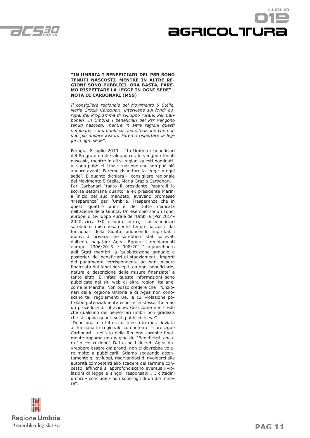

## LUSLIO agricoltrura

#### **"IN UMBRIA I BENEFICIARI DEL PSR SONO TENUTI NASCOSTI, MENTRE IN ALTRE RE-GIONI SONO PUBBLICI. ORA BASTA, FARE-MO RISPETTARE LA LEGGE IN OGNI SEDE" - NOTA DI CARBONARI (M5S)**

*Il consigliere regionale del Movimento 5 Stelle, Maria Grazia Carbonari, interviene sui fondi europei del Programma di sviluppo rurale. Per Carbonari "in Umbria i beneficiari del Psr vengono tenuti nascosti, mentre in altre regioni questi nominativi sono pubblici. Una situazione che non può più andare avanti. Faremo rispettare la legge in ogni sede".*

Perugia, 8 luglio 2019 – "In Umbria i beneficiari del Programma di sviluppo rurale vengono tenuti nascosti, mentre in altre regioni questi nominativi sono pubblici. Una situazione che non può più andare avanti. Faremo rispettare la legge in ogni sede". È quanto dichiara il consigliere regionale del Movimento 5 Stelle, Maria Grazia Carbonari. Per Carbonari "tanto il presidente Paparelli la scorsa settimana quanto la ex presidente Marini all'inizio del suo mandato, avevano promesso 'trasparenza' per l'Umbria. Trasparenza che in questi quattro anni è del tutto mancata nell'azione della Giunta. Un esempio sono i Fondi europei di Sviluppo Rurale dell'Umbria (Psr 2014- 2020, circa 930 milioni di euro), i cui beneficiari sarebbero misteriosamente tenuti nascosti dai funzionari della Giunta, adducendo improbabili motivi di privacy che sarebbero stati sollevati dall'ente pagatore Agea. Eppure i regolamenti europei '1306/2013' e '908/2014' imporrebbero agli Stati membri la 'pubblicazione annuale a posteriori dei beneficiari di stanziamenti, importi del pagamento corrispondente ad ogni misura finanziata dai fondi percepiti da ogni beneficiario, natura e descrizione delle misure finanziate' e tanto altro. E infatti queste informazioni sono pubblicate nei siti web di altre regioni italiane, come le Marche. Non posso credere che i funzionari della Regione Umbria e di Agea non conoscano tali regolamenti Ue, la cui violazione potrebbe potenzialmente esporre la stessa Italia ad un procedura di infrazione. Così come non credo che qualcuno dei beneficiari umbri non gradisca che si sappia quanti soldi pubblici riceve".

"Dopo una mia lettera di messa in mora inviata al funzionario regionale competente – prosegue Carbonari - nel sito della Regione sarebbe finalmente apparsa una pagina dei 'Beneficiari' ancora 'in costruzione'. Dato che i decreti Agea dovrebbero essere già pronti, non ci dovrebbe volere molto a pubblicarli. Stiamo seguendo attentamente gli sviluppi, riservandoci di rivolgerci alle autorità competenti allo scadere del termine concesso, affinché si approfondiscano eventuali violazioni di legge e singoli responsabili. I cittadini umbri – conclude - non sono figli di un dio minore".

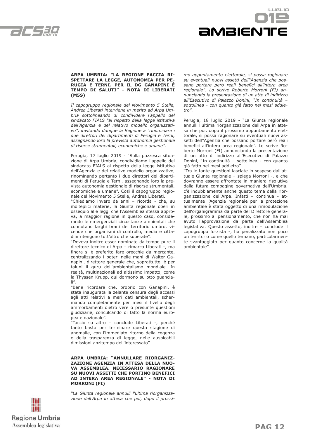



#### **ARPA UMBRIA: "LA REGIONE FACCIA RI-SPETTARE LA LEGGE, AUTONOMIA PER PE-RUGIA E TERNI. PER IL DG GANAPINI È TEMPO DI SALUTI" - NOTA DI LIBERATI (M5S)**

*Il capogruppo regionale del Movimento 5 Stelle, Andrea Liberati interviene in merito ad Arpa Umbria sottolineando di condividere l'appello del sindacato FIALS "al rispetto della legge istitutiva dell'Agenzia e del relativo modello organizzativo", invitando dunque la Regione a "rinominare i due direttori dei dipartimenti di Perugia e Terni, assegnando loro la prevista autonomia gestionale di risorse strumentali, economiche e umane".*

Perugia, 17 luglio 2019 - "Sulla pazzesca situazione di Arpa Umbria, condividiamo l'appello del sindacato FIALS al rispetto della legge istitutiva dell'Agenzia e del relativo modello organizzativo, rinominando pertanto i due direttori dei dipartimenti di Perugia e Terni, assegnando loro la prevista autonomia gestionale di risorse strumentali, economiche e umane". Così il capogruppo regionale del Movimento 5 Stelle, Andrea Liberati.

"Chiediamo invero da anni – ricorda - che, su molteplici materie, la Giunta regionale operi in ossequio alle leggi che l'Assemblea stessa approva, a maggior ragione in questo caso, considerando le emergenziali circostanze ambientali che connotano larghi brani del territorio umbro, vicende che organismi di controllo, media e cittadini ritengono tutt'altro che superate".

"Doveva inoltre esser nominato da tempo pure il direttore tecnico di Arpa – rimarca Liberati -, ma finora si è preferito fare orecchie da mercante, centralizzando i poteri nelle mani di Walter Ganapini, direttore generale che, soprattutto, è per taluni il guru dell'ambientalismo mondiale. In realtà, multinazionali ad altissimo impatto, come la Thyssen Krupp, qui dormono su otto guanciali".

"Bene ricordare che, proprio con Ganapini, è stata inaugurata la zelante censura degli accessi agli atti relativi a meri dati ambientali, schermando completamente per mesi il livello degli ammorbamenti dietro vere o presunte questioni giudiziarie, conculcando di fatto la norma europea e nazionale".

.<br>"Taccio su altro – conclude Liberati -, perché tanto basta per terminare questa stagione di anomalie, con l'immediato ritorno della cogenza e della trasparenza di legge, nelle auspicabili dimissioni anzitempo dell'interessato".

**ARPA UMBRIA: "ANNULLARE RIORGANIZ-ZAZIONE AGENZIA IN ATTESA DELLA NUO-VA ASSEMBLEA. NECESSARIO RAGIONARE SU NUOVI ASSETTI CHE PORTINO BENEFICI AD INTERA AREA REGIONALE" - NOTA DI MORRONI (FI)**

*"La Giunta regionale annulli l'ultima riorganizzazione dell'Arpa in attesa che poi, dopo il prossi-* *mo appuntamento elettorale, si possa ragionare su eventuali nuovi assetti dell''Agenzia che possano portare però reali benefici all'intera area regionale". Lo scrive Roberto Morroni (FI) annunciando la presentazione di un atto di indirizzo all'Esecutivo di Palazzo Donini, "In continuità – sottolinea - con quanto già fatto nei mesi addietro".*

Perugia, 18 luglio 2019 - "La Giunta regionale annulli l'ultima riorganizzazione dell'Arpa in attesa che poi, dopo il prossimo appuntamento elettorale, si possa ragionare su eventuali nuovi assetti dell''Agenzia che possano portare però reali benefici all'intera area regionale". Lo scrive Roberto Morroni (FI) annunciando la presentazione di un atto di indirizzo all'Esecutivo di Palazzo Donini, "In continuità – sottolinea - con quanto già fatto nei mesi addietro".

"Tra le tante questioni lasciate in sospeso dall'attuale Giunta regionale – spiega Morroni -, e che dovranno essere affrontate in maniera risolutiva dalla futura compagine governativa dell'Umbria, c'è indubbiamente anche questo tema della riorganizzazione dell'Arpa. Infatti – continua - attualmente l'Agenzia regionale per la protezione ambientale è stata oggetto di una rimodulazione dell'organigramma da parte del Direttore generale, prossimo al pensionamento, che non ha mai avuto l'approvazione da parte dell'Assemblea legislativa. Questo assetto, inoltre – conclude il capogruppo forzista -, ha penalizzato non poco un territorio come quello ternano, particolarmente svantaggiato per quanto concerne la qualità ambientale".



**PAG 12**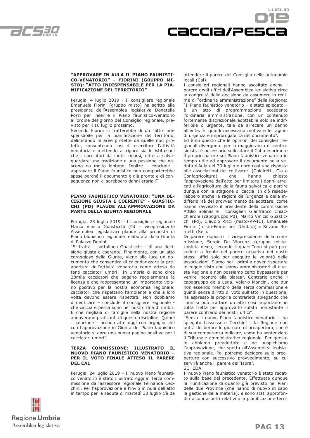



#### **"APPROVARE IN AULA IL PIANO FAUNISTI-CO-VENATORIO" - FIORINI (GRUPPO MI-STO): "ATTO INDISPENSABILE PER LA PIA-NIFICAZIONE DEL TERRITORIO"**

Perugia, 4 luglio 2019 - Il consigliere regionale Emanuele Fiorini (gruppo misto) ha scritto alla presidente dell'Assemblea legislativa Donatella Porzi per inserire il Piano faunistico-venatorio all'ordine del giorno del Consiglio regionale, previsto per il 16 luglio prossimo.

Secondo Fiorini si tratterebbe di un "atto indispensabile per la pianificazione del territorio, delimitando le aree protette da quelle non protette, consentendo così di esercitare l'attività venatoria e mettendo al riparo sia le istituzioni che i cacciatori da inutili ricorsi, oltre a salvaguardare una tradizione e una passione che nascono da molto lontano. Inoltre – conclude approvare il Piano faunistico non comporterebbe spese perché il documento è già pronto e di conseguenza non ci sarebbero danni erariali".

#### **PIANO FAUNISTICO VENATORIO: "UNA DE-CISIONE GIUSTA E COERENTE" - GUASTIC-CHI (PD) PLAUDE ALL'APPROVAZIONE DA PARTE DELLA GIUNTA REGIONALE**

Perugia, 23 luglio 2019 – Il consigliere regionale Marco Vinicio Guasticchi (Pd – vicepresidente Assemblea legislativa) plaude alla proposta di Piano faunistico regionale elaborata dalla Giunta di Palazzo Donini.

"Si tratta – sottolinea Guasticchi – di una decisione giusta e coerente. Finalmente, con un atto coraggioso della Giunta, viene alla luce un documento che consentirà di calendarizzare la preapertura dell'attività venatoria come atteso da tanti cacciatori umbri. In Umbria ci sono circa 28mila cacciatori che pagano regolarmente la licenza e che rappresentano un importante volano positivo per la nostra economia regionale: cacciatori che rispettano l'ambiente e che a loro volta devono essere rispettati. Non dobbiamo dimenticare – conclude il consigliere regionale che caccia e pesca sono nel nostro dna di umbri. E che migliaia di famiglie nella nostra regione annoverano praticanti di queste discipline. Quindi – conclude - prendo atto oggi con orgoglio che con l'approvazione in Giunta del Piano faunistico venatorio si apre una nuova pagina positiva per i cacciatori umbri".

#### **TERZA COMMISSIONE: ILLUSTRATO IL NUOVO PIANO FAUNISTICO VENATORIO – PER IL VOTO FINALE ATTESO IL PARERE DEL CAL**

Perugia, 24 luglio 2019 – Il nuovo Piano faunistico venatorio è stato illustrato oggi in Terza commissione dall'assessore regionale Fernanda Cecchini. Per l'approvazione e l'invio in Aula dell'atto in tempo per la seduta di martedì 30 luglio c'è da



I consiglieri regionali hanno ascoltato anche il parere degli uffici dell'Assemblea legislativa circa la congruità della decisione da assumere in regime di "ordinaria amministrazione" della Regione: "Il Piano faunistico venatorio – è stato spiegato – è un atto di programmazione eccedente l'ordinaria amministrazione, con un contenuto fortemente discrezionale adottabile solo se indifferibile o urgente, tale da arrecare un danno all'ente. È quindi necessario motivare le ragioni di urgenza e improrogabilità del documento".

Ed è su questo che le opinioni dei consiglieri regionali divergono: per la maggioranza di centrosinistra è necessario sollecitare il Cal a esprimere il proprio parere sul Piano faunistico venatorio in tempo utile ad approvare il documento nella seduta d'Aula del 30 luglio e dare così una risposta alle associazioni dei coltivatori (Coldiretti, Cia e Confagricoltura) che hanno chiesto l'approvazione dell'atto per limitare i danni arrecati all'agricoltura dalla fauna selvatica e partire dunque con la stagione di caccia. In ciò risiederebbero anche le ragioni dell'urgenza e della indifferibilità del provvedimento da adottare, come hanno ravvisato il presidente della commissione Attilio Solinas e i consiglieri Gianfranco Chiacchieroni (capogruppo Pd), Marco Vinicio Guasticchi (Pd), Claudio Ricci (misto-RP-IC), Emanuele Fiorini (misto-Fiorini per l'Umbria) e Silvano Rometti (Ser).

Di parere opposto il vicepresidente della commissione, Sergio De Vincenzi (gruppo misto-Umbria next), secondo il quale "non si può procedere a fronte del parere negativo dei nostri stessi uffici solo per eseguire le volontà delle associazioni. Siamo noi i primi a dover rispettare le regole visto che siamo amministratori di questa Regione e non possiamo certo bypassarle per venire incontro alla platea". Contrario anche il capogruppo della Lega, Valerio Mancini, che pur non essendo membro della Terza commissione e quindi senza diritto di voto sull'atto in questione, ha espresso la propria contrarietà spiegando che "non si può trattare un atto così importante in tutta fretta per approvarlo subito nonostante il parere contrario dei nostri uffici".

"Senza il nuovo Piano faunistico venatorio – ha spiegato l'assessore Cecchini - la Regione non potrà deliberare le giornate di preapertura, che è di sua competenza indicare, come ha sentenziato il Tribunale amministrativo regionale. Per questo lo abbiamo preadottato e ne auspichiamo l'approvazione, che spetta all'Assemblea legislativa regionale. Poi potremo decidere sulle preaperture con successivo provvedimento, su cui servirà anche il parere dell'Ispra". **SCHEDA** 

Il nuovo Piano faunistico venatorio è stato redatto sulla base del precedente. Effettuata dunque la riunificazione di quanto già previsto nei Piani delle due Province (che hanno di nuovo in capo la gestione della materia), e sono stati approfonditi alcuni aspetti relativi alla pianificazione terri-

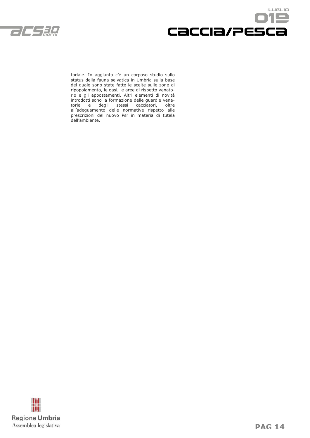



toriale. In aggiunta c'è un corposo studio sullo status della fauna selvatica in Umbria sulla base del quale sono state fatte le scelte sulle zone di ripopolamento, le oasi, le aree di rispetto venatorio e gli appostamenti. Altri elementi di novità introdotti sono la formazione delle guardie venatorie e degli stessi cacciatori, oltre all'adeguamento delle normative rispetto alle prescrizioni del nuovo Psr in materia di tutela dell'ambiente.

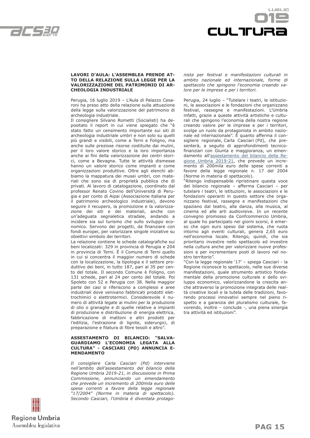



#### **LAVORI D'AULA: L'ASSEMBLEA PRENDE AT-TO DELLA RELAZIONE SULLA LEGGE PER LA VALORIZZAZIONE DEL PATRIMONIO DI AR-CHEOLOGIA INDUSTRIALE**

Perugia, 16 luglio 2019 – L'Aula di Palazzo Cesaroni ha preso atto della relazione sulla attuazione della legge sulla valorizzazione del patrimonio di archeologia industriale.

Il consigliere Silvano Rometti (Socialisti) ha depositato il report in cui viene spiegato che "è stato fatto un censimento importante sui siti di archeologia industriale umbri e non solo su quelli più grandi e visibili, come a Terni e Foligno, ma anche sulle preziose risorse costituite dai mulini, per il loro valore storico e la loro importanza anche ai fini della valorizzazione dei centri storici, come a Bevagna. Tutte le attività dismesse hanno un valore storico come impianti e come organizzazioni produttive. Oltre agli elenchi abbiamo la mappatura dei musei umbri, con materiali che sono sia di proprietà pubblica che di privati. Al lavoro di catalogazione, coordinato dal professor Renato Covino dell'Università di Perugia e per conto di Aipai (Associazione italiana per il patrimonio archeologico industriale), devono seguire il recupero, la promozione e la valorizzazione dei siti e dei materiali, anche con un'adeguata segnaletica stradale, andando a incidere sia sul turismo che sullo sviluppo economico. Servono dei progetti, da finanziare con fondi europei, per valorizzare singole iniziative su obiettivi simbolo dei territori.

La relazione contiene le schede catalografiche sui beni localizzati: 329 in provincia di Perugia e 204 in provincia di Terni. É il Comune di Terni quello in cui si concentra il maggior numero di schede con la localizzazione, la tipologia e il settore produttivo dei beni, in tutto 187, pari al 35 per cento del totale. Il secondo Comune è Foligno, con 131 schede, pari al 24 per cento del totale. Poi Spoleto con 52 e Perugia con 38. Nella maggior parte dei casi si riferiscono a complessi e aree industriali dove venivano fabbricati prodotti elettrochimici o elettrotermici. Considerevole il numero di attività legate ai mulini per la produzione di olio o granaglie e di quelle relative a impianti di produzione e distribuzione di energia elettrica, fabbricazione di mattoni e altri prodotti per l'edilizia, l'estrazione di lignite, siderurgici, di preparazione e filatura di fibre tessili e altro".

#### **ASSESTAMENTO DI BILANCIO: "SALVA-GUARDIAMO L'ECONOMIA LEGATA ALLA CULTURA" - CASCIARI (PD) ANNUNCIA E-MENDAMENTO**

*Il consigliere Carla Casciari (Pd) interviene nell'ambito dell'assestamento del bilancio della Regione Umbria 2019-21, in discussione in Prima Commissione, annunciando un emendamento che prevede un incremento di 200mila euro delle spese correnti a favore della legge regionale "17/2004" (Norme in materia di spettacolo). Secondo Casciari, l'Umbria è diventata protago-* *nista per festival e manifestazioni culturali in ambito nazionale ed internazionale, forme di spettacolo che spingono l'economia creando valore per le imprese e per i territori.*

Perugia, 24 luglio – "Tutelare i teatri, le istituzioni, le associazioni e le fondazioni che organizzano festival, rassegne e manifestazioni. L'Umbria infatti, grazie a queste attività artistiche e culturali che spingono l'economia della nostra regione creando valore per le imprese e per i territori, svolge un ruolo da protagonista in ambito nazionale ed internazionale". È quanto afferma il consigliere regionale, Carla Casciari (Pd), che presenterà, a seguito di approfondimenti tecnicofinanziari con Giunta e maggioranza, un emendamento all'assestamento del bilancio della Regione Umbria 2019-21, che prevede un incremento di 200mila euro delle spese correnti a favore della legge regionale n. 17 del 2004 (Norme in materia di spettacolo).

"Ritengo indispensabile ripristinare questa voce del bilancio regionale – afferma Casciari – per tutelare i teatri, le istituzioni, le associazioni e le fondazioni operanti in questo settore che organizzano festival, rassegne e manifestazioni che spaziano dal teatro, alla danza, alla musica, al cinema ed alle arti audiovisive. In un recente convegno promosso da Confcommercio Umbria, al quale ho partecipato nei giorni scorsi, è emerso che ogni euro speso dal sistema, che ruota intorno agli eventi culturali, genera 2,65 euro nell'economia locale. Ritengo, quindi, che sia prioritario investire nello spettacolo ed investire nella cultura anche per valorizzare nuove professioni e per incrementare posti di lavoro nel nostro territorio".

"Con la legge regionale '17' – spiega Casciari - la Regione riconosce lo spettacolo, nelle sue diverse manifestazioni, quale strumento artistico fondamentale della promozione culturale e dello sviluppo economico, valorizzandone la crescita anche attraverso la promozione integrata delle realtà creative locali e la tutela delle tradizioni, favorendo processi innovativi sempre nel pieno rispetto e a garanzia del pluralismo culturale, favorendo, inoltre – conclude -, una piena sinergia tra attività ed istituzioni".

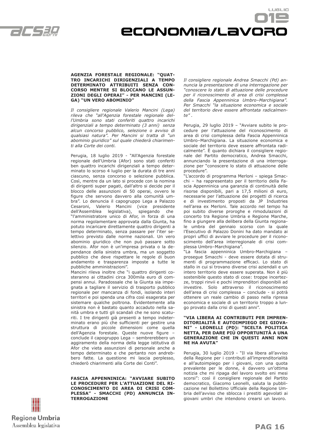

# Economia/lavoro

#### **AGENZIA FORESTALE REGIONALE: "QUAT-TRO INCARICHI DIRIGENZIALI A TEMPO DETERMINATO ATTRIBUITI SENZA CON-CORSO MENTRE SI BLOCCANO LE ASSUN-ZIONI DEGLI OPERAI" - PER MANCINI (LE-GA) "UN VERO ABOMINIO"**

*Il consigliere regionale Valerio Mancini (Lega) rileva che "all'Agenzia forestale regionale dell'Umbria sono stati conferiti quattro incarichi dirigenziali a tempo determinato (3 anni) senza alcun concorso pubblico, selezione o avviso di qualsiasi natura". Per Mancini si tratta di "un abominio giuridico" sul quale chiederà chiarimenti alla Corte dei conti.*

Perugia, 18 luglio 2019 - "All'Agenzia forestale regionale dell'Umbria (Afor) sono stati conferiti ben quattro incarichi dirigenziali a tempo determinato lo scorso 4 luglio per la durata di tre anni ciascuno, senza concorso o selezione pubblica. Così, mentre da un lato si procede con la nomina di dirigenti super pagati, dall'altro si decide per il blocco delle assunzioni di 50 operai, ovvero le figure che servono davvero alla comunità umbra". Lo denuncia il capogruppo Lega a Palazzo Cesaroni, Valerio Mancini (vice presidente dell'Assemblea legislativa), spiegando che "l'amministratore unico di Afor, in forza di una norma regolamentare approvata dalla Giunta, ha potuto incaricare direttamente quattro dirigenti a tempo determinato, senza passare per l'iter selettivo previsto dalle norme nazionali. Un vero abominio giuridico che non può passare sotto silenzio. Afor non è un'impresa privata o la dependance della sinistra umbra, ma un soggetto pubblico che deve rispettare le regole di buon andamento e trasparenza imposte a tutte le pubbliche amministrazioni".

Mancini rileva inoltre che "i quattro dirigenti costeranno ai cittadini circa 300mila euro di compensi annui. Paradossale che la Giunta sia impegnata a tagliare il servizio di trasporto pubblico regionale per mancanza di fondi, isolando interi territori e poi spenda una cifra così esagerata per sistemare qualche poltrona. Evidentemente alla sinistra non è bastato quanto accaduto nella sanità umbra e tutti gli scandali che ne sono scaturiti. I tre dirigenti già presenti a tempo indeterminato erano più che sufficienti per gestire una struttura di piccole dimensioni come quella dell'Agenzia forestale. Queste nuove figure – conclude il capogruppo Lega – sembrerebbero un aggiramento della norma della legge istitutiva di Afor che vieta assunzioni di personale anche a tempo determinato e che pertanto non andrebbero fatte. La questione mi lascia perplesso, chiederò chiarimenti alla Corte dei Conti".

**FASCIA APPENNINICA: "AVVIARE SUBITO LE PROCEDURE PER L'ATTUAZIONE DEL RI-CONOSCIMENTO DI AREA DI CRISI COM-PLESSA" - SMACCHI (PD) ANNUNCIA IN-TERROGAZIONE**



LUSLIO

Perugia, 29 luglio 2019 – "Avviare subito le procedure per l'attuazione del riconoscimento di area di crisi complessa della Fascia Appenninica Umbro–Marchigiana. La situazione economica e sociale del territorio deve essere affrontata radicalmente". È quanto dichiara il consigliere regionale del Partito democratico, Andrea Smacchi, annunciando la presentazione di una interrogazione per "conoscere lo stato di attuazione delle procedure".

"L'accordo di programma Merloni – spiega Smacchi – ha rappresentato per il territorio della Fascia Appenninica una garanzia di continuità delle risorse disponibili, pari a 17,5 milioni di euro, necessarie per l'attuazione dei progetti di ricerca e di investimento proposti da JP Industries nell'area ex Merloni. Tale accordo nel tempo ha poi subito diverse proroghe e rimodulazioni di concerto tra Regione Umbria e Regione Marche, fino a giungere alla delibera della Giunta regionale umbra del gennaio scorso con la quale l'Esecutivo di Palazzo Donini ha dato mandato ai propri uffici di avviare le procedure per il riconoscimento dell'area interregionale di crisi complessa Umbro–Marchigiana".

"La fascia appenninica Umbro-Marchigiana – prosegue Smacchi - deve essere dotata di strumenti di programmazione efficaci. Lo stato di stallo in cui si trovano diverse crisi aziendali e un intero territorio deve essere superata. Non è più sostenibile questo stato di cose: troppe incertezze, troppi rinvii e pochi imprenditori disponibili ad investire. Solo attraverso il riconoscimento dell'area di crisi complessa – conclude - si potrà ottenere un reale cambio di passo nella ripresa economica e sociale di un territorio troppo a lungo provato dalla crisi di questi anni".

#### **"VIA LIBERA AI CONTRIBUTI PER IMPREN-DITORIALITÀ E AUTOIMPIEGO DEI GIOVA-NI" - LEONELLI (PD): "SCELTA POLITICA NETTA, PER DARE PIÙ OPPORTUNITÀ A UNA GENERAZIONE CHE IN QUESTI ANNI NON NE HA AVUTA"**

Perugia, 30 luglio 2019 - "Il via libera all'avviso della Regione per i contributi all'imprenditorialità e all'autoimpiego per i giovani, con una quota prevalente per le donne, è davvero un'ottima notizia che mi ripaga del lavoro svolto eni mesi scorsi": così il consigliere regionale del Partito democratico, Giacomo Leonelli, saluta la pubblicazione nel Bollettino Ufficiale della Regione Umbria dell'avviso che sblocca i prestiti agevolati ai giovani umbri che intendono crearsi un lavoro.

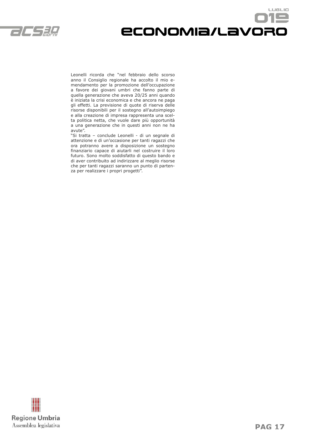

## LUGLIO Economia/lavoro

Leonelli ricorda che "nel febbraio dello scorso anno il Consiglio regionale ha accolto il mio emendamento per la promozione dell'occupazione a favore dei giovani umbri che fanno parte di quella generazione che aveva 20/25 anni quando è iniziata la crisi economica e che ancora ne paga gli effetti. La previsione di quote di riserva delle risorse disponibili per il sostegno all'autoimpiego e alla creazione di impresa rappresenta una scelta politica netta, che vuole dare più opportunità a una generazione che in questi anni non ne ha avute".

"Si tratta – conclude Leonelli - di un segnale di attenzione e di un'occasione per tanti ragazzi che ora potranno avere a disposizione un sostegno finanziario capace di aiutarli nel costruire il loro futuro. Sono molto soddisfatto di questo bando e di aver contribuito ad indirizzare al meglio risorse che per tanti ragazzi saranno un punto di partenza per realizzare i propri progetti".

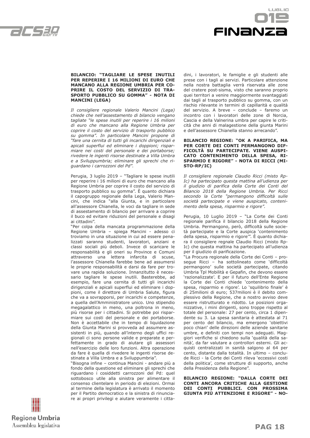



#### **BILANCIO: "TAGLIARE LE SPESE INUTILI PER REPERIRE I 16 MILIONI DI EURO CHE MANCANO ALLA REGIONE UMBRIA PER CO-PRIRE IL COSTO DEL SERVIZIO DI TRA-SPORTO PUBBLICO SU GOMMA" - NOTA DI MANCINI (LEGA)**

*Il consigliere regionale Valerio Mancini (Lega) chiede che nell'assestamento di bilancio vengano tagliate "le spese inutili per reperire i 16 milioni di euro che mancano alla Regione Umbria per coprire il costo del servizio di trasporto pubblico su gomma". In particolare Mancini propone di "fare una cernita di tutti gli incarichi dirigenziali e apicali superflui ed eliminare i doppioni; risparmiare nei costi del personale e dei portaborse; rivedere le ingenti risorse destinate a Villa Umbra e a Sviluppumbria; eliminare gli sprechi che riguardano i carrozzoni del Pd".*

Perugia, 3 luglio 2019 – "Tagliare le spese inutili per reperire i 16 milioni di euro che mancano alla Regione Umbria per coprire il costo del servizio di trasporto pubblico su gomma". È quanto dichiara il capogruppo regionale della Lega, Valerio Mancini, che indica "alla Giunta, e in particolare all'assessore Chianella, le voci da tagliare in sede di assestamento di bilancio per arrivare a coprire il buco ed evitare riduzioni del personale e disagi ai cittadini".

"Per colpa della mancata programmazione della Regione Umbria – spiega Mancini - adesso ci troviamo in una situazione in cui ad essere penalizzati saranno studenti, lavoratori, anziani e classi sociali più deboli. Invece di scaricare le responsabilità e gli oneri su Province e Comuni attraverso una lettera infarcita di scuse, l'assessore Chianella farebbe bene ad assumersi le proprie responsabilità e darsi da fare per trovare una rapida soluzione. Innanzitutto è necessario tagliare le spese inutili. Basterebbe, ad esempio, fare una cernita di tutti gli incarichi dirigenziali e apicali superflui ed eliminare i doppioni, come il direttore di Umbria Salute, figura che va a sovrapporsi, per incarichi e competenze, a quella dell'Amministratore unico. Uno stipendio megagalattico in meno, una poltrona in meno, più risorse per i cittadini. Si potrebbe poi risparmiare sui costi del personale e dei portaborse. Non è accettabile che in tempo di liquidazione della Giunta Marini si provveda ad assumere assistenti in più, quando all'interno degli uffici regionali ci sono persone valide e preparate e perfettamente in grado di aiutare gli assessori nell'esercizio delle loro funzioni. Altra operazione da fare è quella di rivedere le ingenti risorse destinate a Villa Umbra e a Sviluppumbria".

"Bisogna infine – continua Mancini - andare più a fondo della questione ed eliminare gli sprechi che riguardano i cosiddetti carrozzoni del Pd: quel sottobosco utile alla sinistra per alimentare il consenso clientelare in periodo di elezioni. Ormai al termine della legislatura è arrivato il momento per il Partito democratico e la sinistra di rinunciare ai propri privilegi e aiutare veramente i cittadini, i lavoratori, le famiglie e gli studenti alle prese con i tagli ai servizi. Particolare attenzione nella nostra battaglia verrà riservata alle zone del cratere post-sisma, visto che saranno proprio quei territori a venire maggiormente svantaggiati dai tagli al trasporto pubblico su gomma, con un rischio rilevante in termini di capillarità e qualità del servizio. A breve – conclude – faremo un incontro con i lavoratori delle zone di Norcia, Cascia e della Valnerina umbra per capire le criticità che anni di malagestione della giunta Marini e dell'assessore Chianella stanno arrecando".

#### **BILANCIO REGIONE: "OK A PARIFICA, MA PER CORTE DEI CONTI PERMANGONO DIF-FICOLTÀ SU PARTECIPATE. VIENE AUSPI-CATO CONTENIMENTO DELLA SPESA, RI-SPARMIO E RIGORE" - NOTA DI RICCI (MI-STO-RP/IC)**

*Il consigliere regionale Claudio Ricci (misto Rp-Ic) ha partecipato questa mattina all'udienza per il giudizio di parifica della Corte dei Conti del Bilancio 2018 della Regione Umbria. Per Ricci secondo la Corte "permangono difficoltà sulle società partecipate e viene auspicato, contenimento della spesa, risparmio e rigore".*

Perugia, 10 Luglio 2019 – "La Corte dei Conti regionale parifica il bilancio 2018 della Regione Umbria. Permangono, però, difficoltà sulle società partecipate e la Corte auspica 'contenimento della spesa, risparmio e rigore'". È quanto dichiara il consigliere regnale Claudio Ricci (misto Rp-Ic) che questa mattina ha partecipato all'udienza per il giudizio di parificazione.

"La Procura regionale della Corte dei Conti – prosegue Ricci – ha sottolineato come 'difficoltà permangono' sulle società partecipate, citando Umbria Tpl Mobilità e Gepafin, che devono essere 'razionalizzate'. E per il futuro dell'Ente Regione la Corte dei Conti chiede 'contenimento della spesa, risparmio e rigore'. Lo 'squilibrio finale' è di 25milioni di euro; 537milioni è il debito complessivo della Regione, che a nostro avviso deve essere ristrutturato e ridotto. Le posizioni organizzative, i mini dirigenti, sono troppe rispetto al totale del personale: 27 per cento, circa 1 dipendente su 3. La spesa sanitaria è attestata al 71 per cento del bilancio, ma emergono 'obiettivi poco chiari' delle direzioni delle aziende sanitarie umbre, e definiti con tempi non adeguati. Maggiori verifiche si chiedono sulla 'qualità della sanità', da far valutare a controllori esterni. Gli acquisti centralizzati in sanità salgono al 64 per cento, distante dalla totalità. In ultimo – conclude Ricci - la Corte dei Conti rileva 'eccessivi costi della politica', come strutture di supporto, anche della Presidenza della Regione".

**BILANCIO REGIONE: "DALLA CORTE DEI CONTI ANCORA CRITICHE ALLA GESTIONE DEI CONTI PUBBLICI. CON PROSSIMA GIUNTA PIÙ ATTENZIONE E RIGORE" - NO-**

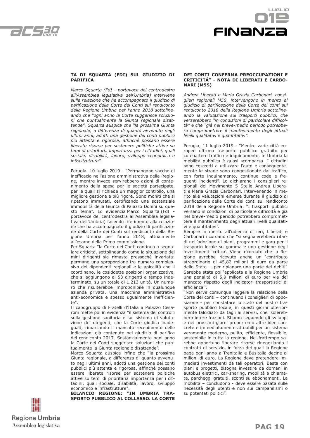



#### **TA DI SQUARTA (FDI) SUL GIUDIZIO DI PARIFICA**

*Marco Squarta (FdI - portavoce del centrodestra all'Assemblea legislativa dell'Umbria) interviene sulla relazione che ha accompagnato il giudizio di parificazione della Corte dei Conti sul rendiconto della Regione Umbria per l'anno 2018 sottolineando che "ogni anno la Corte suggerisce soluzioni che puntualmente la Giunta regionale disattende". Squarta auspica che "la prossima Giunta regionale, a differenza di quanto avvenuto negli ultimi anni, adotti una gestione dei conti pubblici più attenta e rigorosa, affinché possano essere liberate risorse per sostenere politiche attive su temi di prioritaria importanza per i cittadini, quali sociale, disabilità, lavoro, sviluppo economico e infrastrutture".*

Perugia, 10 luglio 2019 - "Permangono sacche di inefficacia nell'azione amministrativa della Regione, mentre invece servirebbero azioni di contenimento della spesa per le società partecipate, per le quali si richiede un maggior controllo, una migliore gestione e più rigore. Sono moniti che si ripetono immutati, certificando una sostanziale immobilità della Giunta di Palazzo Donini su questo tema". Lo evidenzia Marco Squarta (FdI portavoce del centrodestra all'Assemblea legislativa dell'Umbria) facendo riferimento alla relazione che ha accompagnato il giudizio di parificazione della Corte dei Conti sul rendiconto della Regione Umbria per l'anno 2018, attualmente all'esame della Prima commissione.

Per Squarta "la Corte dei Conti continua a segnalare criticità, sottolineando come la situazione dei mini dirigenti sia rimasta pressoché invariata: permane una sproporzione tra numero complessivo dei dipendenti regionali e le apicalità che li coordinano, le cosiddette posizioni organizzative, che si aggiungono ai 53 dirigenti a tempo indeterminato, su un totale di 1.213 unità. Un numero che risulterebbe improponibile in qualunque azienda privata. Una macchina amministrativa anti-economica e spesso ugualmente inefficiente".

Il capogruppo di Fratelli d'Italia a Palazzo Cesaroni mette poi in evidenza "il sistema dei controlli sulla gestione sanitaria e sul sistema di valutazione dei dirigenti, che la Corte giudica inadeguati, rimarcando il mancato recepimento delle indicazioni già contenute nel giudizio di parifica del rendiconto 2017. Sostanzialmente ogni anno la Corte dei Conti suggerisce soluzioni che puntualmente la Giunta regionale disattende".

Marco Squarta auspica infine che "la prossima Giunta regionale, a differenza di quanto avvenuto negli ultimi anni, adotti una gestione dei conti pubblici più attenta e rigorosa, affinché possano essere liberate risorse per sostenere politiche attive su temi di prioritaria importanza per i cittadini, quali sociale, disabilità, lavoro, sviluppo economico e infrastrutture".

**BILANCIO REGIONE: "IN UMBRIA TRA-SPORTO PUBBLICO AL COLLASSO. LA CORTE** 

#### **DEI CONTI CONFERMA PREOCCUPAZIONI E CRITICITÁ" - NOTA DI LIBERATI E CARBO-NARI (M5S)**

*Andrea Liberati e Maria Grazia Carbonari, consiglieri regionali M5S, intervengono in merito al giudizio di parificazione della Corte dei conti sul rendiconto 2018 della Regione Umbria sottolineando la valutazione sui trasporti pubblici, che verserebbero "in condizioni di particolare difficoltà" e che "già nel breve-medio periodo potrebbero compromettere il mantenimento degli attuali livelli qualitativi e quantitativi".*

Perugia, 11 luglio 2019 - "Mentre varie città europee offrono trasporto pubblico gratuito per combattere traffico e inquinamento, in Umbria la mobilità pubblica è quasi scomparsa. I cittadini sono costretti a utilizzare l'auto e conseguentemente le strade sono congestionate dal traffico, con forte inquinamento, continue code e frequenti incidenti". Lo dichiarano i consiglieri regionali del Movimento 5 Stelle, Andrea Liberati e Maria Grazia Carbonari, intervenendo in merito alle valutazioni emerse durante il giudizio di parificazione della Corte dei conti sul rendiconto 2018 della Regione Umbria: "I trasporti pubblici versano in condizioni di particolare difficoltà e già nel breve-medio periodo potrebbero compromettere il mantenimento degli attuali livelli qualitativi e quantitativi".

Sempre in merito all'udienza di ieri, Liberati e Carbonari ricordano che "si segnalerebbero ritardi nell'adozione di piani, programmi e gara per il trasporto locale su gomma e una gestione degli investimenti 'critica'. Viene ricordato che la Regione avrebbe ricevuto anche un 'contributo straordinario di 45,82 milioni di euro da parte dello Stato … per ripianare una parte dei debiti'. Sarebbe stata poi 'applicata alla Regione Umbria una penalità di 5,9 milioni di euro per via del mancato rispetto degli indicatori trasportistici di efficienza'".

"Non serve comunque leggere la relazione della Corte dei conti – continuano i consiglieri di opposizione - per constatare lo stato del nostro trasporto pubblico locale, in questi giorni ulteriormente falcidiato da tagli ai servizi, che isolerebbero intere frazioni. Stiamo seguendo gli sviluppi e nei prossimi giorni proporremo altre idee concrete e immediatamente attuabili per un sistema veramente moderno, pulito, efficiente, flessibile, sostenibile in tutta la regione. Nel frattempo sarebbe opportuno liberare risorse rinegoziando i contratti di servizio, in forza dei quali la Regione paga ogni anno a Trenitalia e Busitalia decine di milioni di euro. La Regione deve pretendere immediati investimenti da tali operatori. Basta con piani e progetti, bisogna investire da domani in autobus elettrici, car-sharing, mobilità a chiamata, parcheggi gratuiti, sconti su abbonamenti. La mobilità – concludono - deve essere basata sulle necessità degli utenti e non sui campanilismi o su potentati politici".

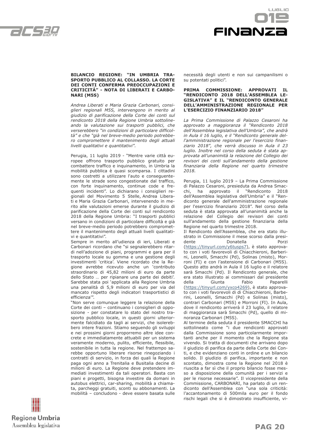



#### **BILANCIO REGIONE: "IN UMBRIA TRA-SPORTO PUBBLICO AL COLLASSO. LA CORTE DEI CONTI CONFERMA PREOCCUPAZIONI E CRITICITÁ" - NOTA DI LIBERATI E CARBO-NARI (M5S)**

*Andrea Liberati e Maria Grazia Carbonari, consiglieri regionali M5S, intervengono in merito al giudizio di parificazione della Corte dei conti sul rendiconto 2018 della Regione Umbria sottolineando la valutazione sui trasporti pubblici, che verserebbero "in condizioni di particolare difficoltà" e che "già nel breve-medio periodo potrebbero compromettere il mantenimento degli attuali livelli qualitativi e quantitativi".*

Perugia, 11 luglio 2019 - "Mentre varie città europee offrono trasporto pubblico gratuito per combattere traffico e inquinamento, in Umbria la mobilità pubblica è quasi scomparsa. I cittadini sono costretti a utilizzare l'auto e conseguentemente le strade sono congestionate dal traffico, con forte inquinamento, continue code e frequenti incidenti". Lo dichiarano i consiglieri regionali del Movimento 5 Stelle, Andrea Liberati e Maria Grazia Carbonari, intervenendo in merito alle valutazioni emerse durante il giudizio di parificazione della Corte dei conti sul rendiconto 2018 della Regione Umbria: "I trasporti pubblici versano in condizioni di particolare difficoltà e già nel breve-medio periodo potrebbero compromettere il mantenimento degli attuali livelli qualitativi e quantitativi".

Sempre in merito all'udienza di ieri, Liberati e Carbonari ricordano che "si segnalerebbero ritardi nell'adozione di piani, programmi e gara per il trasporto locale su gomma e una gestione degli investimenti 'critica'. Viene ricordato che la Regione avrebbe ricevuto anche un 'contributo straordinario di 45,82 milioni di euro da parte dello Stato … per ripianare una parte dei debiti'. Sarebbe stata poi 'applicata alla Regione Umbria una penalità di 5,9 milioni di euro per via del mancato rispetto degli indicatori trasportistici di efficienza'".

"Non serve comunque leggere la relazione della Corte dei conti – continuano i consiglieri di opposizione - per constatare lo stato del nostro trasporto pubblico locale, in questi giorni ulteriormente falcidiato da tagli ai servizi, che isolerebbero intere frazioni. Stiamo seguendo gli sviluppi e nei prossimi giorni proporremo altre idee concrete e immediatamente attuabili per un sistema veramente moderno, pulito, efficiente, flessibile, sostenibile in tutta la regione. Nel frattempo sarebbe opportuno liberare risorse rinegoziando i contratti di servizio, in forza dei quali la Regione paga ogni anno a Trenitalia e Busitalia decine di milioni di euro. La Regione deve pretendere immediati investimenti da tali operatori. Basta con piani e progetti, bisogna investire da domani in autobus elettrici, car-sharing, mobilità a chiamata, parcheggi gratuiti, sconti su abbonamenti. La mobilità – concludono - deve essere basata sulle necessità degli utenti e non sui campanilismi o su potentati politici".

#### **PRIMA COMMISSIONE: APPROVATI IL "RENDICONTO 2018 DELL'ASSEMBLEA LE-GISLATIVA" E IL "RENDICONTO GENERALE DELL'AMMINISTRAZIONE REGIONALE PER L'ESERCIZIO FINANZIARIO 2018"**

*La Prima Commissione di Palazzo Cesaroni ha approvato a maggioranza il "Rendiconto 2018 dell'Assemblea legislativa dell'Umbria", che andrà in Aula il 16 luglio, e il "Rendiconto generale dell'amministrazione regionale per l'esercizio finanziario 2018", che verrà discusso in Aula il 23 luglio. Inoltre nel corso della seduta è stata approvata all'unanimità la relazione del Collegio dei revisori dei conti sull'andamento della gestione finanziaria della Regione nel quarto trimestre 2018.*

Perugia, 11 luglio 2019 – La Prima Commissione di Palazzo Cesaroni, presieduta da Andrea Smac-<br>chi, ha approvato il "Rendiconto 2018 chi, ha approvato il "Rendiconto 2018 dell'Assemblea legislativa dell'Umbria" e il "Rendiconto generale dell'amministrazione regionale per l'esercizio finanziario 2018". Nel corso della seduta è stata approvata all'unanimità anche la relazione del Collegio dei revisori dei conti sull'andamento della gestione finanziaria della Regione nel quarto trimestre 2018.

Il Rendiconto dell'Assemblea, che era stato illustrato in Commissione il mese scorso dalla presidente Donatella Porzi (https://tinyurl.com/y6tusps7), è stato approvato con i voti favorevoli di Chiacchieroni, Barberini, Leonelli, Smacchi (Pd), Solinas (misto), Morroni (FI) e con l'astensione di Carbonari (M5S). Questo atto andrà in Aula il 16 luglio e il relatore sarà Smacchi (Pd). Il Rendiconto generale, che era stato illustrato ai commissari dal presidente della Giunta Fabio Paparelli (https://tinyurl.com/yxco4269), è stato approvato con i voti favorevoli di di Chiacchieroni, Barberini, Leonelli, Smacchi (Pd) e Solinas (misto), contrari Carbonari (M5S) e Morroni (FI). In Aula, dove il rendiconto arriverà il 23 luglio, il relatore di maggioranza sarà Smacchi (Pd), quello di minoranza Carbonari (M5S).

Al termine della seduta il presidente SMACCHI ha sottolineato come "i due rendiconti approvati dalla Commissione sono particolarmente importanti anche per il momento che la Regione sta vivendo. Si tratta di documenti che arrivano dopo il giudizio di parifica da parte della Corte dei Conti, e che evidenziano conti in ordine e un bilancio solido. Il giudizio di parifica, importante e non scontato, dimostra come la Regione nel 2018 è riuscita a far sì che il proprio bilancio fosse messo a disposizione della comunità per i servizi e per le risorse necessarie". Il vicepresidente della Commissione, CARBONARI, ha parlato di un rendiconto dell'Assemblea con "una sola criticità: l'accantonamento di 500mila euro per il fondo rischi legali che si è dimostrato insufficiente, vi-

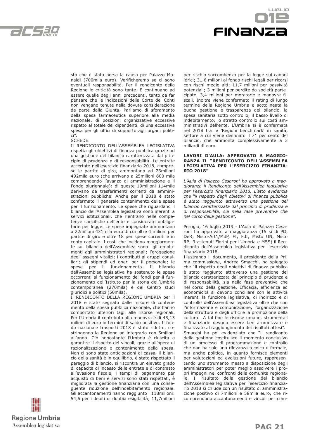

LIGL IO FINANZI

sto che è stata persa la causa per Palazzo Monaldi (700mila euro). Verificheremo se ci sono eventuali responsabilità. Per il rendiconto della Regione le criticità sono tante. E continuano ad essere quelle degli anni precedenti, tanto da far pensare che le indicazioni della Corte dei Conti non vengano tenute nella dovuta considerazione da parte dalla Giunta. Parliamo di sforamento della spesa farmaceutica superiore alla media nazionale, di posizioni organizzative eccessive rispetto al totale dei dipendenti, di una eccessiva spesa per gli uffici di supporto agli organi politici".

#### **SCHEDE**

Il RENDICONTO DELL'ASSEMBLEA LEGISLATIVA rispetta gli obiettivi di finanza pubblica grazie ad una gestione del bilancio caratterizzata dal principio di prudenza e di responsabilità. Le entrate accertate nell'esercizio finanziario 2018, comprese le partite di giro, ammontano ad 23milioni 492mila euro (che arrivano a 25milioni 600 mila comprendendo l'avanzo di amministrazione e il Fondo pluriennale): di queste 19milioni 114mila derivano da trasferimenti correnti da amministrazioni pubbliche. Anche per il 2018 è stato confermato il generale contenimento delle spese per il funzionamento. Le spese che riguardano il bilancio dell'Assemblea legislativa sono inerenti a servizi istituzionali, che rientrano nelle competenze specifiche dell'ente e considerate obbligatorie per legge. Le spese impegnate ammontano a 22milioni 431mila euro di cui oltre 4 milioni per partite di giro e oltre 18 per spese correnti e in conto capitale. I costi che incidono maggiormente sul bilancio dell'Assemblea sono: gli emolumenti agli amministratori regionali; l'erogazione degli assegni vitalizi; i contributi ai gruppi consiliari; gli stipendi ed oneri per il personale; le spese per il funzionamento. Il bilancio dell'Assemblea legislativa ha sostenuto le spese occorrenti al funzionamento dei fondi per il funzionamento dell'Istituto per la storia dell'Umbria contemporanea (270mila) e del Centro studi giuridici e politici (50mila).

Il RENDICONTO DELLA REGIONE UMBRIA per il 2018 è stato segnato dalle misure di contenimento della spesa pubblica nazionale, che hanno comportato ulteriori tagli alle risorse regionali. Per l'Umbria il contributo alla manovra è di 45,13 milioni di euro in termini di saldo positivo. Il fondo nazionale trasporti 2018 è stato ridotto, costringendo la Regione ad integrarlo con 5milioni all'anno. Ciò nonostante l'Umbria è riuscita a garantire il rispetto dei vincoli, grazie all'opera di razionalizzazione e contenimento della spesa. Non ci sono state anticipazioni di cassa, il bilancio della sanità è in equilibrio, è stato rispettato il pareggio di bilancio, si riscontra un elevato grado di capacità di incasso delle entrate e di contrasto all'evasione fiscale, i tempi di pagamento per acquisto di beni e servizi sono stati rispettati, è migliorata la gestione finanziaria con una conseguente riduzione dell'indebitamento regionale. Gli accantonamenti hanno raggiunto i 118milioni: 54,5 per i debiti di dubbia esigibilità; 11,7milioni per rischio soccombenza per la legge sui canoni idrici; 31,6 milioni al fondo rischi legali per ricorsi con rischi medio alti; 11,7 milioni per passività potenziali; 3 milioni per perdite da società partecipate, 3,4 milioni per moratorie e manovre fiscali. Inoltre viene confermato il rating di lungo termine della Regione Umbria e sottolineata la buona gestione e trasparenza del bilancio, la spesa sanitaria sotto controllo, il basso livello di indebitamento, lo stretto controllo sui costi amministrativi dell'ente. L'Umbria si è confermata nel 2018 tra le 'Regioni benchmark' in sanità, settore a cui viene destinato il 71 per cento del bilancio, che ammonta complessivamente a 3 miliardi di euro.

#### **LAVORI D'AULA: APPROVATO A MAGGIO-RANZA IL "RENDICONTO DELL'ASSEMBLEA LEGISLATIVA PER L'ESERCIZIO FINANZIA-RIO 2018"**

*L'Aula di Palazzo Cesaroni ha approvato a maggioranza il Rendiconto dell'Assemblea legislativa per l'esercizio finanziario 2018. L'atto evidenzia che "il rispetto degli obiettivi di finanza pubblica è stato raggiunto attraverso una gestione del bilancio caratterizzata dal principio di prudenza e di responsabilità, sia nella fase preventiva che nel corso della gestione".*

Perugia, 16 luglio 2019 - L'Aula di Palazzo Cesaroni ha approvato a maggioranza (15 sì di PD, DeR, Misto-Art1/MdP, FI, FdI, Misto UN, Misto RP; 3 astenuti Fiorini per l'Umbria e M5S) il Rendiconto dell'Assemblea legislativa per l'esercizio finanziario 2018.

Illustrando il documento, il presidente della Prima commissione, Andrea Smacchi, ha spiegato che "il rispetto degli obiettivi di finanza pubblica è stato raggiunto attraverso una gestione del bilancio caratterizzata dal principio di prudenza e di responsabilità, sia nella fase preventiva che nel corso della gestione. Efficacia, efficienza ed economicità si devono conciliare con le attività inerenti la funzione legislativa, di indirizzo e di controllo dell'Assemblea legislativa oltre che con l'informazione e comunicazione, l'organizzazione della struttura e degli uffici e la promozione della cultura. A tal fine le risorse umane, strumentali e finanziarie devono essere ben armonizzate e finalizzate al raggiungimento dei risultati attesi". Smacchi ha poi evidenziato che "il rendiconto della gestione costituisce il momento conclusivo di un processo di programmazione e controllo che non ha solo una rilevanza tecnica e formale, ma anche politica, in quanto fornisce elementi per valutazioni ed evoluzioni future, rappresentando uno strumento messo a disposizione degli amministratori per poter meglio assolvere i propri impegni nei confronti della comunità regionale. Il risultato della gestione del bilancio dell'Assemblea legislativa per l'esercizio finanziario 2018 si chiude con un risultato di amministrazione positivo di 7milioni e 58mila euro, che ricomprendono accantonamenti e vincoli per com-

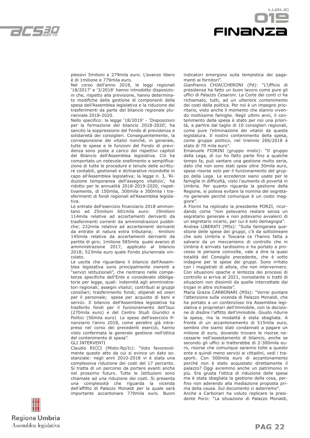



plessivi 5milioni e 279mila euro. L'avanzo libero è di 1milione e 779mila euro.

Nel corso dell'anno 2018, le leggi regionali '18/2017' e '3/2018' hanno introdotto disposizioni che, rispetto alla previsione, hanno determinato modifiche della gestione di componenti della spesa dell'Assemblea legislativa e la riduzione dei trasferimenti da parte del bilancio regionale pluriennale 2018-2020.

Nello specifico: la legge '18/2019' - 'Disposizioni per la formazione del bilancio 2018-2020', ha sancito la soppressione del Fondo di previdenza e solidarietà dei consiglieri. Conseguentemente, la corresponsione dei vitalizi nonché, in generale, tutte le spese e le funzioni del Fondo di previdenza sono poste a carico dei rispettivi capitoli del Bilancio dell'Assemblea legislativa. Ciò ha comportato un notevole snellimento e semplificazione di tutte le procedure e tenute delle scritture contabili, gestionali e dichiarative ricondotte in capo all'Assemblea legislativa; la legge n. 3, 'Riduzione temporanea dell'assegno vitalizio', ha ridotto per le annualità 2018-2019-2020, rispettivamente, di 150mila, 300mila e 300mila i trasferimenti di fondi regionali all'Assemblea legislativa.

Le entrate dell'esercizio finanziario 2018 ammontano ad 25milioni 601mila euro: 19milioni 114mila relative ad accertamenti derivanti da trasferimenti correnti da amministrazioni pubbliche; 232mila relative ad accertamenti derivanti da entrate di natura extra tributaria; 4milioni 145mila relative da accertamenti derivanti da partite di giro; 1milione 585mila quale avanzo di amministrazione 2017, applicato al bilancio 2018; 523mila euro quale Fondo pluriennale vincolato.

Le uscite che riguardano il bilancio dell'Assemblea legislativa sono principalmente inerenti a "servizi istituzionali", che rientrano nelle competenze specifiche dell'Ente e considerate obbligatorie per legge, quali: indennità agli amministratori regionali; assegni vitalizi; contributi ai gruppi consiliari; trasferimento fondi; stipendi ed oneri per il personale; spese per acquisto di beni e servizi. Il bilancio dell'Assemblea legislativa ha trasferito fondi per il funzionamento dell'Isuc (270mila euro) e del Centro Studi Giuridici e Politici (50mila euro) Le spese dell'esercizio finanziario l'anno 2018, come peraltro già intrapreso nel corso dei precedenti esercizi, hanno visto confermata la generale gestione nell'ottica del contenimento di spesa".

GLI INTERVENTI

Claudio RICCI (Misto-Rp/Ic): "Voto favorevolmente questo atto da cui si evince un dato sostanziale: negli anni 2010-2018 vi è stata una complessiva riduzione dei costi del 17 percento. Si tratta di un percorso da portare avanti anche nel prossimo futuro. Tutte le Istituzioni sono chiamate ad una riduzione dei costi. Si presenta una complessità che riguarda la vicenda dell'affitto di Palazzo Monaldi per la quale sarà importante accantonare 770mila euro. Buoni indicatori emergono sulla tempistica dei pagamenti ai fornitori".

Gianfranco CHIACCHERONI (Pd): "L'Ufficio di presidenza ha fatto un buon lavoro come pure gli uffici di Palazzo Cesaroni. La Corte dei conti ci ha richiamato, tutti, ad un ulteriore contenimento dei costi della politica. Per noi è un impegno prioritario, visto anche il momento che stanno vivendo moltissime famiglie. Negli ultimi anni, il contenimento della spesa è stato per noi una priorità, a partire dal taglio di 10 consiglieri regionali, come pure l'eliminazione dei vitalizi da questa legislatura. Il nostro contenimento della spesa, come gruppo politico, nel triennio 206/2018 è stato di 70 mila euro".

Emanuele FIORINI (gruppo misto): "Il gruppo della Lega, di cui ho fatto parte fino a qualche tempo fa, può vantare una gestione molto seria, dato che non sono stati spesi oltre 30mila euro, spese risorse solo per il funzionamento del gruppo della Lega. Le eccedenze siano usate per le famiglie in difficoltà, visto l'aumento di povertà in Umbria. Per quanto riguarda la gestione della Regione, si poteva evitare la nomina del segretario generale perché comunque è un costo maggiore".

A Fiorini ha replicato la presidente PORZI, ricordando come "non potevamo restare senza un segretario generale e non potevamo avvalerci di un segretario vicario, per cui è solo demagogia".

Andrea LIBERATI (M5s): "Sulla famigerata questione delle spese dei gruppi, c'è da sottolineare che solo Umbria e Toscana ce l'hanno fatta a salvarsi da un meccanismo di controllo che in Umbria è arrivato tardissimo e ha portato a processo le persone coinvolte, vale a dire la quasi totalità del Consiglio precedente, che è sotto indagine per le spese dei gruppi. Sono irritato con i magistrati di allora, che non intervennero. Con situazioni opache e lentezza dei processi di controllo si arriva al 2021, nonostante si tratti di situazioni non dissimili da quelle intercettate dai trojan in altre inchieste".

Maria Grazia CARBONARI (M5s): "Vorrei puntare l'attenzione sulla vicenda di Palazzo Monaldi, che ha portato a un contenzioso tra Assemblea legislativa e proprietari dell'immobile, con la decisione di disdire l'affitto dell'immobile. Giusto ridurre la spesa, ma la modalità è stata sbagliata. A fronte di un accantonamento di 515mila euro, sembra che siamo stati condannati a pagare un milione di euro, dovendo trovare le risorse necessarie nell'assestamento di bilancio, anche se secondo gli uffici si tratterebbe di 2-300mila euro, risorse che comunque saranno tolte a questo ente e quindi meno servizi ai cittadini, vedi i trasporti. Con 500mila euro di accantonamento perché non è stato acquistato direttamente il palazzo? Oggi avremmo anche un patrimonio in più. Era giusta l'ottica di riduzione delle spese ma è stata sbagliata la gestione della cosa, perfino non aderendo alla mediazione proposta prima della causa. Sul documento ci asterremo". Anche a Carbonari ha voluto replicare la presidente Porzi: "La situazione di Palazzo Monaldi,

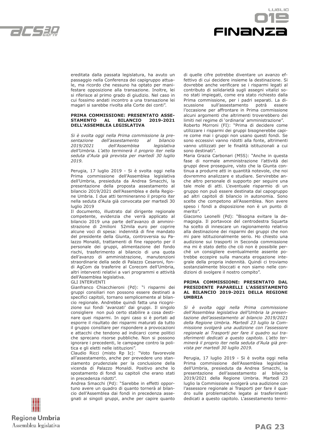



ereditata dalla passata legislatura, ha avuto un passaggio nella Conferenza dei capigruppo attuale, ma ricordo che nessuno ha optato per manifestare opposizione alla transazione. Inoltre, lei si riferisce al primo grado di giudizio. Nel caso in cui fossimo andati incontro a una transazione lei magari si sarebbe rivolta alla Corte dei conti".

#### **PRIMA COMMISSIONE: PRESENTATO ASSE-STAMENTO AL BILANCIO 2019-2021 DELL'ASSEMBLEA LEGISLATIVA**

*Si è svolta oggi nella Prima commissione la presentazione dell'assestamento al bilancio 2019/2021 dell'Assemblea legislativa dell'Umbria. L'atto terminerà il proprio iter nella seduta d'Aula già prevista per martedì 30 luglio 2019.*

Perugia, 17 luglio 2019 - Si è svolta oggi nella Prima commissione dell'Assemblea legislativa dell'Umbria, presieduta da Andrea Smacchi, la presentazione della proposta assestamento al bilancio 2019/2021 dell'Assemblea e della Regione Umbria. I due atti termineranno il proprio iter nella seduta d'Aula già convocata per martedì 30 luglio 2019

Il documento, illustrato dal dirigente regionale competente, evidenzia che verrà applicato al bilancio 2019 una parte dell'avanzo di amministrazione di 2milioni 52mila euro per coprire alcune voci di spesa: indennità di fine mandato del presidente della Giunta, controversia su Palazzo Monaldi, trattamenti di fine rapporto per il personale dei gruppi, alimentazione del fondo rischi, trasferimento al bilancio di una quota dell'avanzo di amministrazione, manutenzioni straordinarie della sede di Palazzo Cesaroni, fondi AgCom da trasferire al Corecom dell'Umbria, altri interventi relativi a vari programmi e attività dell'Assemblea legislativa.

GLI INTERVENTI

Gianfranco Chiacchieroni (Pd): "i risparmi dei gruppi consiliari non possono essere destinati a specifici capitoli, tornano semplicemente al bilancio regionale. Andrebbe quindi fatta una ricognizione sui fondi 'avanzati' dai gruppi. Il singolo consigliere non può certo stabilire a cosa destinare quei risparmi. In ogni caso si è portati ad esporre il risultato dei risparmi maturati da tutto il gruppo consiliare per rispondere a provocazioni e attacchi che tendono ad indicarci come politici che sprecano risorse pubbliche. Non si possono ignorare i precedenti, le campagne contro la politica e gli eletti nelle istituzioni".

Claudio Ricci (misto Rp Ic): "Voto favorevole all'assestamento, anche per prevedere uno stanziamento prudenziale per la conclusione della vicenda di Palazzo Monaldi. Positivo anche lo spostamento di fondi su capitoli che erano stati in precedenza ridotti".

Andrea Smacchi (Pd): "Sarebbe in effetti opportuno avere un quadro di quanto tornerà al bilancio dell'Assemblea dai fondi in precedenza assegnati ai singoli gruppi, anche per capire quanto di quelle cifre potrebbe diventare un avanzo effettivo di cui decidere insieme la destinazione. Si dovrebbe anche verificare se i risparmi legati al contributo di solidarietà sugli assegni vitalizi sono stati impiegati, come era stato richiesto dalla Prima commissione, per i padri separati. La discussione sull'assestamento potrà essere l'occasione per affrontare in Prima commissione alcuni argomenti che altrimenti troverebbero dei limiti nel regime di 'ordinaria' amministrazione".

Roberto Morroni (FI): "Prima di decidere come utilizzare i risparmi dei gruppi bisognerebbe capire come mai i gruppi non usano questi fondi. Se sono eccessivi vanno ridotti alla fonte, altrimenti vanno utilizzati per le finalità istituzionali a cui sono destinati".

Maria Grazia Carbonari (M5S): "Anche in questa fase di normale amministrazione l'attività dei gruppi deve proseguire, visto che la Giunta continua a produrre atti in quantità notevole, che noi dovremmo analizzare e studiare. Servirebbe anche altro personale di supporto per seguire una tale mole di atti. L'eventuale risparmio di un gruppo non può essere destinata dal capogruppo ad altri capitoli di bilancio in autonomia. Sono scelte che competono all'Assemblea. Non avere speso i fondi a disposizione non è un punto di merito".

Giacomo Leonelli (Pd): "Bisogna evitare la demagogia. Il portavoce del centrodestra Squarta ha scelto di innescare un ragionamento relativo alla destinazione dei risparmi dei gruppi che non mi pare istituzionalmente serio. Ho chiesto una audizione sui trasporti in Seconda commissione ma mi è stato detto che ciò non è possibile perché un consigliere eventualmente assente potrebbe eccepire sulla mancata erogazione integrale della propria indennità. Quindi ci troviamo sostanzialmente bloccati e non siamo nelle condizioni di svolgere il nostro compito".

#### **PRIMA COMMISSIONE: PRESENTATO DAL PRESIDENTE PAPARELLI L'ASSESTAMENTO AL BILANCIO 2019-2021 DELLA REGIONE UMBRIA**

*Si è svolta oggi nella Prima commissione dell'Assemblea legislativa dell'Umbria la presentazione dell'assestamento al bilancio 2019/2021 della Regione Umbria. Martedì 23 luglio la Commissione svolgerà una audizione con l'assessore regionale ai Trasporti per fare il quadro sui trasferimenti dedicati a questo capitolo. L'atto terminerà il proprio iter nella seduta d'Aula già prevista per martedì 30 luglio 2019.*

Perugia, 17 luglio 2019 - Si è svolta oggi nella Prima commissione dell'Assemblea legislativa dell'Umbria, presieduta da Andrea Smacchi, la presentazione dell'assestamento al bilancio 2019/2021 della Regione Umbria. Martedì 23 luglio la Commissione svolgerà una audizione con l'assessore regionale ai Trasporti per fare il quadro sulle problematiche legate ai trasferimenti dedicati a questo capitolo. L'assestamento termi-

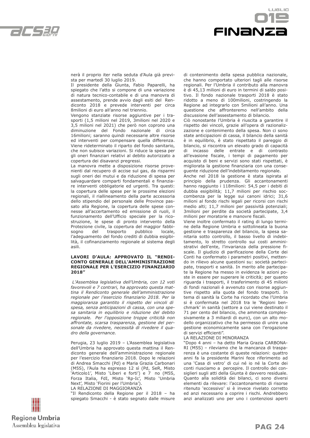



nerà il proprio iter nella seduta d'Aula già prevista per martedì 30 luglio 2019.

Il presidente della Giunta, Fabio Paparelli, ha spiegato che l'atto si compone di una variazione di natura tecnico-contabile e di una manovra di assestamento, prende avvio dagli esiti del Rendiconto 2018 e prevede interventi per circa 8milioni di euro all'anno nel triennio.

Vengono stanziate risorse aggiuntive per i trasporti (1,5 milioni nel 2019, 3milioni nel 2020 e 3,5 milioni nel 2021) che però non coprono una diminuzione del Fondo nazionale di circa 16milioni; saranno quindi necessarie altre risorse ed interventi per compensare quella differenza. Viene rideterminato il riparto del fondo sanitario, che non subisce variazioni. Si riduce la spesa per gli oneri finanziari relativi al debito autorizzato a copertura dei disavanzi pregressi.

La manovra mette a disposizione risorse provenienti dal recupero di accise sul gas, da risparmi sugli oneri dei mutui e da riduzione di spesa per salvaguardare comparti fondamentali e finanziare interventi obbligatorie ed urgenti. Tra questi: la copertura delle spese per le prossime elezioni regionali, il riallineamento della parte accessoria dello stipendio del personale delle Province passato alla Regione, la copertura delle spese connesse all'accertamento ed emissione di ruoli, il funzionamento dell'Ufficio speciale per la ricostruzione, le spese di pronto intervento della Protezione civile, la copertura del maggior fabbisogno del trasporto pubblico locale, l'adeguamento del fondo crediti di dubbia esigibilità, il cofinanziamento regionale al sistema degli asili.

#### **LAVORI D'AULA: APPROVATO IL "RENDI-CONTO GENERALE DELL'AMMINISTRAZIONE REGIONALE PER L'ESERCIZIO FINANZIARIO 2018"**

 *L'Assemblea legislativa dell'Umbria, con 12 voti favorevoli e 7 contrari, ha approvato questa mattina il Rendiconto generale dell'amministrazione regionale per l'esercizio finanziario 2018. Per la maggioranza garantito il rispetto dei vincoli di spesa, senza anticipazioni di cassa, con una spesa sanitaria in equilibrio e riduzione del debito regionale. Per l'opposizione troppe criticità non affrontate, scarsa trasparenza, gestione del personale da rivedere, necessità di rivedere il quadro della governance.* 

Perugia, 23 luglio 2019 – L'Assemblea legislativa dell'Umbria ha approvato questa mattina il Rendiconto generale dell'amministrazione regionale per l'esercizio finanziario 2018. Dopo le relazioni di Andrea Smacchi (Pd) e Maria Grazia Carbonari (M5S), l'Aula ha espresso 12 sì (Pd, SeR, Misto 'Articolo1', Misto 'Liberi e forti') e 7 no (M5S, Forza Italia, FdI, Misto 'Rp-Ic', Misto 'Umbria Next', Misto 'Fiorini per l'Umbria').

LA RELAZIONE DI MAGGIORANZA

"Il Rendiconto della Regione per il 2018 – ha spiegato Smacchi - è stato segnato dalle misure di contenimento della spesa pubblica nazionale, che hanno comportato ulteriori tagli alle risorse regionali. Per l'Umbria il contributo alla manovra è di 45,13 milioni di euro in termini di saldo positivo. Il fondo nazionale trasporti 2018 è stato ridotto a meno di 100milioni, costringendo la Regione ad integrarlo con 5milioni all'anno. Una questione che affronteremo nell'ambito della discussione dell'assestamento di bilancio.

Ciò nonostante l'Umbria è riuscita a garantire il rispetto dei vincoli, grazie all'opera di razionalizzazione e contenimento della spesa. Non ci sono state anticipazioni di cassa, il bilancio della sanità è in equilibrio, è stato rispettato il pareggio di bilancio, si riscontra un elevato grado di capacità di incasso delle entrate e di contrasto all'evasione fiscale, i tempi di pagamento per acquisto di beni e servizi sono stati rispettati, è migliorata la gestione finanziaria con una conseguente riduzione dell'indebitamento regionale.

Anche nel 2018 la gestione è stata ispirata al principio della prudenza. Gli accantonamenti hanno raggiunto i 118milioni: 54,5 per i debiti di dubbia esigibilità; 11,7 milioni per rischio soccombenza per la legge sui canoni idrici; 31,6 milioni al fondo rischi legali per ricorsi con rischi medio alti; 11,7 milioni per passività potenziali; 3milioni per perdite da società partecipate, 3,4 milioni per moratorie e manovre fiscali.

Viene inoltre confermato il rating di lungo termine della Regione Umbria e sottolineata la buona gestione e trasparenza del bilancio, la spesa sanitaria sotto controllo, il basso livello di indebitamento, lo stretto controllo sui costi amministrativi dell'ente, l'invarianza della pressione fiscale. Il giudizio di parificazione della Corte dei Conti ha confermato i parametri positivi, mettendo in rilievo alcune questioni su: società partecipate, trasporti e sanità. In merito alle partecipate la Regione ha messo in evidenza le azioni poste in essere per superare le criticità; per quanto riguarda i trasporti, il trasferimento di 45 milioni di fondi nazionali è avvenuto con risorse aggiuntive rispetto alla quota del fondo trasporti. In tema di sanità la Corte ha ricordato che l'Umbria si è confermata nel 2018 tra le 'Regioni benchmark' in sanità (settore a cui viene destinato il 71 per cento del bilancio, che ammonta complessivamente a 3 miliardi di euro), con un alto modello organizzativo che ha permesso di unire una gestione economicamente sana con l'erogazione di servizi efficienti".

LA RELAZIONE DI MINORANZA

"Dopo 4 anni – ha detto Maria Grazia CARBONA-RI (M5S) – rileviamo che la mancanza di trasparenza è una costante di queste relazioni: quattro anni fa la presidente Marini fece riferimento ad una 'Casa di vetro' di cui né io né la Corte dei conti riusciamo a percepire. Il controllo dei consiglieri sugli atti della Giunta è davvero residuale. Quanto alla solidità dei bilanci, ci sono diversi elementi da rilevare: l'accantonamento di risorse ritenuto 'eccessivo' si è invece rivelato corretto ed anzi necessario a coprire i rischi. Andrebbero anzi analizzati uno per uno i contenziosi aperti

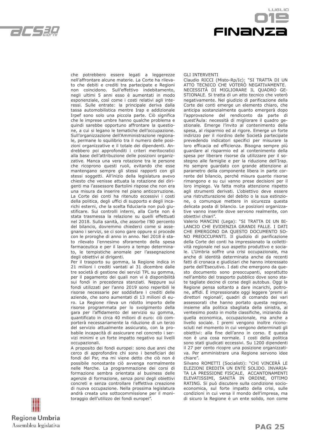



che potrebbero essere legati a leggerezze nell'affrontare alcune materie. La Corte ha rilevato che debiti e crediti tra partecipate e Regioni non coincidono. Sull'effettivo indebitamento, negli ultimi 5 anni esso è aumentati in modo esponenziale, così come i costi relativi agli interessi. Sulle entrate: la principale deriva dalla tassa automobilistica mentre Irap e addizionale Irpef sono solo una piccola parte. Ciò significa che le imprese umbre hanno qualche problema e quindi sarebbe opportuno affrontare la questione, a cui si legano le tematiche dell'occupazione. Sull'organizzazione dell'Amministrazione regionale, permane lo squilibrio tra il numero delle posizioni organizzative e il totale dei dipendenti. Andrebbero poi approfonditi i criteri meritocratici alla base dell'attribuzione delle posizioni organizzative. Manca una vera rotazione tra le persone che ricoprono questi ruoli, evitando che esse mantengano sempre gli stessi rapporti con gli stessi soggetti. All'inizio della legislatura avevo chiesto che venisse attuata la rotazione dei dirigenti ma l'assessore Bartolini rispose che non era una misura da inserire nel piano anticorruzione. La Corte dei conti ha ritenuto eccessivi i costi della politica, degli uffici di supporto e degli incarichi esterni, che la scelta fiduciaria non può giustificare. Sui controlli interni, alla Corte non è stata trasmessa la relazione su quelli effettuati nel 2018. Sulla sanità, che assorbe l'80 percento del bilancio, dovremmo chiederci come si assegnano i servizi, se ci sono gare oppure si procede con le proroghe di anno in anno. Nel 2018 è stato rilevato l'ennesimo sforamento della spesa farmaceutica e per il lavoro a tempo determinato, le tempistiche anomale per l'assegnazione degli obiettivi ai dirigenti.

Per il trasporto su gomma, la Regione indica in 21 milioni i crediti vantati al 31 dicembre dalle tre società di gestione dei servizi TPL su gomma, per il pagamento dei quali non vi è disponibilità sui fondi in precedenza stanziati. Neppure sui fondi utilizzati per l'anno 2019 sono reperibili le risorse necessarie per soddisfare i crediti delle aziende, che sono aumentati di 13 milioni di euro. La Regione rileva un ridotto importo delle risorse programmata per lo svolgimento della gara per l'affidamento del servizio su gomma, quantificato in circa 40 milioni di euro: ciò comporterà necessariamente la riduzione di un terzo del servizio attualmente assicurato, con la probabile incapacità di assicurare nel concreto i servizi minimi e un forte impatto negativo sui livelli occupazionali.

A proposito dei fondi europei: sono due anni che cerco di approfondire chi sono i beneficiari dei fondi del Psr, ma mi viene detto che ciò non è possibile nonostante ciò avvenga normalmente nelle Marche. La programmazione dei corsi di formazione sembra orientata al business delle agenzie di formazione, senza porsi degli obiettivi concreti e senza controllare l'effettiva creazione di nuova occupazione. Nella prossima legislatura andrà creata una sottocommissione per il monitoraggio dell'utilizzo dei fondi europei".

#### GLI INTERVENTI

Claudio RICCI (Misto-Rp/Ic): "SI TRATTA DI UN ATTO TECNICO CHE VOTERÒ NEGATIVAMENTE. NECESSITÀ DI MIGLIORARE IL QUADRO GE-STIONALE. Si tratta di un atto tecnico che voterò negativamente. Nel giudizio di parificazione della Corte dei conti emerge un elemento chiaro, che anticipa sostanzialmente quanto emergerà dopo l'approvazione del rendiconto da parte di quest'Aula: necessità di migliorare il quadro gestionale. Emerge l'invito al contenimento della spesa, al risparmio ed al rigore. Emerge un forte indirizzo per il riordino delle Società partecipate prevedendo indicatori specifici per misurare la loro efficacia ed efficienza. Bisogna sempre più guardare al risparmio ed al contenimento della spesa per liberare risorse da utilizzare per il sostegno alle famiglie e per la riduzione dell'Irap. Ho sempre guardato con grande attenzione al parametro della componente libera in parte corrente del bilancio, perché misura quante risorse rimangono e su cui vanno prese decisioni per il loro impiego. Va fatta molta attenzione rispetto agli strumenti derivati. L'obiettivo deve essere una ristrutturazione del debito o la sua estinzione, o comunque mettere in sicurezza questa delicata posta di bilancio. Le posizioni organizzative vanno inserite dove servono realmente, con obiettivi chiari".

Valerio MANCINI (Lega): "SI TRATTA DI UN BI-LANCIO CHE EVIDENZIA GRANDI FALLE. I DATI CHE EMERGONO DA QUESTO DOCUMENTO SO-NO PREOCCUPANTI. Il giudizio di parificazione della Corte dei conti ha impressionato la collettività regionale nel suo aspetto produttivo e sociale. L'Umbria soffre una crisi occupazionale, ma anche di identità determinata anche da recenti fatti di cronaca e giudiziari che hanno interessato parte dell'Esecutivo. I dati che emergono da questo documento sono preoccupanti, soprattutto nell'ambito del trasporto pubblico dove sono state tagliate decine di corse degli autobus. Oggi la Regione pensa soltanto a dare incarichi, poltrone, affidi. È impressionate oggi leggere 'premi ai direttori regionali', quadri di comando dei vari assessorati che hanno portato questa regione, insieme alla politica sbagliata della sinistra, al ventesimo posto in molte classifiche, iniziando da quella economica, occupazionale, ma anche a livello sociale. I premi vengono inoltre riconosciuti nel momento in cui vengono determinati gli obiettivi: alla fine dell'anno in corso. E questa non è una cosa normale. I costi della politica sono stati giudicati eccessivi. Su 1200 dipendenti il 27 per cento ricopre una posizione organizzativa. Per amministrare una Regione servono idee chiare".

Silvano ROMETTI (Socialisti): "CHI VINCERÀ LE ELEZIONI EREDITA UN ENTE SOLIDO. INVARIA-TA LA PRESSIONE FISCALE, ACCANTONAMENTI ELEVATISSIMI, SANITÀ IN ORDINE, OTTIMO RATING. Si può discutere sulla condizione socioeconomica, sul forte impatto della crisi, sulle condizioni in cui versa il mondo dell'impresa, ma di sicuro la Regione è un ente solido, non come

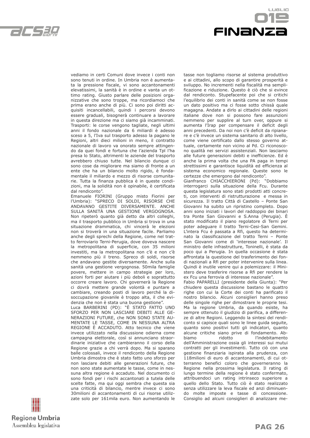

 $LIGLID$ **FINANZ** 

vediamo in certi Comuni dove invece i conti non sono tenuti in ordine. In Umbria non è aumentata la pressione fiscale, vi sono accantonamenti elevatissimi, la sanità è in ordine e vanta un ottimo rating. Giusto parlare delle posizioni organizzative che sono troppe, ma ricordiamoci che prima erano anche di più. Ci sono poi diritti acquisiti incancellabili, quindi i percorsi devono essere graduali, bisognerà continuare a lavorare in questa direzione ma ci siamo già incamminati. Trasporti: le corse vengono tagliate, negli ultimi anni il fondo nazionale da 6 miliardi è adesso sceso a 5, l'Iva sul trasporto adesso la pagano le Regioni, altri dieci milioni in meno, il contratto nazionale di lavoro va onorato sempre attingendo da quei fondi e fortuna che l'azienda Tpl l'ha presa lo Stato, altrimenti le aziende del trasporto avrebbero chiuso tutte. Nel bilancio dunque ci sono cose da migliorare ma siamo di fronte a un ente che ha un bilancio molto rigido, è fondamentale il miliardo e mezzo di risorse comunitarie. Tutta la finanza pubblica è in queste condizioni, ma la solidità non è opinabile, è certificata dal rendiconto".

Emanuele FIORINI (Gruppo misto Fiorini per l'Umbria): "SPRECO DI SOLDI, RISORSE CHE ANDAVANO GESTITE DIVERSAMENTE. ANCHE SULLA SANITÀ UNA GESTIONE VERGOGNOSA. Non ripeterò quanto già detto da altri colleghi, ma il trasporto pubblico in Umbria si trova in una situazione drammatica, chi vincerà le elezioni non si troverà in una situazione facile. Parliamo anche degli sprechi della Regione, come nel tratto ferroviario Terni-Perugia, dove doveva nascere la metropolitana di superficie, con 35 milioni investiti, ma la metropolitana non c'è e non c'è nemmeno più il treno. Spreco di soldi, risorse che andavano gestite diversamente. Anche sulla sanità una gestione vergognosa. 50mila famiglie povere, mettere in campo strategie per loro, azioni forti per aiutare i più deboli e soprattutto occorre creare lavoro. Chi governerà la Regione ci dovrà mettere grande volontà e puntare a cambiare, creando posti di lavoro perché la disoccupazione giovanile è troppo alta, il che evidenzia che non è stata una buona gestione".

Luca BARBERINI (PD): "È STATO FATTO UNO SFORZO PER NON LASCIARE DEBITI ALLE GE-NERAZIONI FUTURE, che NON SONO STATE AU-MENTATE LE TASSE, COME IN NESSUNA ALTRA REGIONE È ACCADUTO. Atto tecnico che viene invece utilizzato nella discussione odierna come campagna elettorale, così si annunciano straordinarie iniziative che cambieranno il corso della Regione grazie a chi verrà dopo. Ma si sparano balle colossali, invece il rendiconto della Regione Umbria dimostra che è stato fatto uno sforzo per non lasciare debiti alle generazioni future, che non sono state aumentate le tasse, come in nessuna altra regione è accaduto. Nel documento ci sono fondi per i rischi accantonati a tutela delle scelte fatte, ma qui oggi sembra che questa sia una criticità di bilancio, mentre invece ci sono 30milioni di accantonamenti di cui risorse utilizzate solo per 161mila euro. Non aumentando le tasse non togliamo risorse al sistema produttivo e ai cittadini, allo scopo di garantire prosperità e sviluppo. No incrementi nella fiscalità ma semplificazione e riduzione. Questo è ciò che si evince dal rendiconto. Stupefacente poi che si critichi l'equilibrio dei conti in sanità come se non fosse un dato positivo ma ci fosse sotto chissà quale magagna. Andate a dirlo ai cittadini delle regioni italiane dove non si possono fare assunzioni nemmeno per supplire al turn over, oppure si aumenta l'Irap per compensare il deficit degli anni precedenti. Da noi non c'è deficit da ripianare e c'è invece un sistema sanitario di alto livello, come viene certificato dallo stesso governo attuale, certamente non vicino al Pd. Ci riconoscono qualità nei servizi assistenziali. Non lasciamo alle future generazioni debiti e inefficienze. Ed è anche la prima volta che una PA paga in tempi strettissimi e garantisce liquidità ed efficienza al sistema economico regionale. Queste sono le certezze che emergono dal rendiconto".

Gianfranco CHIACCHIERONI (Pd): "Dobbiamo interrogarci sulla situazione della Fcu. Durante questa legislatura sono stati prodotti atti concreti, con interventi di ristrutturazione e messa in sicurezza. Il tratto Città di Castello – Ponte San Giovanni ha subito un ripristino completo. Dopo anni sono iniziati i lavori del raddoppio dei binari tra Ponte San Giovanni e S.Anna (Perugia). È stato modificato il piano regolatore di Terni per poter adeguare il tratto Terni-Cesi-San Gemini. L'intera Fcu è passata a Rfi, questo ha determinato la classificazione del tratto Terni – Ponte San Giovanni come di 'interesse nazionale'. Il ministro delle infrastrutture, Toninelli, è stata da poco qui a Perugia. In quella occasione è stata affrontata la questione del trasferimento dei fondi nazionali a Rfi per poter intervenire sulla linea. Quindi è inutile venire qui a polemizzare: il Ministero deve trasferire risorse a Rfi per rendere la ex Fcu una ferrovia di interesse nazionale".

Fabio PAPARELLI (presidente della Giunta): "Per chiudere questa discussione bastano le quattro righe con cui la Corte dei conti ha parificato il nostro bilancio. Alcuni consiglieri hanno preso delle singole righe per dimostrare le proprie tesi. Ma la regione Umbria, da quando esiste, ha sempre ottenuto il giudizio di parifica, a differenze di altre Regioni. Leggendo la sintesi del rendiconto si capisce quali sono le linee guida seguite, quanto sono positivi tutti gli indicatori, quanto alcune critiche siano prive di fondamento. Abbiamo ridotto l'indebitamento dell'Amministrazione ossia gli interessi sui mutui contratti per gli investimenti. Tutto ciò con una gestione finanziaria ispirata alla prudenza, con 118milioni di euro di accantonamenti, di cui otterranno benefici coloro che governeranno la Regione nella prossima legislatura. Il rating di lungo termine della regione è stato confermato, attribuendoci un rating intrinseco superiore a quello dello Stato. Tutto ciò è stato realizzato senza utilizzare la leva fiscale ed anzi diminuendo molte imposte e tasse di concessione. Consiglio ad alcuni consiglieri di analizzare me-

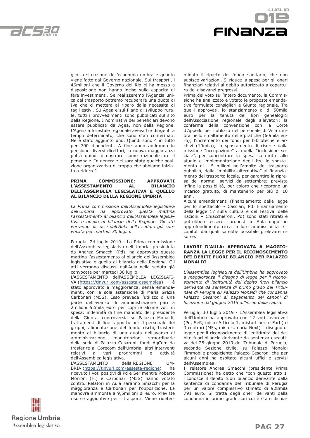



glio la situazione dell'economia umbra e quanto viene fatto dal Governo nazionale. Sui trasporti, i 46milioni che il Governo del Rio ci ha messo a disposizione non hanno inciso sulla capacità di fare investimenti. Se realizzeremo l'Agenzia unica del trasporto potremo recuperare una quota di Iva che ci metterà al riparo dalla necessità di tagli estivi. Su Agea e sul Piano di sviluppo rurale, tutti i provvedimenti sono pubblicati sul sito della Regione. I nominativi dei beneficiari devono essere pubblicati da Agea, non dalla Regione. L'Agenzia forestale regionale aveva tre dirigenti a tempo determinato, che sono stati confermati. Ne è stato aggiunto uno. Quindi sono 4 in tutto per 700 dipendenti. A fine anno andranno in pensione diversi direttori, la nuova maggioranza potrà quindi dimostrare come razionalizzare il personale. In generale ci sarà stata qualche posizione organizzativa di troppo che abbiamo iniziato a ridurre".

#### **PRIMA COMMISSIONE: APPROVATI COMMISSIONE:** APPROVATI L'ASSESTAMENTO AL **DELL'ASSEMBLEA LEGISLATIVA E QUELLO AL BILANCIO DELLA REGIONE UMBRIA**

*La Prima commissione dell'Assemblea legislativa dell'Umbria ha approvato questa mattina l'assestamento al bilancio dell'Assemblea legislativa e quello al bilancio della Regione. Gli atti verranno discussi dall'Aula nella seduta già convocata per martedì 30 luglio.*

Perugia, 24 luglio 2019 - La Prima commissione dell'Assemblea legislativa dell'Umbria, presieduta da Andrea Smacchi (Pd), ha approvato questa mattina l'assestamento al bilancio dell'Assemblea legislativa e quello al bilancio della Regione. Gli atti verranno discussi dall'Aula nella seduta già convocata per martedì 30 luglio.

L'ASSESTAMENTO dell'ASSEMBLEA LEGISLATI-VA (https://tinyurl.com/assesta-assemblea) è stato approvato a maggioranza, senza emendamenti, con la sola astensione di Maria Grazia Carbonari (M5S). Esso prevede l'utilizzo di una parte dell'avanzo di amministrazione pari a 2milioni 52mila euro per coprire alcune voci di spesa: indennità di fine mandato del presidente della Giunta, controversia su Palazzo Monaldi, trattamenti di fine rapporto per il personale dei gruppi, alimentazione del fondo rischi, trasferimento al bilancio di una quota dell'avanzo di amministrazione, manutenzioni straordinarie della sede di Palazzo Cesaroni, fondi AgCom da trasferire al Corecom dell'Umbria, altri interventi relativi a vari programmi e attività dell'Assemblea legislativa.

L'ASSESTAMENTO della REGIONE UM-BRIA (https://tinyurl.com/assesta-regione) ha ricevuto i voti positivi di Pd e Ser mentre Roberto Morroni (FI) e Carbonari (M5S) hanno votato contro. Relatori in Aula saranno Smacchi per la maggioranza e Carbonari per l'opposizione. La manovra ammonta a 9,5milioni di euro. Previste risorse aggiuntive per i trasporti. Viene rideterminato il riparto del fondo sanitario, che non subisce variazioni. Si riduce la spesa per gli oneri finanziari relativi al debito autorizzato a copertura dei disavanzi pregressi.

Prima del voto sull'intero documento, la Commissione ha analizzato e votato le proposte emendative formulate consiglieri e Giunta regionale. Tra quelli approvati, lo stanziamento di di 50mila euro per la tenuta dei libri genealogici dell'Associazione regionale degli allevatori; la conferma della convenzione con la Corte d'Appello per l'utilizzo del personale di Villa umbra nello smaltimento delle pratiche (60mila euro); l'incremento dei fondi per biblioteche e archivi (10mila); lo spostamento di risorse dalla missione "occupazione" a quella "inclusione sociale", per concentrare la spesa su diritto allo studio e implementazione degli Its; lo spostamento di 1,5 milioni nell'ambito del trasporto pubblico, dalla "mobilità alternativa" al finanziamento del trasporto locale, per garantire la ripresa dei normali servizi da settembre; prevista infine la possibilità, per coloro che ricoprono un incarico gratuito, di mantenerlo per più di 10 anni.

Alcuni emendamenti (finanziamento della legge per lo spettacolo - Casciari, Pd. Finanziamento della legge 17 sulla cultura e del Festival delle nazioni – Chiacchieroni, Pd) sono stati ritirati e potrebbero essere riproposti in Aula dopo un approfondimento circa la loro ammissibilità e i capitoli dai quali sarebbe possibile prelevare risorse.

#### **LAVORI D'AULA: APPROVATA A MAGGIO-RANZA LA LEGGE PER IL RICONOSCIMENTO DEI DEBITI FUORI BILANCIO PER PALAZZO MONALDI**

*L'Assemblea legislativa dell'Umbria ha approvato a maggioranza il disegno di legge per il riconoscimento di legittimità del debito fuori bilancio derivante da sentenza di primo grado del Tribunale di Perugia su Palazzo Monaldi che condanna Palazzo Cesaroni al pagamento dei canoni di locazione dal giugno 2015 all'inizio della causa.*

Perugia, 30 luglio 2019 - L'Assemblea legislativa dell'Umbria ha approvato con 12 voti favorevoli (Pd, SeR, misto-Articolo 1, misto-Liberi e Forti) e 3 contrari (M5s, misto-Umbria Next) il disegno di legge per il riconoscimento di legittimità del debito fuori bilancio derivante da sentenza esecutiva del 25 giugno 2019 del Tribunale di Perugia, seconda Sezione civile, su Palazzo Monaldi l'immobile prospiciente Palazzo Cesaroni che per alcuni anni ha ospitato alcuni uffici e servizi dell'Assemblea.

Il relatore Andrea Smacchi (presidente Prima Commissione) ha detto che "con questo atto si riconosce il debito fuori bilancio derivante dalla sentenza di condanna del Tribunale di Perugia per un valore complessivo stimato di 928mila 791 euro. Si tratta degli oneri derivanti dalla condanna in primo grado con cui è stato dichia-

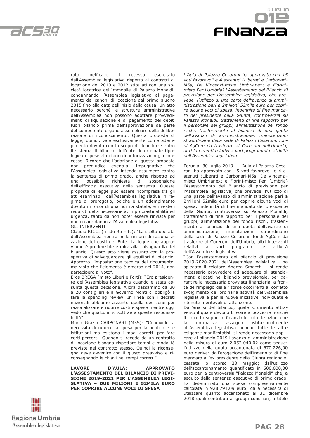

LIGL IO FINANZI

rato inefficace il recesso esercitato dall'Assemblea legislativa rispetto ai contratti di locazione del 2010 e 2012 stipulati con una società locatrice dell'immobile di Palazzo Monaldi, condannando l'Assemblea legislativa al pagamento dei canoni di locazione dal primo giugno 2015 fino alla data dell'inizio della causa. Un atto necessario perché le strutture amministrative dell'Assemblea non possono adottare provvedimenti di liquidazione e di pagamento dei debiti fuori bilancio prima dell'approvazione da parte del competente organo assembleare della deliberazione di riconoscimento. Questa proposta di legge, quindi, vale esclusivamente come adempimento dovuto con lo scopo di ricondurre entro il sistema di bilancio dell'ente determinate tipologie di spese al di fuori di autorizzazioni già concesse. Ricordo che l'adozione di questa proposta non pregiudica eventuali impugnative che l'Assemblea legislativa intenda assumere contro la sentenza di primo grado, anche rispetto ad<br>una possibile richiesta di sospensione una possibile richiesta di sospensione dell'efficacia esecutiva della sentenza. Questa proposta di legge può essere ricompresa tra gli atti esaminabili dall'Assemblea legislativa in regime di prorogatio, poiché è un adempimento dovuto in forza di una norma statale, e riveste i requisiti della necessarietà, improcrastinabilità ed urgenza, tanto da non poter essere rinviata per non recare danno all'Assemblea legislativa". GLI INTERVENTI

Claudio RICCI (misto Rp – Ic): "La scelta operata dall'Assemblea rientra nelle misure di razionalizzazione dei costi dell'Ente. La legge che approviamo è prudenziale e mira alla salvaguardia del bilancio. Questo atto viene assunto con la prospettiva di salvaguardare gli equilibri di bilancio. Apprezzo l'impostazione tecnica del documento, ma visto che l'elemento è emerso nel 2014, non parteciperò al voto".

Eros BREGA (misto Liberi e Forti): "Ero presidente dell'Assemblea legislativa quando è stata assunta questa decisione. Allora passammo da 30 a 20 consiglieri e il Governo Monti ci obbligò a fare la spending review. In linea con i decreti nazionali abbiamo assunto quella decisione per razionalizzare e ridurre costi e spese mentre oggi vedo che qualcuno si sottrae a queste responsabilità".

Maria Grazia CARBONARI (M5S): "Condivido la necessità di ridurre la spesa per la politica e le istituzioni ma esistono i modi corretti per fare certi percorsi. Quando si recede da un contratto di locazione bisogna rispettare tempi e modalità previste nel contratto stesso. Quindi la riconsegna deve avvenire con il giusto preavviso e riconsegnando le chiavi nei tempi corretti".

**LAVORI D'AULA: APPROVATO L'ASSESTAMENTO DEL BILANCIO DI PREVI-SIONE 2019-2021 PER L'ASSEMBLEA LEGI-SLATIVA – DUE MILIONI E 52MILA EURO PER COPRIRE ALCUNE VOCI DI SPESA**

*L'Aula di Palazzo Cesaroni ha approvato con 15 voti favorevoli e 4 astenuti (Liberati e Carbonari-M5s, De Vincenzi-misto Umbrianext e Fiorinimisto Per l'Umbria) l'Assestamento del Bilancio di previsione per l'Assemblea legislativa, che prevede l'utilizzo di una parte dell'avanzo di amministrazione pari a 2milioni 52mila euro per coprire alcune voci di spesa: indennità di fine mandato del presidente della Giunta, controversia su Palazzo Monaldi, trattamenti di fine rapporto per il personale dei gruppi, alimentazione del fondo rischi, trasferimento al bilancio di una quota dell'avanzo di amministrazione, manutenzioni straordinarie della sede di Palazzo Cesaroni, fondi AgCom da trasferire al Corecom dell'Umbria, altri interventi relativi a vari programmi e attività dell'Assemblea legislativa.*

Perugia, 30 luglio 2019 – L'Aula di Palazzo Cesaroni ha approvato con 15 voti favorevoli e 4 astenuti (Liberati e Carbonari-M5s, De Vincenzimisto Umbrianext e Fiorini-misto Per l'Umbria) l'Assestamento del Bilancio di previsione per l'Assemblea legislativa, che prevede l'utilizzo di una parte dell'avanzo di amministrazione pari a 2milioni 52mila euro per coprire alcune voci di spesa: indennità di fine mandato del presidente della Giunta, controversia su Palazzo Monaldi, trattamenti di fine rapporto per il personale dei gruppi, alimentazione del fondo rischi, trasferimento al bilancio di una quota dell'avanzo di amministrazione, manutenzioni straordinarie della sede di Palazzo Cesaroni, fondi AgCom da trasferire al Corecom dell'Umbria, altri interventi relativi a vari programmi e attività dell'Assemblea legislativa.

"Con l'assestamento del bilancio di previsione 2019-2020-2021 dell'Assemblea legislativa – ha spiegato il relatore Andrea Smacchi - si rende necessario provvedere ad adeguare gli stanziamenti allocati nel bilancio previsionale, per garantire la necessaria provvista finanziaria, a fronte dell'impiego delle risorse occorrenti al corretto svolgimento dell'ordinaria attività dell'Assemblea legislativa e per le nuove iniziative individuate e ritenute meritevoli di attenzione.

Dall'analisi del bilancio, quale strumento attraverso il quale devono trovare allocazione nonché il corretto supporto finanziario tutte le azioni che la normativa assegna istituzionalmente all'Assemblea legislativa nonché tutte le altre esigenze manifestatisi, si rende necessario applicare al bilancio 2019 l'avanzo di amministrazione nella misura di euro 2.052.040,02 come segue: l'utilizzo della quota accantonata di 670.226,00 euro deriva: dall'erogazione dell'indennità di fine mandato all'ex presidente della Giunta regionale, cessata lo scorso 28 maggio; dall'utilizzo dell'accantonamento quantificato in 500.000,00 euro per la controversia "Palazzo Monaldi" che, a seguito della sentenza esecutiva di primo grado, ha determinato una spesa complessivamente calcolata in 928.791,09 euro; dalla necessità di utilizzare quanto accantonato al 31 dicembre 2018 quali contributi ai gruppi consiliari, a titolo

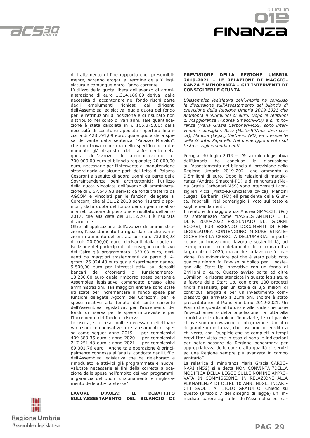



di trattamento di fine rapporto che, presumibilmente, saranno erogati al termine della X legislatura e comunque entro l'anno corrente.

L'utilizzo della quota libera dell'avanzo di amministrazione di euro 1.314.166,09 deriva: dalla necessità di accantonare nel fondo rischi parte degli emolumenti richiesti dai dirigenti dell'Assemblea legislativa, quale quota del fondo per le retribuzioni di posizione e di risultato non distribuito nel corso di vari anni. Tale quantificazione è stata calcolata in € 165.375,00; dalla necessità di costituire apposita copertura finanziaria di 428.791,09 euro, quale quota della spesa derivante dalla sentenza "Palazzo Monaldi", che non trova copertura nello specifico accantonamento già disposto; dal trasferimento della quota dell'avanzo di amministrazione di 700.000,00 euro al bilancio regionale; 20.000,00 euro, necessarie per l'intervento di manutenzione straordinaria ad alcune parti del tetto di Palazzo Cesaroni a seguito di sopralluoghi da parte della Sovraintendenza beni architettonici; l'utilizzo della quota vincolata dell'avanzo di amministrazione di € 67.647,93 deriva: da fondi trasferiti da AGCOM e vincolati per le funzioni delegate al Corecom, che al 31.12.2018 sono risultati disponibili; dalla quota del fondo dei dirigenti relativo alla retribuzione di posizione e risultato dell'anno 2017, che alla data del 31.12.2018 è risultata disponibile.

Oltre all'applicazione dell'avanzo di amministrazione, l'assestamento ha riguardato anche variazioni in aumento dell'entrata per euro 73.088,23 di cui: 20.000,00 euro, derivanti dalla quote di iscrizione dei partecipanti al convegno conclusivo del Calre già programmato; 333,83 euro, derivanti da maggiori trasferimenti da parte di Agcom; 25.024,40 euro quale risarcimento danno; 9.500,00 euro per interessi attivi sui depositi bancari dei c/correnti di funzionamento; 18.230,00 euro quale rimborso spese personale Assemblea legislativa comandato presso altre amministrazioni. Tali maggiori entrate sono state utilizzate per incrementare il fondo spese per funzioni delegate Agcom del Corecom, per le spese relative alla tenuta del conto corrente dell'Assemblea legislativa, per l'incremento del fondo di riserva per le spese impreviste e per l'incremento del fondo di riserva.

In uscita, si è reso inoltre necessario effettuare variazioni compensative fra stanziamenti di spesa come segue: anno 2019 - per complessivi 409.389,35 euro ; anno 2020 - per complessivi 217.251,48 euro ; anno 2021 - per complessivi 69.001,76 euro . Anche tale operazione è principalmente connessa all'analisi condotta dagli Uffici dell'Assemblea legislativa che ha rielaborato e rimodulato le attività già programmate e nuove, valutate necessarie ai fini della corretta allocazione delle spese nell'ambito dei vari programmi, a garanzia del buon funzionamento e miglioramento delle attività stesse".

**LAVORI D'AULA: IL DIBATTITO SULL'ASSESTAMENTO DEL BILANCIO DI** 

| fifi<br>W             |  |
|-----------------------|--|
| <b>Regione Umbria</b> |  |
| Assemblea legislativa |  |

**PREVISIONE DELLA REGIONE UMBRIA 2019-2021 – LE RELAZIONI DI MAGGIO-RANZA E MINORANZA – GLI INTERVENTI DI CONSIGLIERI E GIUNTA**

*L'Assemblea legislativa dell'Umbria ha concluso la discussione sull'Assestamento del bilancio di previsione della Regione Umbria 2019-2021 che ammonta a 9,5milioni di euro. Dopo le relazioni di maggioranza (Andrea Smacchi-PD) e di minoranza (Maria Grazia Carbonari-M5S) sono intervenuti i consiglieri Ricci (Misto-RP/Iniziativa civica), Mancini (Lega), Barberini (PD) eil presidente della Giunta, Paparelli. Nel pomeriggio il voto sul testo e sugli emendamenti.*

Perugia, 30 luglio 2019 – L'Assemblea legislativa dell'Umbria ha concluso la discussione sull'Assestamento del bilancio di previsione della Regione Umbria 2019-2021 che ammonta a 9,5milioni di euro. Dopo le relazioni di maggioranza (Andrea Smacchi-PD) e di minoranza (Maria Grazia Carbonari-M5S) sono intervenuti i consiglieri Ricci (Misto-RP/Iniziativa civica), Mancini (Lega), Barberini (PD) eil presidente della Giunta, Paparelli. Nel pomeriggio il voto sul testo e sugli emendamenti.

Il relatore di maggioranza Andrea SMACCHI (Pd) ha sottolineato come "L'ASSESTAMENTO E IL DEFR 2020–2022 PRESENTATO NEI GIORNI SCORSI, PUR ESSENDO DOCUMENTI DI FINE LEGISLATURA CONTENGONO MISURE STRATE-GICHE PER LA CRESCITA DELL'UMBRIA: in particolare su innovazione, lavoro e sostenibilità, ad esempio con il completamento della banda ultra larga entro il 2020, ma anche su lavoro e formazione. Da evidenziare poi che è stato pubblicato qualche giorno fa l'avviso pubblico per il sostegno alle Start Up innovative con un fondo di 2milioni di euro. Questo avviso porta ad oltre 10milioni le risorse stanziate in questa legislatura a favore delle Start Up, con oltre 100 progetti finora finanziati, per un totale di 8,5 milioni di contributi erogati e per un investimento complessivo già arrivato a 21milioni. Inoltre è stato presentato ieri il Piano Sanitario 2019-2021. Un Piano che guarda al futuro e alle sfide che pone l'invecchiamento della popolazione, la lotta alla cronicità e le dinamiche finanziarie, le cui parole chiave sono innovazione e integrazione. Un atto di grande importanza, che lasciamo in eredità a chi verrà, con l'auspicio che ne completi in tempi brevi l'iter visto che in esso ci sono le indicazioni per poter passare da Regione benchmark per appropriatezza delle cure e alta qualità di servizi ad una Regione sempre più avanzata in campo sanitario".

La relatrice di minoranza Maria Grazia CARBO-NARI (M5S) si è detta NON CONVINTA "DELLA MODIFICA DELLA LEGGE SULLE NOMINE APPRO-VATA IN COMMISSIONE, IN RELAZIONE ALLA PERMANENZA DI OLTRE 10 ANNI NEGLI INCARI-CHI SVOLTI A TITOLO GRATUITO. Chiedo su questo (articolo 7 del disegno di legge) un immediato parere agli uffici dell'Assemblea per ca-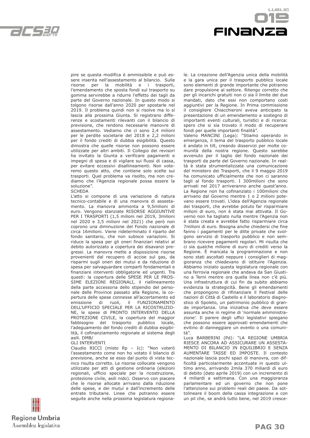



pire se questa modifica è ammissibile e può essere inserita nell'assestamento al bilancio. Sulle risorse per la mobilità e i trasporti, l'emendamento che sposta fondi sul trasporto su gomma servirebbe a ridurre l'effetto dei tagli da parte del Governo nazionale. In questo modo si tolgono risorse dall'anno 2020 per spostarle nel 2019. Il problema quindi non si risolve ma lo si lascia alla prossima Giunta. Si registrano differenze e scostamenti rilevanti con il bilancio di previsione, che rendono necessarie manovre di assestamento. Vediamo che ci sono 2,4 milioni per le perdite societarie del 2018 e 2,2 milioni per il fondo crediti di dubbia esigibilità. Questo dimostra che quelle risorse non possono essere utilizzate per altri ambiti. Il Collegio dei revisori ha invitato la Giunta a verificare pagamenti e impegni di spesa e di vigilare sui flussi di cassa, per evitare eccessivi disallineamenti. Non voteremo questo atto, che contiene solo scelte sui trasporti. Quel problema va risolto, ma non crediamo che l'Agenzia regionale possa essere la soluzione".

**SCHEDA** 

L'atto si compone di una variazione di natura tecnico-contabile e di una manovra di assestamento. La manovra ammonta a 9,5milioni di euro. Vengono stanziate RISORSE AGGIUNTIVE PER I TRASPORTI (1,5 milioni nel 2019, 3milioni nel 2020 e 3,5 milioni nel 2021) che però non coprono una diminuzione del Fondo nazionale di circa 16milioni. Viene rideterminato il riparto del fondo sanitario, che non subisce variazioni. Si riduce la spesa per gli oneri finanziari relativi al debito autorizzato a copertura dei disavanzi pregressi. La manovra mette a disposizione risorse provenienti dal recupero di accise sul gas, da risparmi sugli oneri dei mutui e da riduzione di spesa per salvaguardare comparti fondamentali e finanziare interventi obbligatorie ed urgenti. Tra questi: la copertura delle SPESE PER LE PROS-SIME ELEZIONI REGIONALI, il riallineamento della parte accessoria dello stipendio del personale delle Province passato alla Regione, la copertura delle spese connesse all'accertamento ed emissione di ruoli, il FUNZIONAMENTO DELL'UFFICIO SPECIALE PER LA RICOSTRUZIO-NE, le spese di PRONTO INTERVENTO DELLA PROTEZIONE CIVILE, la copertura del maggior fabbisogno del trasporto pubblico locale, l'adeguamento del fondo crediti di dubbia esigibilità, il cofinanziamento regionale al sistema degli asili. DMB/ GLI INTERVENTI

Claudio RICCI (misto Rp – Ic): "Non voterò l'assestamento come non ho votato il bilancio di previsione, anche se esso dal punto di vista tecnico risulta corretto. Le risorse collocate vengono utilizzate per atti di gestione ordinaria (elezioni regionali, ufficio speciale per la ricostruzione, protezione civile, asili nido). Osservo con piacere che le risorse allocate arrivano dalla riduzione delle spese, e dei mutui e dall'incremento delle entrate tributarie. Linee che potranno essere seguite anche nella prossima legislatura regionale. La creazione dell'Agenzia unica della mobilità e la gara unica per il trasporto pubblico locale sono elementi di grande importante che potranno dare propulsione al settore. Ritengo corretto che per gli incarichi gratuiti non ci sia il limite dei due mandati, dato che essi non comportano costi aggiuntivi per la Regione. In Prima commissione il consigliere Chiacchieroni aveva anticipato la presentazione di un emendamento a sostegno di importanti eventi culturali, turistici e di ricerca: spero che si sia trovato il modo di recuperare fondi per quelle importanti finalità".

Valerio MANCINI (Lega): "Stiamo operando in emergenza, il tema del trasporto pubblico locale è andato in tilt, creando disservizi per molte comunità della nostra regione. Questo sarebbe avvenuto per il taglio del fondo nazionale dei trasporti da parte del Governo nazionale. In realtà è stata strumentalizzata una comunicazione del ministero dei Trasporti, che il 9 maggio 2019 ha comunicato ufficialmente che non ci saranno tagli al fondo trasporti. I 300milioni che sono arrivati nel 2017 arriveranno anche quest'anno. La Regione non ha cofinanziato i 100milioni che arrivano dal Governo mentre 1 o 2 milioni potevano essere trovati. L'idea dell'Agenzia regionale dei trasporti, che avrebbe potuto far risparmiare milioni di euro, non è stata mai attivata. Il Governo non ha tagliato nulla mentre l'Agenzia non è stata creata e avrebbe fatto risparmiare circa 7milioni di euro. Bisogna anche chiedersi che fine fanno i pagamenti per le ditte private che svolgono servizio di trasporto pubblico e non sembrano ricevere pagamenti regolari. Mi risulta che ci sia qualche milione di euro di crediti verso la Regione. È mancata la programmazione e non sono stati ascoltati neppure i consiglieri di maggioranza che chiedevano di istituire l'Agenzia. Abbiamo iniziato questa legislatura regionale con una ferrovia regionale che andava da San Giustino a Terni mentre ora quella linea non c'è più. Una infrastruttura di cui fin da subito abbiamo evidenzia la strategicità. Bene gli emendamenti che propongono di rifinanziare il Festival delle nazioni di Città di Castello e il laboratorio diagnostico di Spoleto, un patrimonio pubblico di grande importanza. Una iniziativa che deve essere assunta anche in regime di 'normale amministrazione'. Il parere degli uffici legislativi spiegano che possono essere approvati emendamenti che evitino di danneggiare un evento o una comunità".

Luca BARBERINI (Pd): "LA REGIONE UMBRIA RIESCE ANCORA AD ASSICURARE UN ASSESTA-MENTO DI BILANCIO IN EQUILIBRIO E SENZA AUMENTARE TASSE ED IMPOSTE. Il contesto nazionale lascia pochi spazi di manovra, con difficoltà particolarmente accentuate in questo ultimo anno, arrivando 2mila 370 miliardi di euro di debito (dato aprile 2019) con un incremento di 4 miliardi a settimana. Con una maggioranza parlamentare ed un governo che non pone l'attenzione sui problemi reali del paese. Da sottolineare il boom della cassa integrazione e con un pil che, se andrà tutto bene, nel 2019 cresce-

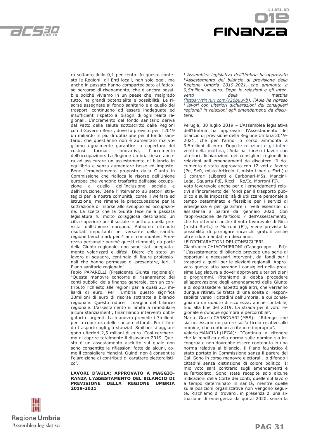

LIGL IO **FINANZ** 

rà soltanto dello 0,1 per cento. In questo contesto le Regioni, gli Enti locali, non solo oggi, ma anche in passato hanno compartecipato al faticoso percorso di risanamento, che è ancora possibile poiché viviamo in un paese che, malgrado tutto, ha grandi potenzialità e possibilità. Le risorse assegnate al fondo sanitario e a quello dei trasporti continuano ad essere inadeguate ed insufficienti rispetto ai bisogni di ogni realtà regionali. L'incremento del fondo sanitario deriva dal Patto della salute sottoscritto dalle Regioni con il Governo Renzi, dove fu previsto per il 2019 un miliardo in più di dotazione per il fondo sanitario, che quest'anno non è aumentato ma vogliamo ugualmente garantire la copertura dei costosi farmaci innovativi, l'incremento dell'occupazione. La Regione Umbria riesce ancora ad assicurare un assestamento di bilancio in equilibrio e senza aumentare tasse ed imposte. Bene l'emendamento proposto dalla Giunta in Commissione che rialloca le risorse dell'Unione europea che vengono trasferite dall'asse occupazione a quello dell'inclusione sociale e dell'istruzione. Bene l'intervento su settori strategici per la nostra comunità, come il welfare ed istruzione, ma rimane la preoccupazione per la sottrazione di risorse allo sviluppo ed occupazione. La scelta che la Giunta fece nella passata legislatura fu molto coraggiosa destinando un cifra superiore per il sociale rispetto a quella prevista dall'Unione europea. Abbiamo ottenuto risultati importanti nel versante della sanità: regione benchmark per 4 anni continuativi. Amarezza personale perché questi elementi, da parte della Giunta regionale, non sono stati adeguatamente valorizzati e difesi. Dietro c'è stato un lavoro di squadra, centinaia di figure professionali che hanno permesso di presentare, ieri, il Piano sanitario regionale".

Fabio PAPARELLI (Presidente Giunta regionale): "Questa manovra concorre al risanamento dei conti pubblici della finanza generale, con un contributo richiesto alle regioni pari a quasi 2,5 miliardi di euro. Per l'Umbria questo significa 33milioni di euro di risorse sottratte a bilancio regionale. Questo riduce i margini del bilancio regionale. L'assestamento si limita a rimodulare alcuni stanziamenti, finanziando interventi obbligatori e urgenti. La manovra prevede i 3milioni per la copertura delle spese elettorali. Per il fondo trasporto agli già stanziati 8milioni si aggiungono ulteriori 2,5 milioni di euro. Così cercheremo di coprire totalmente il disavanzo 2019. Questo è un assestamento asciutto sul quale non sono consentite le riflessioni fatte da alcuni, come il consigliere Mancini. Quindi non è consentita l'elargizione di contributi di carattere elettoralistico".

**LAVORI D'AULA: APPROVATO A MAGGIO-RANZA L'ASSESTAMENTO DEL BILANCIO DI PREVISIONE DELLA REGIONE UMBRIA 2019-2021**

*L'Assemblea legislativa dell'Umbria ha approvato l'Assestamento del bilancio di previsione della Regione Umbria 2019-2021, che ammonta a 9,5milioni di euro. Dopo le relazioni e gli interventi della mattina (https://tinyurl.com/y26buuvb), l'Aula ha ripreso i lavori con ulteriori dichiarazioni dei consiglieri regionali in relazioni agli emendamenti da discutere.*

Perugia, 30 luglio 2019 – L'Assemblea legislativa dell'Umbria ha approvato l'Assestamento del bilancio di previsione della Regione Umbria 2019- 2021, che per l'anno in corso ammonta a 9,5milioni di euro. Dopo le relazioni e gli interventi della mattina, l'Aula ha ripreso i lavori con ulteriori dichiarazioni dei consiglieri regionali in relazioni agli emendamenti da discutere. Il documento è stato approvato con 12 voti a favore (Pd, SeR, misto-Articolo 1, misto-Liberi e Forti) e 6 contrari (Liberati e Carbonari-M5s, Mancini-Lega, Squarta-FdI, Ricci – Rp/Ic, Morroni-FI).

Voto favorevole anche per gli emendamenti relativi all'incremento dei fondi per il trasporto pubblico e sulla impossibilità di utilizzare personale a tempo determinato e flessibile per i servizi di emergenza e per garantire i livelli essenziali di assistenza a partire dal gennaio 2020. Con l'approvazione dell'articolo 7 dell'Assestamento, che ha ottenuto anche il voto favorevole di Ricci (misto Rp-Ic) e Morroni (FI), viene prevista la possibilità di prorogare incarichi gratuiti anche oltre i due mandati e i dieci anni.

#### LE DICHIARAZIONI DEI CONSIGLIERI

Gianfranco CHIACCHIERONI (Capogruppo Pd): "L'assestamento di bilancio prevede una serie di opportuni e necessari interventi, dai fondi per i trasporti a quelli per le elezioni regionali. Approvato questo atto saranno i consiglieri della prossima Legislatura a dover approvare ulteriori piani e programmi. Riteniamo si debba procedere all'approvazione degli emendamenti della Giunta e di soprassedere rispetto agli altri, che verranno dunque ritirati. Si tratta di una scelta di responsabilità verso i cittadini dell'Umbria, a cui consegniamo un quadro di sicurezza, anche contabile, fino alla fine del 2019. La strada per il voto regionale è dunque sgombra e percorribile".

Maria Grazia CARBONARI (M5S): "Ritengo che sia necessario un parere sull'articolo relativo alle nomine, che continuo a ritenere improprio".

Valerio MANCINI (LEGA): "Continuo a ritenere che la modifica della norma sulle nomine sia incongrua e non dovrebbe essere contenuta in una norma relativa al bilancio. Il Piano faunistico è stato portato in Commissione senza il parere del Cal. Sono in corso manovre elettorali, io difendo i cittadini senza distinzione di colore politico. Il mio voto sarà contrario sugli emendamenti e sull'articolato. Sono state recepite solo alcune indicazioni della Corte dei conti, quelle sul lavoro a tempo determinato in sanità, mentre quelle sulle posizioni organizzative non vengono seguite. Rischiamo di trovarci, in presenza di una situazione di emergenza da qui al 2020, senza la

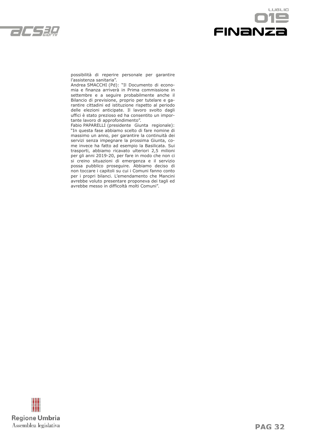



possibilità di reperire personale per garantire l'assistenza sanitaria".

Andrea SMACCHI (Pd): "Il Documento di economia e finanza arriverà in Prima commissione in settembre e a seguire probabilmente anche il Bilancio di previsione, proprio per tutelare e garantire cittadini ed istituzione rispetto al periodo delle elezioni anticipate. Il lavoro svolto dagli uffici è stato prezioso ed ha consentito un importante lavoro di approfondimento".

Fabio PAPARELLI (presidente Giunta regionale): "In questa fase abbiamo scelto di fare nomine di massimo un anno, per garantire la continuità dei servizi senza impegnare la prossima Giunta, come invece ha fatto ad esempio la Basilicata. Sui trasporti, abbiamo ricavato ulteriori 2,5 milioni per gli anni 2019-20, per fare in modo che non ci si creino situazioni di emergenza e il servizio possa pubblico proseguire. Abbiamo deciso di non toccare i capitoli su cui i Comuni fanno conto per i propri bilanci. L'emendamento che Mancini avrebbe voluto presentare proponeva dei tagli ed avrebbe messo in difficoltà molti Comuni".

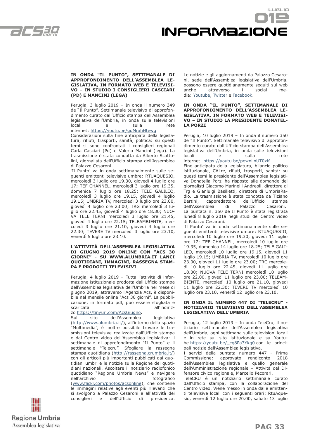$\mathcal{L}/\mathcal{L}$ 



#### **IN ONDA "IL PUNTO", SETTIMANALE DI APPROFONDIMENTO DELL'ASSEMBLEA LE-GISLATIVA, IN FORMATO WEB E TELEVISI-VO – IN STUDIO I CONSIGLIERI CASCIARI (PD) E MANCINI (LEGA)**

Perugia, 3 luglio 2019 – In onda il numero 349 de "Il Punto", Settimanale televisivo di approfondimento curato dall'Ufficio stampa dell'Assemblea legislativa dell'Umbria, in onda sulle televisioni locali e sulla rete

internet: https://youtu.be/guMrahHtewg

Considerazioni sulla fine anticipata della legislatura, rifiuti, trasporti, sanità, politica: su questi temi si sono confrontati i consiglieri regionali Carla Casciari (Pd) e Valerio Mancini (lega). La trasmissione è stata condotta da Alberto Scattolini, giornalista dell'Ufficio stampa dell'Assemblea di Palazzo Cesaroni.

'Il Punto' va in onda settimanalmente sulle seguenti emittenti televisive umbre: RTUAQUESIO, mercoledì 3 luglio ore 19.30, giovedì 4 luglio ore 17; TEF CHANNEL, mercoledì 3 luglio ore 19.35, domenica 7 luglio ore 18.25; TELE GALILEO, mercoledì 3 luglio ore 19.15, giovedì 4 luglio 19.15; UMBRIA TV, mercoledì 3 luglio ore 23.00, giovedì 4 luglio ore 23.00; TRG mercoledì 3 luglio ore 22.45, giovedì 4 luglio ore 18.30; NUO-VA TELE TERNI mercoledì 3 luglio ore 21.45, giovedì 4 luglio ore 22.15; TELEAMBIENTE, mercoledì 3 luglio ore 21.10, giovedì 4 luglio ore 22.30; TEVERE TV mercoledì 3 luglio ore 23.10, venerdì 5 luglio ore 23.10.

#### **L'ATTIVITÀ DELL'ASSEMBLEA LEGISLATIVA DI GIUGNO 2019 ONLINE CON "ACS 30 GIORNI" - SU WWW.ALUMBRIA.IT LANCI QUOTIDIANI, IMMAGINI, RASSEGNA STAM-PA E PRODOTTI TELEVISIVI**

Perugia, 4 luglio 2019 – Tutta l'attività di informazione istituzionale prodotta dall'Ufficio stampa dell'Assemblea legislativa dell'Umbria nel mese di giugno 2019, attraverso l'Agenzia Acs, è disponibile nel mensile online "Acs 30 giorni". La pubblicazione, in formato pdf, può essere sfogliata e scaricata all'indiriz-

zo https://tinyurl.com/AcsGiugno.

Sul sito dell'Assemblea legislativa (http://www.alumbria.it/), all'interno dello spazio "Multimedia", è inoltre possibile trovare le trasmissioni televisive realizzate dall'Ufficio stampa e dal Centro video dell'Assemblea legislativa: il settimanale di approfondimento "Il Punto" e il settimanale "Telecru". Sfogliare la rassegna stampa quotidiana (http://rassegna.crumbria.it/) con gli articoli più importanti pubblicati dai quotidiani umbri e le notizie sulla Regione dei quotidiani nazionali. Ascoltare il notiziario radiofonico quotidiano "Regione Umbria News" e navigare nell'archivio che controlle di controlle di fotografico (www.flickr.com/photos/acsonline), che contiene le immagini relative agli eventi più rilevanti che si svolgono a Palazzo Cesaroni e all'attività dei

consiglieri e dell'Ufficio di presidenza.

Le notizie e gli aggiornamenti da Palazzo Cesaroni, sede dell'Assemblea legislativa dell'Umbria, possono essere quotidianamente seguiti sul web anche attraverso i social media: Youtube, Twitter e Facebook.

#### **IN ONDA "IL PUNTO", SETTIMANALE DI APPROFONDIMENTO DELL'ASSEMBLEA LE-GISLATIVA, IN FORMATO WEB E TELEVISI-VO – IN STUDIO LA PRESIDENTE DONATEL-LA PORZI**

Perugia, 10 luglio 2019 – In onda il numero 350 de "Il Punto", Settimanale televisivo di approfondimento curato dall'Ufficio stampa dell'Assemblea legislativa dell'Umbria, in onda sulle televisioni locali e sulla rete internet: https://youtu.be/pewnLnUT0xM.

Fine anticipata della legislatura, bilancio politico istituzionale, CALre, rifiuti, trasporti, sanità: su questi temi la presidente dell'Assemblea legislativa Donatella Porzi ha risposto alle domande dei giornalisti Giacomo Marinelli Andreoli, direttore di Trg e Gianluigi Basilietti, direttore di UmbriaRadio. La trasmissione è stata condotta da Tiziano caporedattore dell'Ufficio stampa dell'Assemblea di Palazzo Cesaroni. La puntata n. 350 de Il Punto è stata registrata lunedì 8 luglio 2019 negli studi del Centro video di Palazzo Cesaroni.

'Il Punto' va in onda settimanalmente sulle seguenti emittenti televisive umbre: RTUAQUESIO, mercoledì 10 luglio ore 19.30, giovedì 11 luglio ore 17; TEF CHANNEL, mercoledì 10 luglio ore 19.35, domenica 14 luglio ore 18.25; TELE GALI-LEO, mercoledì 10 luglio ore 19.15, giovedì 11 luglio 19.15; UMBRIA TV, mercoledì 10 luglio ore 23.00, giovedì 11 luglio ore 23.00; TRG mercoledì 10 luglio ore 22.45, giovedì 11 luglio ore 18.30; NUOVA TELE TERNI mercoledì 10 luglio ore 22.00, giovedì 11 luglio ore 23.00; TELEAM-BIENTE, mercoledì 10 luglio ore 21.10, giovedì 11 luglio ore 22.30; TEVERE TV mercoledì 10 luglio ore 23.10, venerdì 12 luglio ore 23.10.

#### **IN ONDA IL NUMERO 447 DI "TELECRU" - NOTIZIARIO TELEVISIVO DELL'ASSEMBLEA LEGISLATIVA DELL'UMBRIA**

Perugia, 12 luglio 2019 – In onda TeleCru, il notiziario settimanale dell'Assemblea legislativa dell'Umbria, ogni settimana sulle televisioni locali e in rete sul sito istituzionale e su Youtube https://youtu.be/\_cq8Pa3Ykg0 con le principali notizie dell'Assemblea legislativa.

I servizi della puntata numero 447 - Prima Commissione: approvato rendiconto 2018 dell'Assemblea legislativa e quello generale dell'Amministrazione regionale – Attività del Difensore civico regionale, Marcello Pecorari.

TeleCRU è un notiziario settimanale curato dall'Ufficio stampa, con la collaborazione del Centro video. Viene messo in onda dalle emittenti televisive locali con i seguenti orari: RtuAquesio, venerdì 12 luglio ore 20.00, sabato 13 luglio

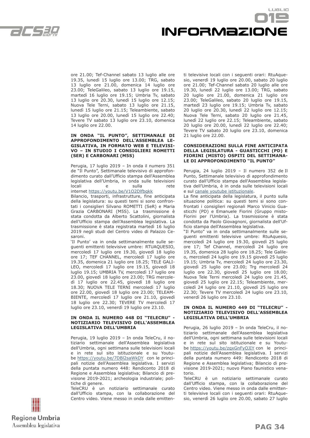C CSEL



ore 21.00; Tef-Channel sabato 13 luglio alle ore 19.35, lunedì 15 luglio ore 13.00; TRG, sabato 13 luglio ore 21.00, domenica 14 luglio ore 23.00; TeleGalileo, sabato 13 luglio ore 19.15, martedì 16 luglio ore 19.15; Umbria Tv, sabato 13 luglio ore 20.30, lunedì 15 luglio ore 12.15; Nuova Tele Terni, sabato 13 luglio ore 21.15, lunedì 15 luglio ore 21.15; Teleambiente, sabato 13 luglio ore 20.00, lunedì 15 luglio ore 22.40; Tevere TV sabato 13 luglio ore 23.10, domenica 14 luglio ore 22.00.

#### **IN ONDA "IL PUNTO", SETTIMANALE DI APPROFONDIMENTO DELL'ASSEMBLEA LE-GISLATIVA, IN FORMATO WEB E TELEVISI-VO – IN STUDIO I CONSIGLIERI ROMETTI (SER) E CARBONARI (M5S)**

Perugia, 17 luglio 2019 – In onda il numero 351 de "Il Punto", Settimanale televisivo di approfondimento curato dall'Ufficio stampa dell'Assemblea legislativa dell'Umbria, in onda sulle televisioni locali e sulla rete

internet https://youtu.be/V1O2Dlfbqkk

Bilancio, trasporti, infrastrutture, fine anticipata della legislatura: su questi temi si sono confrontati i consiglieri Silvano ROMETTI (SeR) e Maria Grazia CARBONARI (M5S). La trasmissione è stata condotta da Alberto Scattolini, giornalista dell'Ufficio stampa dell'Assemblea legislativa. La trasmissione è stata registrata martedì 16 luglio 2019 negli studi del Centro video di Palazzo Cesaroni.

'Il Punto' va in onda settimanalmente sulle seguenti emittenti televisive umbre: RTUAQUESIO, mercoledì 17 luglio ore 19.30, giovedì 18 luglio ore 17; TEF CHANNEL, mercoledì 17 luglio ore 19.35, domenica 21 luglio ore 18.25; TELE GALI-LEO, mercoledì 17 luglio ore 19.15, giovedì 18 luglio 19.15; UMBRIA TV, mercoledì 17 luglio ore 23.00, giovedì 18 luglio ore 23.00; TRG mercoledì 17 luglio ore 22.45, giovedì 18 luglio ore 18.30; NUOVA TELE TERNI mercoledì 17 luglio ore 22.00, giovedì 18 luglio ore 23.00; TELEAM-BIENTE, mercoledì 17 luglio ore 21.10, giovedì 18 luglio ore 22.30; TEVERE TV mercoledì 17 luglio ore 23.10, venerdì 19 luglio ore 23.10.

#### **IN ONDA IL NUMERO 448 DI "TELECRU" - NOTIZIARIO TELEVISIVO DELL'ASSEMBLEA LEGISLATIVA DELL'UMBRIA**

Perugia, 19 luglio 2019 – In onda TeleCru, il notiziario settimanale dell'Assemblea legislativa dell'Umbria, ogni settimana sulle televisioni locali e in rete sul sito istituzionale e su Youtube https://youtu.be/7DBl2saWkDY con le principali notizie dell'Assemblea legislativa. I servizi della puntata numero 448: Rendiconto 2018 di Regione e Assemblea legislativa; Bilancio di previsione 2019-2021; archeologia industriale; politiche di genere.

TeleCRU è un notiziario settimanale curato dall'Ufficio stampa, con la collaborazione del Centro video. Viene messo in onda dalle emittenti televisive locali con i seguenti orari: RtuAquesio, venerdì 19 luglio ore 20.00, sabato 20 luglio ore 21.00; Tef-Channel sabato 20 luglio alle ore 19.30, lunedì 22 luglio ore 13.00; TRG, sabato 20 luglio ore 21.00, domenica 21 luglio ore 23.00; TeleGalileo, sabato 20 luglio ore 19.15, martedì 23 luglio ore 19.15; Umbria Tv, sabato 20 luglio ore 20.30, lunedì 22 luglio ore 12.15; Nuova Tele Terni, sabato 20 luglio ore 21.45, lunedì 22 luglio ore 22.15; Teleambiente, sabato 20 luglio ore 20.00, lunedì 22 luglio ore 22.40; Tevere TV sabato 20 luglio ore 23.10, domenica 21 luglio ore 22.00.

#### **CONSIDERAZIONI SULLA FINE ANTICIPATA DELLA LEGISLATURA - GUASTICCHI (PD) E FIORINI (MISTO) OSPITI DEL SETTIMANA-LE DI APPROFONDIMENTO "IL PUNTO"**

Perugia, 24 luglio 2019 – Il numero 352 de Il Punto, Settimanale televisivo di approfondimento curato dall'Ufficio stampa dell'Assemblea legislativa dell'Umbria, è in onda sulle televisioni locali e sul canale youtube istituzionale.

La fine anticipata della legislatura, il punto sulla situazione politica: su questi temi si sono confrontati i consiglieri regionali Marco Vinicio Guasticchi (PD) e Emanuele Fiorini (Gruppo misto-Fiorini per l'Umbria). La trasmissione è stata condotta da Paolo Giovagnoni, giornalista dell'Ufficio stampa dell'Assemblea legislativa.

"Il Punto" va in onda settimanalmente sulle seguenti emittenti televisive umbre: RtuAquesio, mercoledì 24 luglio ore 19.30, giovedì 25 luglio ore 17; Tef Channel, mercoledì 24 luglio ore 19.35, domenica 28 luglio ore 18.25; Tele Galileo, mercoledì 24 luglio ore 19.15 giovedì 25 luglio 19.15; Umbria Tv, mercoledì 24 luglio ore 23.30, giovedì 25 luglio ore 23.00; Trg mercoledì 24 luglio ore 22.30, giovedì 25 luglio ore 18.00; Nuova Tele Terni mercoledì 24 luglio ore 21.45, giovedì 25 luglio ore 22.15; Teleambiente, mercoledì 24 luglio ore 21.10, giovedì 25 luglio ore 22.30; Tevere TV mercoledì 24 luglio ore 23.10, venerdì 26 luglio ore 23.10.

#### **IN ONDA IL NUMERO 449 DI "TELECRU" - NOTIZIARIO TELEVISIVO DELL'ASSEMBLEA LEGISLATIVA DELL'UMBRIA**

Perugia, 26 luglio 2019 – In onda TeleCru, il notiziario settimanale dell'Assemblea legislativa dell'Umbria, ogni settimana sulle televisioni locali e in rete sul sito istituzionale e su Youtube https://youtu.be/zqxGnFyOJIY con le principali notizie dell'Assemblea legislativa. I servizi della puntata numero 449: Rendiconto 2018 di Regione e Assemblea legislativa; Bilancio di previsione 2019-2021; nuovo Piano faunistico venatorio.

TeleCRU è un notiziario settimanale curato dall'Ufficio stampa, con la collaborazione del Centro video. Viene messo in onda dalle emittenti televisive locali con i seguenti orari: RtuAquesio, venerdì 26 luglio ore 20.00, sabato 27 luglio

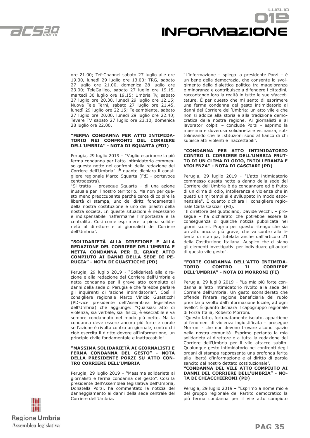$\mathcal{L}$  /  $\mathcal{L}$  ,  $\mathcal{L}$  /  $\mathcal{L}$ 



ore 21.00; Tef-Channel sabato 27 luglio alle ore 19.30, lunedì 29 luglio ore 13.00; TRG, sabato 27 luglio ore 21.00, domenica 28 luglio ore 23.00; TeleGalileo, sabato 27 luglio ore 19.15, martedì 30 luglio ore 19.15; Umbria Tv, sabato 27 luglio ore 20.30, lunedì 29 luglio ore 12.15; Nuova Tele Terni, sabato 27 luglio ore 21.45, lunedì 29 luglio ore 22.15; Teleambiente, sabato 27 luglio ore 20.00, lunedì 29 luglio ore 22.40; Tevere TV sabato 27 luglio ore 23.10, domenica 28 luglio ore 22.00.

#### **"FERMA CONDANNA PER ATTO INTIMIDA-TORIO NEI CONFRONTI DEL CORRIERE DELL'UMBRIA" - NOTA DI SQUARTA (FDI)**

Perugia, 29 luglio 2019 – "Voglio esprimere la più ferma condanna per l'atto intimidatorio commesso questa notte nei confronti della redazione del Corriere dell'Umbria". È quanto dichiara il consigliere regionale Marco Squarta (FdI - portavoce centrodestra).

"Si tratta – prosegue Squarta – di una azione inusuale per il nostro territorio. Ma non per questo meno preoccupante perché cerca di colpire la libertà di stampa, uno dei diritti fondamentali della nostra costituzione e uno dei pilastri della nostra società. In queste situazioni è necessario e indispensabile riaffermarne l'importanza e la centralità. Così come esprimere la piena solidarietà al direttore e ai giornalisti del Corriere dell'Umbria".

#### **"SOLIDARIETÀ ALLA DIREZIONE E ALLA REDAZIONE DEL CORRIERE DELL'UMBRIA E NETTA CONDANNA PER IL GRAVE ATTO COMPIUTO AI DANNI DELLA SEDE DI PE-RUGIA" - NOTA DI GUASTICCHI (PD)**

Perugia, 29 luglio 2019 - "Solidarietà alla direzione e alla redazione del Corriere dell'Umbria e netta condanna per il grave atto compiuto ai danni della sede di Perugia e che farebbe parlare gli inquirenti di 'azione intimidatoria'". Così il consigliere regionale Marco Vinicio Guasticchi (PD-vice presidente dell'Assemblea legislativa dell'Umbria) che aggiunge: "Qualsiasi atto di violenza, sia verbale, sia fisico, è esecrabile e va sempre condannato nel modo più netto. Ma la condanna deve essere ancora più forte e corale se l'azione è rivolta contro un giornale, contro chi cioè esercita il diritto-dovere all'informazione, un principio civile fondamentale e inattaccabile".

#### **"MASSIMA SOLIDARIETÀ AI GIORNALISTI E FERMA CONDANNA DEL GESTO" - NOTA DELLA PRESIDENTE PORZI SU ATTO CON-TRO CORRIERE DELL'UMBRIA**

Perugia, 29 luglio 2019 – "Massima solidarietà ai giornalisti e ferma condanna del gesto". Così la presidente dell'Assemblea legislativa dell'Umbria, Donatella Porzi, ha commentato la notizia del danneggiamento ai danni della sede centrale del Corriere dell'Umbria.

"L'informazione – spiega la presidente Porzi – è un bene della democrazia, che consente lo svolgimento della dialettica politica tra maggioranza e minoranza e contribuisce a difendere i cittadini, raccontando loro la realtà in tutte le sue sfaccettature. È per questo che mi sento di esprimere una ferma condanna del gesto intimidatorio ai danni del Corriere dell'Umbria: un atto vile e che non si addice alla storia e alla tradizione democratica della nostra regione. Ai giornalisti e ai lavoratori colpiti – conclude Porzi - esprimo la massima e doverosa solidarietà e vicinanza, sottolineando che le Istituzioni sono al fianco di chi subisce atti violenti e inaccettabili".

#### **"CONDANNA PER ATTO INTIMIDATORIO CONTRO IL CORRIERE DELL'UMBRIA FRUT-TO DI UN CLIMA DI ODIO, INTOLLERANZA E VIOLENZA" - NOTA DI CASCIARI (PD)**

Perugia, 29 luglio 2019 - "L'atto intimidatorio commesso questa notte a danno della sede del Corriere dell'Umbria è da condannare ed è frutto di un clima di odio, intolleranza e violenza che in questi ultimi tempi si è sviluppato in modo esponenziale". È quanto dichiara il consigliere regionale Carla Casciari (Pd).

"Il direttore del quotidiano, Davide Vecchi, – prosegue - ha dichiarato che potrebbe essere la conseguenza di qualche notizia pubblicata nei giorni scorsi. Proprio per questo ritengo che sia un atto ancora più grave, che va contro alla libertà di stampa, tutelata anche dall'articolo 21 della Costituzione Italiana. Auspico che ci siano gli elementi investigativi per individuare gli autori di questo vile gesto".

#### **"FORTE CONDANNA DELL'ATTO INTIMIDA-TORIO CONTRO IL CORRIERE DELL'UMBRIA" - NOTA DI MORRONI (FI)**

Perugia, 29 lugli0 2019 – "La mia più forte condanna all'atto intimidatorio rivolto alla sede del Corriere dell'Umbria. Un gesto sconsiderato che offende l'intera regione beneficiaria del ruolo prioritario svolto dall'informazione locale, ad ogni livello". È quanto dichiara il capogruppo regionale di Forza Italia, Roberto Morroni.

"Questo fatto, fortunatamente isolato, appartiene ai fenomeni di violenza ingiustificata – prosegue Morroni - che non devono trovare alcuno spazio nella nostra comunità. Esprimo pertanto la mia solidarietà al direttore e a tutta la redazione del Corriere dell'Umbria per il vile attacco subito. Qualunque gesto intimidatorio nei confronti degli organi di stampa rappresenta una profonda ferita alla libertà d'informazione e al diritto di parola sancito dal nostro dettato costituzionale".

#### **"CONDANNA DEL VILE ATTO COMPIUTO AI DANNI DEL CORRIERE DELL'UMBRIA" - NO-TA DI CHIACCHIERONI (PD)**

Perugia, 29 luglio 2019 – "Esprimo a nome mio e del gruppo regionale del Partito democratico la più ferma condanna per il vile atto compiuto

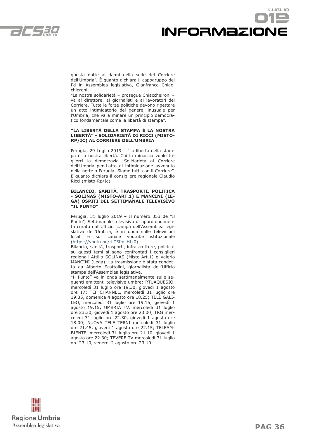

## LUGLIO informazione

questa notte ai danni della sede del Corriere dell'Umbria". È quanto dichiara il capogruppo del Pd in Assemblea legislativa, Gianfranco Chiacchieroni.

"La nostra solidarietà – prosegue Chiaccheironi – va al direttore, ai giornalisti e ai lavoratori del Corriere. Tutte le forze politiche devono rigettare un atto intimidatorio del genere, inusuale per l'Umbria, che va a minare un principio democratico fondamentale come la libertà di stampa".

#### **"LA LIBERTÀ DELLA STAMPA È LA NOSTRA LIBERTÀ" - SOLIDARIETÀ DI RICCI (MISTO-RP/IC) AL CORRIERE DELL'UMBRIA**

Perugia, 29 Luglio 2019 – "La libertà della stampa è la nostra libertà. Chi la minaccia vuole toglierci la democrazia. Solidarietà al Corriere dell'Umbria per l'atto di intimidazione avvenuto nella notte a Perugia. Siamo tutti con il Corriere". È quanto dichiara il consigliere regionale Claudio Ricci (misto-Rp/Ic).

#### **BILANCIO, SANITÀ, TRASPORTI, POLITICA - SOLINAS (MISTO-ART.1) E MANCINI (LE-GA) OSPITI DEL SETTIMANALE TELEVISIVO "IL PUNTO"**

Perugia, 31 luglio 2019 – Il numero 353 de "Il Punto", Settimanale televisivo di approfondimento curato dall'Ufficio stampa dell'Assemblea legislativa dell'Umbria, è in onda sulle televisioni locali e sul canale youtube istituzionale (https://youtu.be/4-T5fmLHtz0).

Bilancio, sanità, trasporti, infrastrutture, politica: su questi temi si sono confrontati i consiglieri regionali Attilio SOLINAS (Misto-Art.1) e Valerio MANCINI (Lega). La trasmissione è stata condotta da Alberto Scattolini, giornalista dell'Ufficio stampa dell'Assemblea legislativa.

"Il Punto" va in onda settimanalmente sulle seguenti emittenti televisive umbre: RTUAQUESIO, mercoledì 31 luglio ore 19.30, giovedì 1 agosto ore 17; TEF CHANNEL, mercoledì 31 luglio ore 19.35, domenica 4 agosto ore 18.25; TELE GALI-LEO, mercoledì 31 luglio ore 19.15, giovedì 1 agosto 19.15; UMBRIA TV, mercoledì 31 luglio ore 23.30, giovedì 1 agosto ore 23.00; TRG mercoledì 31 luglio ore 22.30, giovedì 1 agosto ore 18.00; NUOVA TELE TERNI mercoledì 31 luglio ore 21.45, giovedì 1 agosto ore 22.15; TELEAM-BIENTE, mercoledì 31 luglio ore 21.10, giovedì 1 agosto ore 22.30; TEVERE TV mercoledì 31 luglio ore 23.10, venerdì 2 agosto ore 23.10.

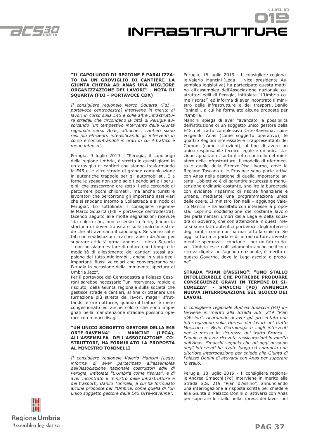



#### **"IL CAPOLUOGO DI REGIONE È PARALIZZA-TO DA UN GROVIGLIO DI CANTIERI. LA GIUNTA CHIEDA AD ANAS UNA MIGLIORE ORGANIZZAZIONE DEI LAVORI" - NOTA DI SQUARTA (FDI – PORTAVOCE CDX)**

*Il consigliere regionale Marco Squarta (FdI – portavoce centrodestra) interviene in merito ai lavori in corso sulla E45 e sulle altre infrastrutture stradali che circondano la città di Perugia auspicando "un tempestivo intervento della Giunta regionale verso Anas, affinché i cantieri siano resi più efficienti, intensificando gli interventi in corso e concentrandoli in orari in cui il traffico è meno intenso".*

Perugia, 9 luglio 2019 - "Perugia, il capoluogo della regione Umbria, è stretta in questi giorni in un groviglio di cantieri che stanno trasformando la E45 e le altre strade di grande comunicazione in autentiche trappole per gli automobilisti. E a farne le spese non sono solo i pendolari e i perugini, che trascorrono ore sotto il sole cercando di percorrere pochi chilometri, ma anche turisti e lavoratori che percorrono gli importanti assi viari che si snodano intorno a Collestrada e al nodo di Perugia". Lo sottolinea il consigliere regionale Marco Squarta (FdI – portavoce centrodestra), facendo seguito alle molte segnalazioni ricevute "da coloro che, non essendo in ferie, hanno la sfortuna di dover transitare sulle malconce strade che attraversano il capoluogo. Se vanno salutati con soddisfazioni i cantieri aperti da Anas per superare criticità ormai annose – rileva Squarta – non possiamo evitare di notare che i tempi e le modalità di allestimento dei cantieri stessi appaiono del tutto migliorabili, anche in vista degli importanti flussi veicolari che convergeranno su Perugia in occasione della imminente apertura di Umbria Jazz".

Per il portavoce del Centrodestra a Palazzo Cesaroni sarebbe necessario "un intervento, rapido e risoluto, della Giunta regionale sulla società che gestisce strade e cantieri, al fine di ottenere una turnazione più stretta dei lavori, magari sfruttando le ore notturne, quando il traffico è meno congestionato ed anche coloro che sono impegnati nella manutenzione stradale possono operare con minori disagi".

#### **"UN UNICO SOGGETTO GESTORE DELLA E45 ORTE-RAVENNA" - MANCINI (LEGA), ALL'ASSEMBLEA DELL'ASSOCIAZIONE CO-STRUTTORI, HA FORMULATO LA PROPOSTA AL MINISTRO TONINELLI**

*Il consigliere regionale Valerio Mancini (Lega) informa di aver partecipato all'assemblea dell'Associazione nazionale costruttori edili di Perugia, intitolata "L'Umbria come risorsa", e di aver incontrato il ministro delle infrastrutture e dei trasporti, Danilo Toninelli, a cui ha formulato alcune proposte per l'Umbria, come quella di "un unico soggetto gestore della E45 Orte-Ravenna".*

Perugia, 16 luglio 2019 - Il consigliere regionale Valerio Mancini (Lega – vice presidente Assemblea legislativa) ha partecipato questa mattina all'assemblea dell'Associazione nazionale costruttori edili di Perugia, intitolata "L'Umbria come risorsa", ed informa di aver incontrato il ministro delle infrastrutture e dei trasporti, Danilo Toninelli, a cui ha formulato alcune proposte per l'Umbria.

Mancini spiega di aver "avanzato la possibilità dell'istituzione di un soggetto unico gestore della E45 nel tratto complessivo Orte-Ravenna, coinvolgendo Anas (come soggetto operativo), le quattro Regioni interessate e i rappresentanti dei Comuni (come istituzioni), al fine di avere un unico responsabile tecnico legale e un'unica stazione appaltante, sotto diretto controllo del ministero delle infrastrutture. Il modello di riferimento è quello della Firenze-Pisa-Livorno, dove la Regione Toscana e le Province sono parte attiva con Anas nella gestione di quella importante arteria. L'obiettivo è di garantire sicurezza e manutenzione ordinaria costante, snellire la burocrazia con evidente risparmio di risorse finanziarie e umane, mediante una programmazione unica delle opere. Il ministro Toninelli – aggiunge Valerio Mancini - ha ascoltato con interesse la proposta. Esprimo soddisfazione del costante lavoro dei parlamentari umbri della Lega e della squadra di Governo, che con attenzione in questi mesi si sono fatti autentici portavoce degli interessi degli umbri come non ha mai fatto la sinistra. Se oggi si torna a parlare di infrastrutture, investimenti e speranza – conclude - per un futuro dove l'Umbria esce dall'isolamento anche politico e ritrova dignità nell'agenda nazionale, è merito di questo Governo, dove la Lega ascolta e propone".

#### **STRADA "PIAN D'ASSINO": "UNO STALLO INTOLLERABILE CHE POTREBBE PRODURRE CONSEGUENZE GRAVI IN TERMINI DI SI-CUREZZA" - SMACCHI (PD) ANNUNCIA NUOVA INTERROGAZIONE SUL BLOCCO DEI LAVORI**

*Il consigliere regionale Andrea Smacchi (Pd) interviene in merito alla Strada S.S. 219 "Pian d'Assino", ricordando di aver già presentato una interrogazione sulla ripresa dei lavori nel tratto Mocaiana – Bivio Pietralunga e sugli interventi per la messa in sicurezza del tratto Branca – Padule e di aver ricevuto rassicurazioni in merito dall'Anas. Smacchi segnala che ad oggi nessuno degli interventi ha avuto luogo ed annuncia una ulteriore interrogazione per chiede alla Giunta di Palazzo Donini di attivarsi con Anas per superare lo stallo.*

Perugia, 18 luglio 2019 - Il consigliere regionale Andrea Smacchi (Pd) interviene in merito alla Strada S.S. 219 "Pian d'Assino", annunciando una interrogazione a risposta scritta per chiedere alla Giunta di Palazzo Donini di attivarsi con Anas per superare lo stallo nella ripresa dei lavori nel

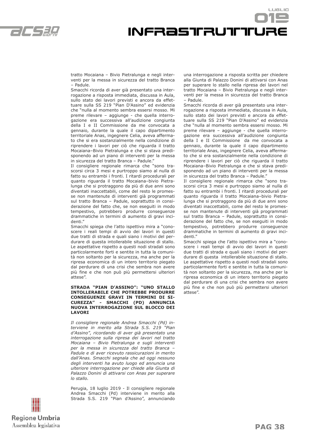

## infrastrutture

tratto Mocaiana – Bivio Pietralunga e negli interventi per la messa in sicurezza del tratto Branca – Padule.

Smacchi ricorda di aver già presentato una interrogazione a risposta immediata, discussa in Aula, sullo stato dei lavori previsti e ancora da effettuare sulla SS 219 "Pian D'Assino" ed evidenzia che "nulla al momento sembra essersi mosso. Mi preme rilevare – aggiunge - che quella interrogazione era successiva all'audizione congiunta della I e II Commissione da me convocata a gennaio, durante la quale il capo dipartimento territoriale Anas, ingegnere Celia, aveva affermato che si era sostanzialmente nella condizione di riprendere i lavori per ciò che riguarda il tratto Mocaiana–Bivio Pietralunga e che si stava predisponendo ad un piano di interventi per la messa in sicurezza del tratto Branca - Padule.

Il consigliere regionale rimarca che "sono trascorsi circa 3 mesi e purtroppo siamo al nulla di fatto su entrambi i fronti. I ritardi procedurali per quanto riguarda il tratto Mocaiana–bivio Pietralunga che si protraggono da più di due anni sono diventati inaccettabili, come del resto le promesse non mantenute di interventi già programmati sul tratto Branca – Padule, soprattutto in considerazione del fatto che, se non eseguiti in modo tempestivo, potrebbero produrre conseguenze drammatiche in termini di aumento di gravi incidenti."

Smacchi spiega che l'atto ispettivo mira a "conoscere i reali tempi di avvio dei lavori in questi due tratti di strada e quali siano i motivi del perdurare di questa intollerabile situazione di stallo. Le aspettative rispetto a questi nodi stradali sono particolarmente forti e sentite in tutta la comunità non soltanto per la sicurezza, ma anche per la ripresa economica di un intero territorio piegato dal perdurare di una crisi che sembra non avere più fine e che non può più permettersi ulteriori attese".

#### **STRADA "PIAN D'ASSINO": "UNO STALLO INTOLLERABILE CHE POTREBBE PRODURRE CONSEGUENZE GRAVI IN TERMINI DI SI-CUREZZA" - SMACCHI (PD) ANNUNCIA NUOVA INTERROGAZIONE SUL BLOCCO DEI LAVORI**

*Il consigliere regionale Andrea Smacchi (Pd) interviene in merito alla Strada S.S. 219 "Pian d'Assino", ricordando di aver già presentato una interrogazione sulla ripresa dei lavori nel tratto Mocaiana – Bivio Pietralunga e sugli interventi per la messa in sicurezza del tratto Branca – Padule e di aver ricevuto rassicurazioni in merito dall'Anas. Smacchi segnala che ad oggi nessuno degli interventi ha avuto luogo ed annuncia una ulteriore interrogazione per chiede alla Giunta di Palazzo Donini di attivarsi con Anas per superare lo stallo.*

Perugia, 18 luglio 2019 - Il consigliere regionale Andrea Smacchi (Pd) interviene in merito alla Strada S.S. 219 "Pian d'Assino", annunciando una interrogazione a risposta scritta per chiedere alla Giunta di Palazzo Donini di attivarsi con Anas per superare lo stallo nella ripresa dei lavori nel tratto Mocaiana – Bivio Pietralunga e negli interventi per la messa in sicurezza del tratto Branca – Padule.

LUSLIO

Smacchi ricorda di aver già presentato una interrogazione a risposta immediata, discussa in Aula, sullo stato dei lavori previsti e ancora da effettuare sulla SS 219 "Pian D'Assino" ed evidenzia che "nulla al momento sembra essersi mosso. Mi preme rilevare – aggiunge - che quella interrogazione era successiva all'audizione congiunta della I e II Commissione da me convocata a gennaio, durante la quale il capo dipartimento territoriale Anas, ingegnere Celia, aveva affermato che si era sostanzialmente nella condizione di riprendere i lavori per ciò che riguarda il tratto Mocaiana–Bivio Pietralunga e che si stava predisponendo ad un piano di interventi per la messa in sicurezza del tratto Branca – Padule."

Il consigliere regionale rimarca che "sono trascorsi circa 3 mesi e purtroppo siamo al nulla di fatto su entrambi i fronti. I ritardi procedurali per quanto riguarda il tratto Mocaiana–bivio Pietralunga che si protraggono da più di due anni sono diventati inaccettabili, come del resto le promesse non mantenute di interventi già programmati sul tratto Branca – Padule, soprattutto in considerazione del fatto che, se non eseguiti in modo tempestivo, potrebbero produrre conseguenze drammatiche in termini di aumento di gravi incidenti."

Smacchi spiega che l'atto ispettivo mira a "conoscere i reali tempi di avvio dei lavori in questi due tratti di strada e quali siano i motivi del perdurare di questa intollerabile situazione di stallo. Le aspettative rispetto a questi nodi stradali sono particolarmente forti e sentite in tutta la comunità non soltanto per la sicurezza, ma anche per la ripresa economica di un intero territorio piegato dal perdurare di una crisi che sembra non avere più fine e che non può più permettersi ulteriori attese".

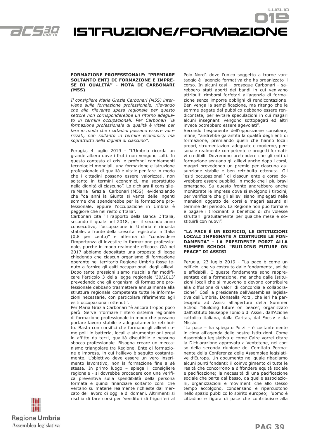

## Istruzione/formazione

#### **FORMAZIONE PROFESSIONALE: "PREMIARE SOLTANTO ENTI DI FORMAZIONE E IMPRE-SE DI QUALITÀ" - NOTA DI CARBONARI (M5S)**

*Il consigliere Maria Grazia Carbonari (M5S) interviene sulla formazione professionale, rilevando che alla rilevante spesa regionale per questo settore non corrisponderebbe un ritorno adeguato in termini occupazionali. Per Carbonari "la formazione professionale di qualità è vitale per fare in modo che i cittadini possano essere valorizzati, non soltanto in termini economici, ma soprattutto nella dignità di ciascuno".*

Perugia, 4 luglio 2019 - "L'Umbria ricorda un grande albero dove i frutti non vengono colti. In questo contesto di crisi e profondi cambiamenti tecnologici mondiali, una formazione e istruzione professionale di qualità è vitale per fare in modo che i cittadini possano essere valorizzati, non soltanto in termini economici, ma soprattutto nella dignità di ciascuno". Lo dichiara il consigliere Maria Grazia Carbonari (M5S) evidenziando che "da anni la Giunta si vanta delle ingenti somme che spenderebbe per la formazione professionale, eppure l'occupazione in Umbria è peggiore che nel resto d'Italia".

Carbonari cita "il rapporto della Banca D'Italia, secondo il quale nel 2018, per il secondo anno consecutivo, l'occupazione in Umbria è rimasta stabile, a fronte della crescita registrata in Italia (0,8 per cento)" e afferma di "condividere l'importanza di investire in formazione professionale, purché in modo realmente efficace. Già nel 2017 abbiamo depositato una proposta di legge chiedendo che ciascun organismo di formazione operante nel territorio Regione Umbria fosse tenuto a fornire gli esiti occupazionali degli allievi. Dopo tante pressioni siamo riusciti a far modificare l'articolo 3 della legge regionale '30/2013' prevedendo che gli organismi di formazione professionale debbano trasmettere annualmente alla struttura regionale competente tutte le informazioni necessarie, con particolare riferimento agli esiti occupazionali ottenuti".

Per Maria Grazia Carbonari "è ancora troppo poco però. Serve riformare l'intero sistema regionale di formazione professionale in modo che possano portare lavoro stabile e adeguatamente retribuito. Basta con corsifici che formano gli allievi come polli in batteria, locali e strumentazioni presi in affitto da terzi, qualità discutibile e nessuno sbocco professionale. Bisogna creare un meccanismo triangolare tra Regione, Ente di formazione e impresa, in cui l'allievo è seguito costantemente. L'obiettivo deve essere un vero inserimento lavorativo, non la formazione fine a sé stessa. In primo luogo – spiega il consigliere regionale - si dovrebbe procedere con una verifica preventiva sulla spendibilità della persona formata e quindi finanziare soltanto corsi che vertano su materie realmente richieste dal mercato del lavoro di oggi e di domani. Altrimenti si rischia di fare corsi per 'venditori di frigoriferi al Polo Nord', dove l'unico soggetto a trarne vantaggio è l'agenzia formativa che ha organizzato il corso. In alcuni casi – prosegue Carbonari - sarebbero stati aperti dei bandi in cui venivano attribuiti rimborsi forfetari all'agenzia di formazione senza imporre obblighi di rendicontazione. Ben venga la semplificazione, ma ritengo che le somme pagate dal pubblico debbano essere rendicontate, per evitare speculazioni in cui magari alcuni insegnanti vengono sottopagati ed altri invece potrebbero essere agevolati".

LUSLIO

Secondo l'esponente dell'opposizione consiliare, infine, "andrebbe garantita la qualità degli enti di formazione, premiando quelli che hanno locali propri, strumentazioni adeguate e moderne, personale realmente competente e progetti formativi credibili. Dovremmo pretendere che gli enti di formazione seguano gli allievi anche dopo i corsi, magari prevedendo un premio per ciascuna assunzione stabile e ben retribuita ottenuta. Gli 'esiti occupazionali' di ciascun ente e corso dovrebbero essere pubblici, in modo che i più bravi emergano. Su questo fronte andrebbero anche monitorate le imprese dove si svolgono i tirocini, per verificare che gli allievi siano impiegati nelle mansioni oggetto dei corsi e magari assunti al termine del periodo. La Regione non può formare e pagare i tirocinanti a beneficio di chi volesse sfruttarli gratuitamente per qualche mese e sostituirli con nuovi".

#### **"LA PACE È UN EDIFICIO, LE ISTITUZIONI LOCALI IMPEGNATE A COSTRUIRE LE FON-DAMENTA" - LA PRESIDENTE PORZI ALLA SUMMER SCHOOL "BUILDING FUTURE ON PEACE" DI ASSISI**

Perugia, 23 luglio 2019 - "La pace è come un edificio, che va costruito dalle fondamenta, solide e affidabili. E queste fondamenta sono rappresentate dalla formazione, ma anche dalle Istituzioni locali che si muovono e devono contribuire alla diffusione di valori di concordia e collaborazione". Così la presidente dell'Assemblea legislativa dell'Umbria, Donatella Porzi, che ieri ha partecipato ad Assisi all'apertura della Summer School "Building future on peace", organizzato dall'Istituto Giuseppe Toniolo di Assisi, dall'Azione cattolica italiana, dalla Caritas, dal Focsiv e da Missio.

"La pace – ha spiegato Porzi – è costantemente in cima all'agenda delle nostre Istituzioni. Come Assemblea legislativa e come Calre vorrei citare la Dichiarazione approvata a Ventotene, nel corso della seconda riunione del Comitato Permanente della Conferenza delle Assemblee legislative d'Europa. Un documento nel quale ribadiamo alcuni punti fondanti: il coinvolgimento di tutte le realtà che concorrono a diffondere equità sociale e pacificazione; la necessità di una pacificazione sociale che parta dal basso, da quelle associazioni, organizzazioni e movimenti che allo stesso tempo accolgono, condensano e ripercuotono nello spazio pubblico lo spirito europeo; l'uomo è cittadino e figura di pace che contribuisce alla

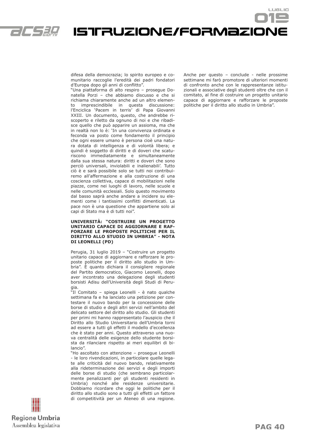

Istruzione/formazione

difesa della democrazia; lo spirito europeo e comunitario raccoglie l'eredità dei padri fondatori d'Europa dopo gli anni di conflitto".

"Una piattaforma di alto respiro – prosegue Donatella Porzi – che abbiamo discusso e che si richiama chiaramente anche ad un altro elemento imprescindibile in questa discussione: l'Enciclica 'Pacem in terris' di Papa Giovanni XXIII. Un documento, questo, che andrebbe riscoperto e riletto da ognuno di noi e che ribadisce quello che può apparire un assioma, ma che in realtà non lo è: 'In una convivenza ordinata e feconda va posto come fondamento il principio che ogni essere umano è persona cioè una natura dotata di intelligenza e di volontà libera; e quindi è soggetto di diritti e di doveri che scaturiscono immediatamente e simultaneamente dalla sua stessa natura: diritti e doveri che sono perciò universali, inviolabili e inalienabili'. Tutto ciò è e sarà possibile solo se tutti noi contribuiremo all'affermazione e alla costruzione di una coscienza collettiva, capace di mobilitazioni nelle piazze, come nei luoghi di lavoro, nelle scuole e nelle comunità ecclesiali. Solo questo movimento dal basso saprà anche andare a incidere su elementi come i tantissimi conflitti dimenticati. La pace non è una questione che appartiene solo ai capi di Stato ma è di tutti noi".

#### **UNIVERSITÀ: "COSTRUIRE UN PROGETTO UNITARIO CAPACE DI AGGIORNARE E RAF-FORZARE LE PROPOSTE POLITICHE PER IL DIRITTO ALLO STUDIO IN UMBRIA" - NOTA DI LEONELLI (PD)**

Perugia, 31 luglio 2019 – "Costruire un progetto unitario capace di aggiornare e rafforzare le proposte politiche per il diritto allo studio in Umbria". È quanto dichiara il consigliere regionale del Partito democratico, Giacomo Leonelli, dopo aver incontrato una delegazione degli studenti borsisti Adisu dell'Università degli Studi di Perugia.

"Il Comitato – spiega Leonelli - è nato qualche settimana fa e ha lanciato una petizione per contestare il nuovo bando per la concessione delle borse di studio e degli altri servizi nell'ambito del delicato settore del diritto allo studio. Gli studenti per primi mi hanno rappresentato l'auspicio che il Diritto allo Studio Universitario dell'Umbria torni ad essere a tutti gli effetti il modello d'eccellenza che è stato per anni. Questo attraverso una nuova centralità delle esigenze dello studente borsista da rilanciare rispetto ai meri equilibri di bilancio".

"Ho ascoltato con attenzione – prosegue Leonelli - le loro rivendicazioni, in particolare quelle legate alle criticità del nuovo bando, relativamente alla rideterminazione dei servizi e degli importi delle borse di studio (che sembrano particolarmente penalizzanti per gli studenti residenti in Umbria) nonché alle residenze universitarie. Dobbiamo ricordare che oggi le politiche per il diritto allo studio sono a tutti gli effetti un fattore di competitività per un Ateneo di una regione. Anche per questo – conclude - nelle prossime settimane mi farò promotore di ulteriori momenti di confronto anche con le rappresentanze istituzionali e associative degli studenti oltre che con il comitato, al fine di costruire un progetto unitario capace di aggiornare e rafforzare le proposte politiche per il diritto allo studio in Umbria".

LUSLIO

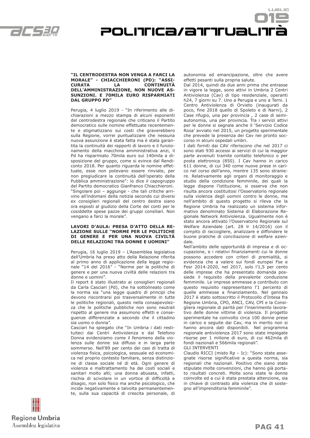

### **"IL CENTRODESTRA NON VENGA A FARCI LA MORALE" - CHIACCHIERONI (PD): "ASSI-CURATA LA CONTINUITÀ DELL'AMMINISTRAZIONE, NON NUOVE AS-SUNZIONI. E 70MILA EURO RISPARMIATI**

POLITICa/attuali

Perugia, 4 luglio 2019 - "In riferimento alle dichiarazioni a mezzo stampa di alcuni esponenti del centrodestra regionale che criticano il Partito democratico sulle nomine effettuate recentemente e stigmatizzano sui costi che graverebbero sulla Regione, vorrei puntualizzare che nessuna nuova assunzione è stata fatta ma è stata garantita la continuità dei rapporti di lavoro e il funzionamento della macchina amministrativa anzi, il Pd ha risparmiato 70mila euro sui 140mila a disposizione del gruppo, come si evince dal Rendiconto 2018. Per quanto riguarda le nomine effettuate, esse non potevano essere rinviate, per non pregiudicare la continuità dell'operato della Pubblica amministrazione": lo dice il capogruppo del Partito democratico Gianfranco Chiacchieroni. "Singolare poi – aggiunge - che tali critiche arrivino all'indomani della notizia secondo cui diversi ex consiglieri regionali del centro destra siano ora esposti al giudizio della Corte dei conti per le cosiddette spese pazze dei gruppi consiliari. Non vengano a farci la morale".

**DAL GRUPPO PD"**

#### **LAVORI D'AULA: PRESA D'ATTO DELLA RE-LAZIONE SULLE "NORME PER LE POLITICHE DI GENERE E PER UNA NUOVA CIVILTÀ DELLE RELAZIONI TRA DONNE E UOMINI"**

Perugia, 16 luglio 2019 – L'Assemblea legislativa dell'Umbria ha preso atto della Relazione riferita al primo anno di applicazione della legge regionale "14 del 2016" - "Norme per le politiche di genere e per una nuova civiltà delle relazioni tra donne e uomini".

Il report è stato illustrato ai consiglieri regionali da Carla Casciari (Pd), che ha sottolineato come la norma sia "una legge quadro di principi che devono riscontrarsi poi trasversalmente in tutte le politiche regionali, questo nella consapevolezza che le politiche pubbliche non sono neutrali rispetto al genere ma assumono effetti e conseguenze differenziate a secondo che il cittadino sia uomo o donna".

Casciari ha spiegato che "In Umbria i dati restituiteci dai Centri Antiviolenza e dal Telefono Donna evidenziamo come il fenomeno della violenza sulle donne sia diffuso e in larga parte sommerso. Nell'89 per cento dei casi di tratta di violenza fisica, psicologica, sessuale ed economica nel proprio contesto familiare, senza distinzione di classe sociale né di età. Ogni genere di violenza e maltrattamento ha dei costi sociali e sanitari molto alti; una donna abusata, infatti, rischia di scivolare in un vortice di difficoltà e disagio, non solo fisico ma anche psicologico, che incide negativamente e talvolta permanentemente, sulla sua capacità di crescita personale, di autonomia ed emancipazione, oltre che avere effetti pesanti sulla propria salute.

LUSLIO

Dal 2014, quindi da due anni prima che entrasse in vigore la legge, sono attivi in Umbria 2 Centri Antiviolenza (Cav) di tipo residenziale, operanti h24, 7 giorni su 7. Uno a Perugia e uno a Terni. 1 Centro Antiviolenza di Orvieto (inaugurati da poco, fine 2018 quello di Spoleto e di Narni), 2 Case rifugio, una per provincia , 2 case di semiautonomia, una per provincia. Tra i servizi attivi per le donne si segnala anche il 'Servizio Codice Rosa' avviato nel 2015, un progetto sperimentale che prevede la presenza dei Cav nei pronto soccorso in alcuni ospedali umbri.

I dati forniti dai CAV riferiscono che nel 2017 ci sono stati 930 accessi ai servizi di cui la maggior parte avvenuti tramite contatto telefonico o per posta elettronica (850). I Cav hanno in carico 611 donne, di cui 340 come nuove prese in carico nel corso dell'anno, mentre 135 sono straniere. Relativamente agli organi di monitoraggio e studio della condizione femminile, dei quali la legge dispone l'istituzione, si osserva che non risulta ancora costituitosi l'Osservatorio regionale sulla violenza degli uomini contro le donne, ma nell'ambito di questo progetto si rileva che la Regione Umbria ha realizzato un sistema informativo denominato Sistema di Elaborazione Regionale Network Antiviolenza. Ugualmente non è stato ancora attivato l'Osservatorio Regionale sul Welfare Aziendale (art. 28 lr 14/2016) con il compito di raccogliere, analizzare e diffondere le buone pratiche di conciliazione di welfare aziendale.

Nell'ambito delle opportunità di impresa e di occupazione, e i relativi finanziamenti cui le donne possono accedere con criteri di premialità, si evidenzia che a valere sui fondi europei Fse e Fesr 2014-2020, nel 2017, solo l'1,5 per cento delle imprese che ha presentato domanda possiede il requisito della prevalente conduzione femminile. Le imprese ammesse a contributo con questo requisito rappresentano l'1 percento di quelle ammesse a finanziamento. Nel gennaio 2017 è stato sottoscritto il Protocollo d'Intesa fra Regione Umbria, CPO, ANCI, CAV, CPI e la Consigliera regionale di parità per l'inserimento lavorativo delle donne vittime di violenza. Il progetto sperimentale ha coinvolto circa 100 donne prese in carico e seguite dai Cav, ma in merito non si hanno ancora dati disponibili. Nel programma regionale antiviolenza 2017 sono state impiegate risorse per 1 milione di euro, di cui 462mila di fondi nazionali e 566mila regionali".

GLI INTERVENTI

Claudio RICCI (misto Rp – Ic): "Sono state assegnate risorse significative a questa norma, sia regionali che nazionali. Positivo che siano state stipulate molte convenzioni, che hanno già portato risultati concreti. Molte sono state le donne coinvolte ed a cui è stata prestata attenzione, sia in chiave di contrasto alla violenza che di sostegno all'imprenditoria femminile".

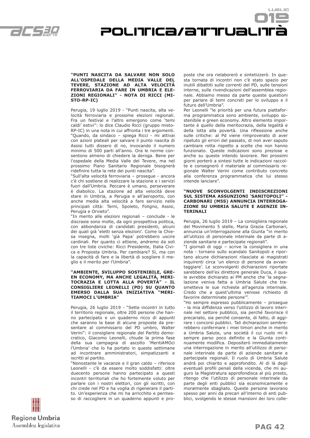



#### **"PUNTI NASCITA DA SALVARE NON SOLO ALL'OSPEDALE DELLA MEDIA VALLE DEL TEVERE, STAZIONE AD ALTA VELOCITÀ FERROVIARIA DA FARE IN UMBRIA E ELE-ZIONI REGIONALI" - NOTA DI RICCI (MI-STO-RP-IC)**

Perugia, 19 luglio 2019 - "Punti nascita, alta velocità ferroviaria e prossime elezioni regionali. Fra un festival e l'altro emergono come 'temi caldi' estivi": lo dice Claudio Ricci (gruppo misto-RP-IC) in una nota in cui affronta i tre argomenti. "Quando, da sindaco – spiega Ricci - mi attivai con azioni plateali per salvare il punto nascita di Assisi tutti dissero di no, invocando il numero minimo di 500 parti all'anno. Ora le norme consentono almeno di chiedere la deroga. Bene per l'ospedale della Media Valle del Tevere, ma nel prossimo Piano Sanitario Regionale bisognerà ridefinire tutta la rete dei punti nascita".

"Sull'alta velocità ferroviaria – prosegue - ancora c'è chi sostiene di realizzare la stazione e i servizi fuori dall'Umbria. Peccare è umano, perseverare è diabolico. La stazione ad alta velocità deve stare in Umbria, a Perugia e all'aeroporto, con anche media alta velocità a fare servizio nelle principali città: Terni, Spoleto, Foligno, Assisi, Perugia e Orvieto".

"In merito alle elezioni regionali – conclude - le discrasie sono molte, da ogni prospettiva politica, con abbondanza di candidati presidenti, alcuni dei quali già 'eletti senza elezioni'. Come la Chiesa insegna, molti 'già Papa' potrebbero uscire cardinali. Per quanto ci attiene, andremo da soli con tre liste civiche: Ricci Presidente, Italia Civica e Proposta Umbria. Per cambiare? Sì, ma con la capacità di fare e la libertà di scegliere il meglio e il merito per l'Umbria".

#### **"AMBIENTE, SVILUPPO SOSTENIBILE, GRE-EN ECONOMY, MA ANCHE LEGALITÀ, MERI-TOCRAZIA E LOTTA ALLA POVERTÀ" - IL CONSIGLIERE LEONELLI (PD) SU QUANTO EMERSO DALLA SUA INIZIATIVA TIAMOCI L'UMBRIA"**

Perugia, 26 luglio 2019 - "Sette incontri in tutto il territorio regionale, oltre 200 persone che hanno partecipato e un quaderno ricco di appunti che saranno la base di alcune proposte da presentare al commissario del PD umbro, Walter Verini": il consigliere regionale del Partito democratico, Giacomo Leonelli, chiude la prima fase della sua campagna di ascolto 'MeritiAMOci l'Umbria' che lo ha portato in queste settimane ad incontrare amministratori, simpatizzanti e iscritti al partito.

"Nonostante le vacanze e il gran caldo – riferisce Leonelli - c'è da essere molto soddisfatti: oltre duecento persone hanno partecipato a questi incontri territoriali che ho fortemente voluto per parlare con i nostri elettori, con gli iscritti, con chi crede nel PD e ha voglia di rigenerare il partito. Un'esperienza che mi ha arricchito e permesso di raccogliere in un quaderno appunti e proposte che ora rielaborerò e sintetizzerò. In questa tornata di incontri non c'è stato spazio per inutili dibattiti sulle correnti del PD, sulle tensioni interne, sulle rivendicazioni dell'assemblea regionale. Abbiamo messo da parte queste questioni per parlare di temi concreti per lo sviluppo e il futuro dell'Umbria".

Per Leonelli "le priorità per una futura piattaforma programmatica sono ambiente, sviluppo sostenibile e green economy. Altro elemento importante è quello della meritocrazia, della legalità e della lotta alla povertà. Una riflessione anche sulle critiche: al Pd viene rimproverato di aver ripetuto gli errori del passato, di non aver saputo cambiare rotta rispetto a scelte che non hanno funzionato. Queste indicazioni sono preziose e anche su queste intendo lavorare. Nei prossimi giorni porterò a sintesi tutte le indicazioni raccolte e consegnerò il materiale al commissario regionale Walter Verini come contributo concreto alla conferenza programmatica che lui stesso intende lanciare".

#### **"NUOVE SCONVOLGENTI INDISCREZIONI SUL SISTEMA ASSUNZIONI 'SANITOPOLI" - CARBONARI (M5S) ANNUNCIA INTERROGA-ZIONE SU UMBRIA SALUTE E AGENZIE IN-TERINALI**

Perugia, 26 luglio 2019 – La consigliera regionale del Movimento 5 stelle, Maria Grazia Carbonari, annuncia un'interrogazione alla Giunta "in merito all'utilizzo di personale interinale da parte di aziende sanitarie e partecipate regionali".

"I giornali di oggi – scrive la consigliera in una nota - tornano sullo scandalo Sanitopoli e riportano alcune dichiarazioni rilasciate ai magistrati inquirenti circa 'un elenco di persone da avvantaggiare'. Le sconvolgenti dichiarazioni riportate sarebbero dell'ex direttore generale Duca, il quale avrebbe dichiarato ai PM anche che 'la segnalazione veniva fatta a Umbria Salute che trasmetteva le sue richieste all'agenzia interinale. Credo che a quest'ultima venisse richiesto di favorire determinate persone'".

"Ho sempre espresso pubblicamente – prosegue - la mia diffidenza verso l'utilizzo di lavoro interinale nel settore pubblico, sia perché favorisce il precariato, sia perché consente, di fatto, di aggirare i concorsi pubblici. Tali dichiarazioni sembrerebbero confermare i miei timori anche in merito a Umbria Salute, una società il cui ruolo mi è sempre parso poco definito e la Giunta continuamente modifica. Depositerò immediatamente una interrogazione in merito all'utilizzo di personale interinale da parte di aziende sanitarie e partecipate regionali. Il ruolo di Umbria Salute andrà poi chiarito e approfondito. Al di là degli eventuali profili penali della vicenda, che mi auguro la Magistratura approfondisca al più presto, ritengo che l'utilizzo di personale interinale da parte degli enti pubblici sia economicamente e moralmente sbagliato. Queste persone lavorano spesso per anni da precari all'interno di enti pubblici, svolgendo le stesse mansioni dei loro colle-

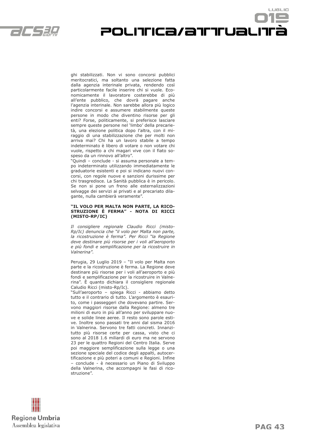

ghi stabilizzati. Non vi sono concorsi pubblici meritocratici, ma soltanto una selezione fatta dalla agenzia interinale privata, rendendo così particolarmente facile inserire chi si vuole. Economicamente il lavoratore costerebbe di più all'ente pubblico, che dovrà pagare anche l'agenzia interinale. Non sarebbe allora più logico indire concorsi e assumere stabilmente queste persone in modo che diventino risorse per gli enti? Forse, politicamente, si preferisce lasciare sempre queste persone nel 'limbo' della precarietà, una elezione politica dopo l'altra, con il miraggio di una stabilizzazione che per molti non arriva mai? Chi ha un lavoro stabile a tempo indeterminato è libero di votare o non votare chi vuole, rispetto a chi magari vive con il fiato sospeso da un rinnovo all'altro".

POLITICa/attual

"Quindi – conclude - si assuma personale a tempo indeterminato utilizzando immediatamente le graduatorie esistenti e poi si indicano nuovi concorsi, con regole nuove e sanzioni durissime per chi trasgredisce. La Sanità pubblica è in pericolo. Se non si pone un freno alle esternalizzazioni selvagge dei servizi ai privati e al precariato dilagante, nulla cambierà veramente".

#### **"IL VOLO PER MALTA NON PARTE, LA RICO-STRUZIONE È FERMA" - NOTA DI RICCI (MISTO-RP/IC)**

*Il consigliere regionale Claudio Ricci (misto-Rp/Ic) denuncia che "il volo per Malta non parte, la ricostruzione è ferma". Per Ricci "la Regione deve destinare più risorse per i voli all'aeroporto e più fondi e semplificazione per la ricostruire in Valnerina".*

Perugia, 29 Luglio 2019 – "Il volo per Malta non parte e la ricostruzione è ferma. La Regione deve destinare più risorse per i voli all'aeroporto e più fondi e semplificazione per la ricostruire in Valnerina". È quanto dichiara il consigliere regionale Caludio Ricci (misto-Rp/Ic).

"Sull'aeroporto – spiega Ricci - abbiamo detto tutto e il contrario di tutto. L'argomento è esaurito, come i passeggeri che dovevano partire. Servono maggiori risorse dalla Regione: almeno tre milioni di euro in più all'anno per sviluppare nuove e solide linee aeree. Il resto sono parole estive. Inoltre sono passati tre anni dal sisma 2016 in Valnerina. Servono tre fatti concreti. Innanzitutto più risorse certe per cassa, visto che ci sono al 2018 1.6 miliardi di euro ma ne servono 23 per le quattro Regioni del Centro Italia. Serve poi maggiore semplificazione sulla legge o una sezione speciale del codice degli appalti, autocertificazione e più poteri a comuni e Regioni. Infine – conclude - è necessario un Piano di Sviluppo della Valnerina, che accompagni le fasi di ricostruzione".



LUSLIO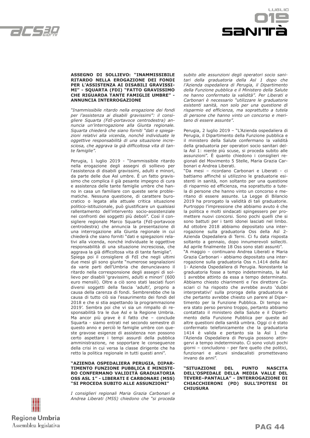



#### **ASSEGNO DI SOLLIEVO: "INAMMISSIBILE RITARDO NELLA EROGAZIONE DEI FONDI PER L'ASSISTENZA AI DISABILI GRAVISSI-MI" - SQUARTA (FDI) "FATTO GRAVISSIMO CHE RIGUARDA TANTE FAMIGLIE UMBRE" - ANNUNCIA INTERROGAZIONE**

*"Inammissibile ritardo nella erogazione dei fondi per l'assistenza ai disabili gravissimi": il consigliere Squarta (FdI-portavoce centrodestra) annuncia un'interrogazione alla Giunta regionale. Squarta chiederà che siano forniti "dati e spiegazioni relativi alla vicenda, nonché individuate le oggettive responsabilità di una situazione incresciosa, che aggrava la già difficoltosa vita di tante famiglie".* 

Perugia, 1 luglio 2019 - "Inammissibile ritardo nella erogazione degli assegni di sollievo per l'assistenza di disabili gravissimi, adulti e minori, da parte delle due Asl umbre. È un fatto gravissimo che complica il già pesante impegno di cura e assistenza delle tante famiglie umbre che hanno in casa un familiare con queste serie problematiche. Nessuna questione, di carattere burocratico o legata alla attuale critica situazione politico-istituzionale, può giustificare un qualsiasi rallentamento dell'intervento socio-assistenziale nei confronti dei soggetti più deboli". Così il consigliere regionale Marco Squarta (FdI-portavoce centrodestra) che annuncia la presentazione di una interrogazione alla Giunta regionale in cui chiederà che siano forniti "dati e spiegazioni relativi alla vicenda, nonché individuate le oggettive responsabilità di una situazione incresciosa, che aggrava la già difficoltosa vita di tante famiglie". Spiega poi il consigliere di FdI che negli ultimi due mesi gli sono giunte "numerose segnalazioni da varie parti dell'Umbria che denunciavano il ritardo nella corresponsione degli assegni di sollievo per disabili 'gravissimi, adulti e minori' (600 euro mensili). Oltre a ciò sono stati lasciati fuori diversi soggetti della fascia 'adulti', proprio a causa della carenza di fondi. Sembrerebbe che la causa di tutto ciò sia l'esaurimento dei fondi del 2018 e che si stia aspettando la programmazione 2019'. Sembra poi che vi sia un rimpallo di responsabilità tra le due Asl e la Regione Umbria. Ma ancor più grave è il fatto che – conclude Squarta - siamo entrati nel secondo semestre di questo anno e perciò le famiglie umbre con queste gravose esigenze di assistenza non possono certo aspettare i tempi assurdi della pubblica amministrazione, ne sopportare le conseguenze della crisi in cui versa la classe dirigente che ha retto la politica regionale in tutti questi anni".

#### **"AZIENDA OSPEDALIERA PERUGIA, DIPAR-TIMENTO FUNZIONE PUBBLICA E MINISTE-RO CONFERMANO VALIDITÀ GRADUATORIA OSS ASL 1" - LIBERATI E CARBONARI (M5S) "SI PROCEDA SUBITO ALLE ASSUNZIONI"**

*I consiglieri regionali Maria Grazia Carbonari e Andrea Liberati (M5S) chiedono che "si proceda*  *subito alle assunzioni degli operatori socio sanitari della graduatoria della Asl 1 dopo che l'Azienda ospedaliera di Perugia, il Dipartimento della Funzione pubblica e il Ministero della Salute ne hanno confermato la validità". Per Liberati e Carbonari è necessario "utilizzare le graduatorie esistenti sanità, non solo per una questione di risparmio ed efficienza, ma soprattutto a tutela di persone che hanno vinto un concorso e meritano di essere assunte".*

Perugia, 2 luglio 2019 – "L'Azienda ospedaliera di Perugia, il Dipartimento della Funzione pubblica e il ministero della Salute confermano la validità della graduatoria per operatori socio sanitari della Asl 1: niente più scuse, si proceda subito alle assunzioni". È quanto chiedono i consiglieri regionali del Movimento 5 Stelle, Maria Grazia Carbonari e Andrea Liberati.

"Da mesi – ricordano Carbonari e Liberati - ci battiamo affinché si utilizzino le graduatorie esistenti in sanità, non soltanto per una questione di risparmio ed efficienza, ma soprattutto a tutela di persone che hanno vinto un concorso e meritano di essere assunte. La Legge di Bilancio 2019 ha prorogato la validità di tali graduatorie. Purtroppo l'impressione che abbiamo avuto è che la politica e molti sindacati spingessero per promettere nuovi concorsi. Sono pochi quelli che si sono battuti per i tanti idonei lasciati nel limbo. Ad ottobre 2018 abbiamo depositato una interrogazione sulla graduatoria Oss della Asl 2- Azienda Ospedaliera di Terni. Ci fu data risposta soltanto a gennaio, dopo innumerevoli solleciti. Ad aprile finalmente 18 Oss sono stati assunti".

"A maggio – continuano Andrea Liberati e Maria Grazia Carbonari - abbiamo depositato una interrogazione sulla graduatoria Oss n.1414 della Asl 1- Azienda Ospedaliera di Perugia. Nonostante la graduatoria fosse a tempo indeterminato, la Asl 1 avrebbe attinto da essa a tempo determinato. Abbiamo chiesto chiarimenti e l'ex direttore Casciari ci ha risposto che avrebbe avuto 'dubbi interpretativi' sulla proroga della graduatoria e che pertanto avrebbe chiesto un parere al Dipartimento per la Funzione Pubblica. Di tempo ne era stato perso persino troppo, pertanto abbiamo contattato il ministero della Salute e il Dipartimento della Funzione Pubblica per queste ad altre questioni della sanità umbra. Oggi ci è stato confermato telefonicamente che la graduatoria 1414 è valida e pertanto sia la Asl 1 che l'Azienda Ospedaliera di Perugia possono attingervi a tempo indeterminato. Ci sono voluti pochi giorni – concludono - per fare quello che politici, funzionari e alcuni sindacalisti promettevano invano da anni".

**"SITUAZIONE DEL PUNTO NASCITA DELL'OSPEDALE DELLA MEDIA VALLE DEL TEVERE–PANTALLA" - INTERROGAZIONE DI CHIACCHIERONI (PD) SULL'IPOTESI DI CHIUSURA**

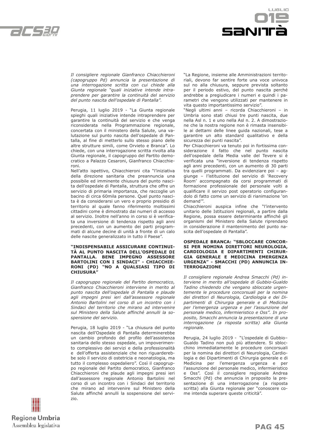



*Il consigliere regionale Gianfranco Chiacchieroni (capogruppo Pd) annuncia la presentazione di una interrogazione scritta con cui chiede alla Giunta regionale "quali iniziative intende intraprendere per garantire la continuità del servizio del punto nascita dell'ospedale di Pantalla".*

Perugia, 11 luglio 2019 - "La Giunta regionale spieghi quali iniziative intende intraprendere per garantire la continuità del servizio e che venga riconsiderata nella Programmazione regionale, concertata con il ministero della Salute, una valutazione sul punto nascita dell'ospedale di Pantalla, al fine di metterlo sullo stesso piano delle altre strutture simili, come Orvieto e Branca". Lo chiede, con una interrogazione scritta rivolta alla Giunta regionale, il capogruppo del Partito democratico a Palazzo Cesaroni, Gianfranco Chiacchieroni.

Nell'atto ispettivo, Chiacchieroni cita "l'iniziativa della direzione sanitaria che preannuncia una possibile ed imminente chiusura del punto nascita dell'ospedale di Pantalla, struttura che offre un servizio di primaria importanza, che raccoglie un bacino di circa 60mila persone. Quel punto nascita è da considerarsi un vero e proprio presidio di territorio al quale fanno riferimento moltissimi cittadini come è dimostrato dai numeri di accesso al servizio. Inoltre nell'anno in corso si è verificata una inversione di tendenza rispetto agli anni precedenti, con un aumento dei parti programmati di alcune decine di unità a fronte di un calo delle nascite generalizzato in tutto il Paese".

#### **"INDISPENSABILE ASSICURARE CONTINUI-TÀ AL PUNTO NASCITA DELL'OSPEDALE DI PANTALLA. BENE IMPEGNO ASSESSORE BARTOLINI CON I SINDACI" - CHIACCHIE-RONI (PD) "NO A QUALSIASI TIPO DI CHIUSURA"**

*Il capogruppo regionale del Partito democratico, Gianfranco Chiacchieroni interviene in merito al punto nascita dell'ospedale di Pantalla e plaude agli impegni presi ieri dall'assessore regionale Antonio Bartolini nel corso di un incontro con i Sindaci del territorio che mirano ad intervenire sul Ministero della Salute affinché annulli la sospensione del servizio.*

Perugia, 18 luglio 2019 - "La chiusura del punto nascita dell'Ospedale di Pantalla determinerebbe un cambio profondo del profilo dell'assistenza sanitaria dello stesso ospedale, un impoverimento complessivo dei servizi e della professionalità e dell'offerta assistenziale che non riguarderebbe solo il servizio di ostetricia e neonatologia, ma tutto il complesso ospedaliero". Così il capogruppo regionale del Partito democratico, Gianfranco Chiacchieroni che plaude agli impegni presi ieri dall'assessore regionale Antonio Bartolini nel corso di un incontro con i Sindaci del territorio che mirano ad intervenire sul Ministero della Salute affinché annulli la sospensione del servizio.

"La Regione, insieme alle Amministrazioni territoriali, devono far sentire forte una voce univoca sul no alla chiusura, seppure prevista soltanto per il periodo estivo, del punto nascita perché andrebbe a pregiudicare i numeri e quindi i parametri che vengono utilizzati per mantenere in vita questo importantissimo servizio".

"Negli ultimi anni – ricorda Chiacchieroni – in Umbria sono stati chiusi tre punti nascita, due nella Asl n. 1 e uno nella Asl n. 2. A dimostrazione che la nostra regione non è rimasta insensibile ai dettami delle linee guida nazionali, tese a garantire un alto standard qualitativo e della sicurezza dei punti nascita".

Per Chiacchieroni va tenuto poi in fortissima considerazione il fatto che nel punto nascita dell'ospedale della Media valle del Tevere si è verificata una "inversione di tendenza rispetto agli anni precedenti, con un aumento di 30 parti tra quelli programmati. Da evidenziare poi – aggiunge – l'istituzione del servizio di 'Recovery Room' accompagnato da corsi programmati di formazione professionale del personale volti a qualificare il servizo post operatorio configurandolo di fatto come un servizio di rianimazione 'on demand'".

Chiacchieroni auspica infine che "l'intervento unitario delle Istituzioni regionali, a partire dalla Regione, possa essere determinante affinché gli organismi del Ministero della Salute riprendano in considerazione il mantenimento del punto nascita dell'ospedale di Pantalla".

#### **OSPEDALE BRANCA: "SBLOCCARE CONCOR-SI PER NOMINA DIRETTORI NEUROLOGIA, CARDIOLOGIA E DIPARTIMENTI CHIRUR-GIA GENERALE E MEDICINA EMERGENZA URGENZA" - SMACCHI (PD) ANNUNCIA IN-TERROGAZIONE**

*Il consigliere regionale Andrea Smacchi (Pd) interviene in merito all'ospedale di Gubbio-Gualdo Tadino chiedendo che vengano sbloccate urgentemente le procedure concorsuali per la nomina dei direttori di Neurologia, Cardiologia e dei Dipartimenti di Chirurgia generale e di Medicina per l'emergenza urgenza e per l'assunzione del personale medico, infermieristico e Oss". In proposito, Smacchi annuncia la presentazione di una interrogazione (a risposta scritta) alla Giunta regionale.* 

Perugia, 24 luglio 2019 - "L'ospedale di Gubbio– Gualdo Tadino non può più attendere. Si sblocchino immediatamente le procedure concorsuali per la nomina dei direttori di Neurologia, Cardiologia e dei Dipartimenti di Chirurgia generale e di Medicina per l'emergenza urgenza e per l'assunzione del personale medico, infermieristico e Oss". Così il consigliere regionale Andrea Smacchi (Pd) che annuncia in proposito la presentazione di una interrogazione (a risposta scritta) alla Giunta regionale per "conoscere come intenda superare queste criticità".

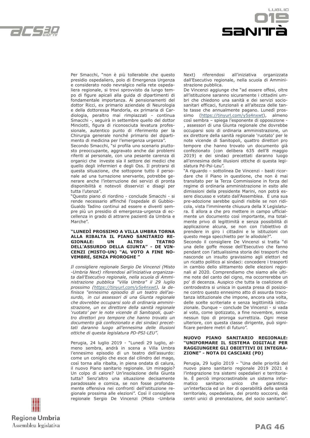



Per Smacchi, "non è più tollerabile che questo presidio ospedaliero, polo di Emergenza Urgenza e considerato nodo nevralgico nella rete ospedaliera regionale, si trovi sprovvisto da lungo tempo di figure apicali alla guida di dipartimenti di fondamentale importanza. Ai pensionamenti del dottor Ricci, ex primario aziendale di Neurologia e della dottoressa Mandorla, ex primaria di Cardiologia, peraltro mai rimpiazzati - continua Smacchi -, seguirà in settembre quello del dottor Minciotti, figura di riconosciuta levatura professionale, autentico punto di riferimento per la Chirurgia generale nonché primario del dipartimento di medicina per l'emergenza urgenza".

Secondo Smacchi, "si profila uno scenario piuttosto preoccupante, aggravato anche dai problemi riferiti al personale, con una pesante carenza di organici che investe sia il settore dei medici che quello degli infermieri e degli Oss. Il protrarsi di questa situazione, che sottopone tutto il personale ad una turnazione snervante, potrebbe generare anche l'interruzione dei servizi di pronta disponibilità e notevoli disservizi e disagi per tutta l'utenza".

"Questo piano di riordino - conclude Smacchi - si rende necessario affinché l'ospedale di Gubbio-Gualdo Tadino continui ad essere e diventi sempre più un presidio di emergenza-urgenza di eccellenza in grado di attrarre pazienti da Umbria e Marche".

#### **"LUNEDÌ PROSSIMO A VILLA UMBRA TORNA ALLA RIBALTA IL PIANO SANITARIO RE-GIONALE: UN ALTRO TEATRO DELL'ASSURDO DELLA GIUNTA" - DE VIN-CENZI (MISTO-UN) "AL VOTO A FINE NO-VEMBRE, SENZA PROROGHE "**

*Il consigliere regionale Sergio De Vincenzi (Misto -Umbria Next) riferendosi all'iniziativa organizzata dall'Esecutivo regionale, nella scuola di Amministrazione pubblica "Villa Umbra" il 29 luglio prossimo (https://tinyurl.com/y5s4nxwt), la definisce "ennesimo episodio di un teatro dell'assurdo, in cui assessori di una Giunta regionale che dovrebbe occuparsi solo di ordinaria amministrazione, un ex direttore della sanità regionale 'ruotato' per le note vicende di Sanitopoli, quattro direttori pro tempore che hanno trovato un documento già confezionato e dei sindaci precettati daranno luogo all'ennesima delle illusioni ottiche di questa legislatura PD-PSI-LEU".* 

Perugia, 24 luglio 2019 - "Lunedì 29 luglio, almeno sembra, andrà in scena a Villa Umbra l'ennesimo episodio di un teatro dell'assurdo: come un coniglio che esce dal cilindro del mago, così torna alla ribalta, in piena ondata di calura, il nuovo Piano sanitario regionale. Un miraggio? Un colpo di calore? Un'insolazione della Giunta tutta? Senz'altro una situazione decisamente paradossale e comica, se non fosse profondamente offensiva nei confronti dell'istituzione regionale prossima alle elezioni". Così il consigliere regionale Sergio De Vincenzi (Misto -Umbria Next) riferendosi all'iniziativa organizzata dall'Esecutivo regionale, nella scuola di Amministrazione pubblica.

De Vincenzi aggiunge che "ad essere offesi, oltre all'istituzione saranno sicuramente i cittadini umbri che chiedono una sanità e dei servizi sociosanitari efficaci, funzionali e all'altezza delle tante tasse che annualmente pagano. Lunedì prossimo (https://tinyurl.com/y5s4nxwt), almeno così sembra – spiega l'esponente di opposizione - , assessori di una Giunta regionale che dovrebbe occuparsi solo di ordinaria amministrazione, un ex direttore della sanità regionale 'ruotato' per le note vicende di Sanitopoli, quattro direttori pro tempore che hanno trovato un documento già confezionato (con delibera 635 dell'8 maggio 2019) e dei sindaci precettati daranno luogo all'ennesima delle illusioni ottiche di questa legislatura Pd-Psi-Leu".

"A riguardo – sottolinea De Vincenzi - basti ricordare che il Piano in questione, che non è mai transitato per la Terza Commissione in forza del regime di ordinaria amministrazione in esito alle dimissioni della presidente Marini, non potrà essere discusso e votato dall'Assemblea. E una sua pre-adozione sarebbe quindi risibile se non ridicola, vista l'imminente chiusura della X Legislatura. E allora a che pro mettere in campo ufficialmente un documento così importante, ma totalmente privo di legittimità e senza possibilità di applicazione alcuna, se non con l'obiettivo di prendere in giro i cittadini e le istituzioni con questo mega specchietto per le allodole?".

Secondo il consigliere De Vincenzi si tratta "di una delle goffe mosse dell'Esecutivo che fanno pendant con l'attualissima storia dei trasporti che nasconde un insulto gravissimo agli elettori ed un ricatto politico ai sindaci: concedere i trasporti in cambio dello slittamento delle elezioni regionali al 2020. Comprendiamo che siamo alle ultime note del canto del cigno, ma occorrerebbe un po' di decenza. Auspico che tutta la coalizione di centrodestra si unisca in questa presa di posizione contro questo ennesimo atto di assurda tracotanza istituzionale che impone, ancora una volta, delle scelte scriteriate e senza legittimità istituzionale. Dunque – conclude De Vincenzi - si vada al voto, come ipotizzato, a fine novembre, senza nessun tipo di proroga surrettizia. Ogni mese ulteriore, con questa classe dirigente, può significare perdere metri di futuro".

#### **NUOVO PIANO SANITARIO REGIONALE: "UNIFORMARE IL SISTEMA DIGITALE PER RAGGIUNGERE GLI OBIETTIVI DI INTEGRA-ZIONE" - NOTA DI CASCIARI (PD)**

Perugia, 29 luglio 2019 – "Una delle priorità del nuovo piano sanitario regionale 2019 2021 è l'integrazione tra sistemi ospedalieri e territoriale. È perciò improcrastinabile un sistema informatico sanitario unico che garantisca un'interfaccia ed un iter di operabilità della sanità territoriale, ospedaliera, dei pronto soccorsi, dei centri unici di prenotazione, del socio sanitario".

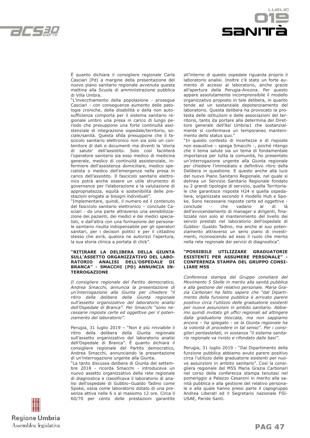



È quanto dichiara il consigliere regionale Carla Casciari (Pd) a margine della presentazione del nuovo piano sanitario regionale avvenuta questa mattina alla Scuola di amministrazione pubblica di Villa Umbra.

"L'invecchiamento della popolazione - prosegue Casciari - con conseguenze aumento delle patologie croniche, della disabilità e della non autosufficienza comporta per il sistema sanitario regionale umbro una presa in carico di lungo periodo che presuppone una forte continuità assistenziale di integrazione ospedale/territorio, sociale/sanità. Questa sfida presuppone che il fascicolo sanitario elettronico non sia solo un contenitore di dati e documenti ma diventi la 'storia di salute' dell'assistito. Solo così faciliterà l'operatore sanitario sia esso medico di medicina generale, medico di continuità assistenziale, infermiere dell'assistenza domiciliare, medico specialista o medico dell'emergenza nella presa in carico dell'assistito. Il fascicolo sanitario elettronico potrà anche essere un utile strumento di governance per l'elaborazione e la valutazione di appropriatezza, equità e sostenibilità delle prestazioni erogate ai bisogni individuali".

"Implementare, quindi, il numero ed il contenuto del fascicolo sanitario elettronico – conclude Casciari - da una parte attraverso una sensibilizzazione dei pazienti, dei medici e dei medici specialisti, e dall'altra con una formazione del personale sanitario risulta indispensabile per gli operatori sanitari, per i decisori politici e per il cittadino stesso che avrà, qualora ne autorizzi l'apertura, la sua storia clinica a portata di click".

#### **"RITIRARE LA DELIBERA DELLA GIUNTA SULL'ASSETTO ORGANIZZATIVO DEL LABO-RATORIO ANALISI DELL'OSPEDALE DI BRANCA" - SMACCHI (PD) ANNUNCIA IN-TERROGAZIONE**

*Il consigliere regionale del Partito democratico, Andrea Smacchi, annuncia la presentazione di un'interrogazione alla Giunta per chiedere "il ritiro della delibera della Giunta regionale sull'assetto organizzativo del laboratorio analisi dell'Ospedale di Branca". Per Smacchi "sono necessarie risposte certe ed oggettive per il potenziamento del laboratorio".*

Perugia, 31 luglio 2019 – "Non è più rinviabile il ritiro della delibera della Giunta regionale sull'assetto organizzativo del laboratorio analisi dell'Ospedale di Branca". È quanto dichiara il consigliere regionale del Partito democratico, Andrea Smacchi, annunciando la presentazione di un'interrogazione urgente alla Giunta.

"La tanto discussa delibera di Giunta del settembre 2018 - ricorda Smacchi - introduceva un nuovo assetto organizzativo della rete regionale di diagnostica e classificava il laboratorio di analisi dell'ospedale di Gubbio–Gualdo Tadino come Spoke, ossia come laboratorio dotato di una presenza attiva nelle 6 o al massimo 12 ore. Circa il 60/70 per cento delle prestazioni garantite all'interno di questo ospedale riguarda proprio il laboratorio analisi. Inoltre c'è stato un forte aumento di accessi al laboratorio, anche grazie all'apertura della Perugia-Ancona. Per questo appare assolutamente incomprensibile il modello organizzativo proposto in tale delibera, in quanto tende ad un sostanziale depotenziamento del laboratorio. Questa delibera ha provocato la protesta delle istituzioni e delle associazioni del territorio, tanto da portare alla determina del Direttore generale dell'Asl Umbria1 che sostanzialmente si confermava un temporaneo mantenimento dello status quo."

"In questo contesto di incertezze e di risposte non esaustive – spiega Smacchi -, poiché ritengo che il tema salute sia un tema di fondamentale importanza per tutta la comunità, ho presentato un'interrogazione urgente alla Giunta regionale per chiedere l'immediato e definitivo ritiro della Delibera in questione. E questo anche alla luce del nuovo Piano Sanitario Regionale, nel quale si delinea un Servizio Sanitario Regionale fondato su 2 grandi tipologie di servizio, quella Territoriale che garantisce risposte H24 e quella ospedaliera, organizzata secondo il modello Hub e Spoke. Sono necessarie risposte certe ed oggettive conclude - che vadano al di là dell'avvicendamento di manager e dirigenti, finalizzate non solo al mantenimento del livello dei servizi prestati nel laboratorio dell'ospedale di Gubbio- Gualdo Tadino, ma anche al suo potenziamento attraverso un serio piano di investimenti, riconoscendo ad esso il ruolo che merita nella rete regionale dei servizi di diagnostica".

#### **"POSSIBILE UTILIZZARE GRADUATORIE ESISTENTI PER ASSUMERE PERSONALE" - CONFERENZA STAMPA DEL GRUPPO CONSI-LIARE M5S**

*Conferenza stampa del Gruppo consiliare del Movimento 5 Stelle in merito alla sanità pubblica e alla gestione del relativo personale. Maria Grazia Carbonari ha fatto sapere che "dal Dipartimento della funzione pubblica è arrivato parere positivo circa l'utilizzo delle graduatorie esistenti per nuove assunzioni in ambito sanitario. Abbiamo quindi invitato gli uffici regionali ad attingere dalla graduatoria bloccata, ma non sappiamo ancora – ha spiegato - se la Giunta regionale ha la volontà di procedere in tal senso". Per i consiglieri pentastellati, in sostanza "il sistema sanitario regionale va rivisto e rifondato dalle basi".*

Perugia, 31 luglio 2019 - "Dal Dipartimento della funzione pubblica abbiamo avuto parere positivo circa l'utilizzo delle graduatorie esistenti per nuove assunzioni in ambito sanitario". Così la consigliera regionale del M5S Maria Grazia Carbonari nel corso della conferenza stampa tenutasi nel pomeriggio a Palazzo Cesaroni in merito alla sanità pubblica e alla gestione del relativo personale e alla quale hanno preso parte il capogruppo Andrea Liberati ed il Segretario nazionale FSI-USAE, Paride Santi.

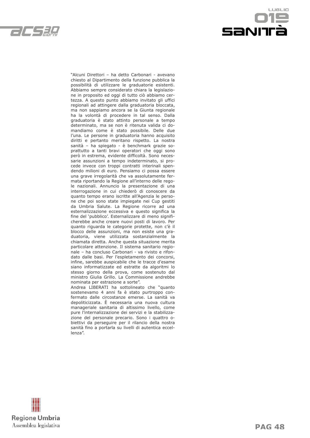



"Alcuni Direttori – ha detto Carbonari - avevano chiesto al Dipartimento della funzione pubblica la possibilità di utilizzare le graduatorie esistenti. Abbiamo sempre considerato chiara la legislazione in proposito ed oggi di tutto ciò abbiamo certezza. A questo punto abbiamo invitato gli uffici regionali ad attingere dalla graduatoria bloccata, ma non sappiamo ancora se la Giunta regionale ha la volontà di procedere in tal senso. Dalla graduatoria è stato attinto personale a tempo determinato, ma se non è ritenuta valida ci domandiamo come è stato possibile. Delle due l'una. Le persone in graduatoria hanno acquisito diritti e pertanto meritano rispetto. La nostra sanità – ha spiegato - è benchmark grazie soprattutto a tanti bravi operatori che oggi sono però in estrema, evidente difficoltà. Sono necessarie assunzioni a tempo indeterminato, si procede invece con troppi contratti interinali spendendo milioni di euro. Pensiamo ci possa essere una grave irregolarità che va assolutamente fermata riportando la Regione all'interno delle regole nazionali. Annuncio la presentazione di una interrogazione in cui chiederò di conoscere da quanto tempo erano iscritte all'Agenzia le persone che poi sono state impiegate nei Cup gestiti da Umbria Salute. La Regione ricorre ad una esternalizzazione eccessiva e questo significa la fine del 'pubblico'. Esternalizzare di meno significherebbe anche creare nuovi posti di lavoro. Per quanto riguarda le categorie protette, non c'è il blocco delle assunzioni, ma non esiste una graduatoria, viene utilizzata sostanzialmente la chiamata diretta. Anche questa situazione merita particolare attenzione. Il sistema sanitario regionale – ha concluso Carbonari - va rivisto e rifondato dalle basi. Per l'espletamento dei concorsi, infine, sarebbe auspicabile che le tracce d'esame siano informatizzate ed estratte da algoritmi lo stesso giorno della prova, come sostenuto dal ministro Giulia Grillo. La Commissione andrebbe nominata per estrazione a sorte".

Andrea LIBERATI ha sottolineato che "quanto sostenevamo 4 anni fa è stato purtroppo confermato dalle circostanze emerse. La sanità va depoliticizzata. È necessaria una nuova cultura manageriale sanitaria di altissimo livello, come pure l'internalizzazione dei servizi e la stabilizzazione del personale precario. Sono i quattro obiettivi da perseguire per il rilancio della nostra sanità fino a portarla su livelli di autentica eccellenza".

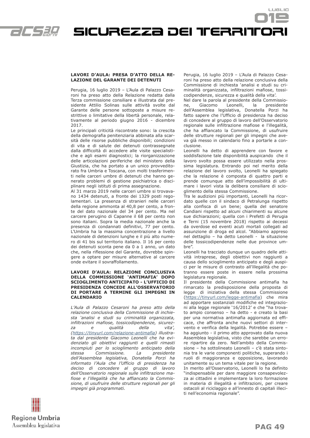

#### **LAVORI D'AULA: PRESA D'ATTO DELLA RE-LAZIONE DEL GARANTE DEI DETENUTI**

Perugia, 16 luglio 2019 – L'Aula di Palazzo Cesaroni ha preso atto della Relazione redatta dalla Terza commissione consiliare e illustrata dal presidente Attilio Solinas sulle attività svolte dal Garante delle persone sottoposte a misure restrittive o limitative della libertà personale, relativamente al periodo giugno 2016 - dicembre 2017.

Le principali criticità riscontrate sono: la crescita della demografia penitenziaria abbinata alla scarsità delle risorse pubbliche disponibili; condizioni di vita e di salute dei detenuti contrassegnate dalla difficoltà di accedere alle visite specialistiche e agli esami diagnostici; la riorganizzazione delle articolazioni periferiche del ministero della Giustizia, che ha portato a un unico provveditorato fra Umbria e Toscana, con molti trasferimenti nelle carceri umbre di detenuti che hanno generato problemi di gestione psichiatrica o disciplinare negli istituti di prima assegnazione.

Al 31 marzo 2019 nelle carceri umbre si trovavano 1434 detenuti, a fronte dei 1329 posti regolamentari. La presenza di stranieri nelle carceri della regione ammonta al 40,8 per cento, a fronte del dato nazionale del 34 per cento. Ma nel carcere perugino di Capanne il 68 per cento non sono italiani. Sopra la media nazionale anche la presenza di condannati definitivi, 77 per cento. L'Umbria ha la massima concentrazione a livello nazionale di detenzioni lunghe e il più alto numero di 41 bis sul territorio italiano. Il 16 per cento dei detenuti sconta pene da 0 a 1 anno, un dato che, nella riflessione del Garante, dovrebbe spingere a optare per misure alternative al carcere onde evitare il sovraffollamento.

#### **LAVORI D'AULA: RELAZIONE CONCLUSIVA DELLA COMMISSIONE 'ANTIMAFIA' DOPO SCIOGLIMENTO ANTICIPATO - L'UFFICIO DI PRESIDENZA CONCEDE ALL'OSSERVATORIO DI PORTARE A TERMINE GLI IMPEGNI IN CALENDARIO**

*L'Aula di Palazzo Cesaroni ha preso atto della relazione conclusiva della Commissione di inchiesta 'analisi e studi su criminalità organizzata, infiltrazioni mafiose, tossicodipendenze, sicurez*za e qualità della *(https://tinyurl.com/relazione-antimafia) illustrata dal presidente Giacomo Leonelli che ha evidenziato gli obiettivi raggiunti e quelli rimasti incompiuti per lo scioglimento anticipato della stessa Commissione.* La *dell'Assemblea legislativa, Donatella Porzi ha informato l'Aula che l'Ufficio di presidenza ha deciso di concedere al gruppo di lavoro dell'Osservatorio regionale sulle infiltrazione mafiose e l'illegalità che ha affiancato la Commissione, di usufruire delle strutture regionali per gli impegni già programmati.* 

Perugia, 16 luglio 2019 – L'Aula di Palazzo Cesaroni ha preso atto della relazione conclusiva della Commissione di inchiesta 'analisi e studi su criminalità organizzata, infiltrazioni mafiose, tossicodipendenze, sicurezza e qualità della vita'.

LUSLIO

Nel dare la parola al presidente della Commissione, Giacomo Leonelli, la presidente dell'Assemblea legislativa, Donatella Porzi ha fatto sapere che l'Ufficio di presidenza ha deciso di concedere al gruppo di lavoro dell'Osservatorio regionale sulle infiltrazione mafiose e l'illegalità, che ha affiancato la Commissione, di usufruire delle strutture regionali per gli impegni che aveva già messo in calendario fino a portarle a conclusione.

Leonelli ha detto di apprendere con favore e soddisfazione tale disponibilità auspicando che il lavoro svolto possa essere utilizzato nella prossima legislatura. Entrando poi nel merito della relazione del lavoro svolto, Leonelli ha spiegato che la relazione è composta di quattro parti e prende comunque atto dell'impossibilità di ultimare i lavori vista la delibera consiliare di scioglimento della stessa Commissione.

Tra le audizioni più importanti, Leonelli ha ricordato quelle con il sindaco di Petralunga rispetto alla confisca di un bene; quella del senatore Candiani rispetto ad alcuni chiarimenti su alcune sue dichiarazioni; quella con i Prefetti di Perugia e Terni (15 novembre 2018) rispetto ai decessi da overdose ed eventi acuti mortali collegati ad assunzione di droga ed alcol. "Abbiamo appreso nel dettaglio – ha detto Leonelli - la situazione delle tossicodipendenze nelle due province umbre".

Leonelli ha tracciato dunque un quadro delle attività intraprese, degli obiettivi non raggiunti a causa dello scioglimento anticipato e degli auspici per le misure di contrasto all'illegalità che potranno essere poste in essere nella prossima legislatura regionale.

Il presidente della Commissione antimafia ha rimarcato la predisposizione della proposta di legge di iniziativa della stessa Commissione (https://tinyurl.com/legge-antimafia) che mira ad apportare sostanziali modifiche ed integrazioni alla legge regionale '16/2012' e che "ha trovato ampio consenso – ha detto - e creato la basi per una normativa antimafia aggiornata ed efficace, che affronta anche nuovi settori di intervento e verifica della legalità. Potrebbe essere – ha aggiunto - il primo atto approvato dalla nuova Assemblea legislativa, visto che sarebbe un errore ripartire da zero. Nell'ambito della Commissione – ha sottolineato Leonelli – c'è stata sintonia tra le varie componenti politiche, superando i ruoli di maggioranza e opposizione, lavorando unitamente su un tema vitale per la regione.

In merito all'Osservatorio, Leonelli lo ha definito "indispensabile per dare maggiore consapevolezza ai cittadini e implementare la loro formazione in materia di illegalità e infiltrazioni, per creare ostacoli al riciclaggio e all'innesto di capitali illeciti nell'economia regionale".

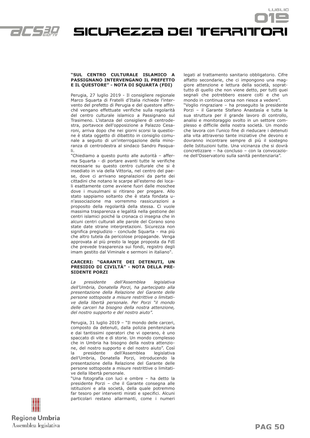

Sicurezza dei territori

#### **"SUL CENTRO CULTURALE ISLAMICO A PASSIGNANO INTERVENGANO IL PREFETTO E IL QUESTORE" - NOTA DI SQUARTA (FDI)**

Perugia, 27 luglio 2019 - Il consigliere regionale Marco Squarta di Fratelli d'Italia richiede l'intervento del prefetto di Perugia e del questore affinché vengano effettuate verifiche sulla regolarità del centro culturale islamico a Passignano sul Trasimeno. L'istanza del consigliere di centrodestra, portavoce dell'opposizione a Palazzo Cesaroni, arriva dopo che nei giorni scorsi la questione è stata oggetto di dibattito in consiglio comunale a seguito di un'interrogazione della minoranza di centrodestra al sindaco Sandro Pasquali.

"Chiediamo a questo punto alle autorità – afferma Squarta - di portare avanti tutte le verifiche necessarie su questo centro culturale che si è insediato in via della Vittoria, nel centro del paese, dove ci arrivano segnalazioni da parte dei cittadini che notano le scarpe all'esterno dei locali esattamente come avviene fuori dalle moschee dove i musulmani si ritirano per pregare. Allo stato sappiamo soltanto che è stata fondata un'associazione ma vorremmo rassicurazioni a proposito della regolarità della stessa. Ci vuole massima trasparenza e legalità nella gestione dei centri islamici poiché la cronaca ci insegna che in alcuni centri culturali alle parole del Corano sono state date strane interpretazioni. Sicurezza non significa pregiudizio - conclude Squarta - ma più che altro tutela da pericolose propagande. Venga approvata al più presto la legge proposta da FdI che prevede trasparenza sui fondi, registro degli imam gestito dal Viminale e sermoni in italiano".

#### **CARCERI: "GARANTE DEI DETENUTI, UN PRESIDIO DI CIVILTÀ" - NOTA DELLA PRE-SIDENTE PORZI**

*La presidente dell'Assemblea legislativa dell'Umbria, Donatella Porzi, ha partecipato alla presentazione della Relazione del Garante delle persone sottoposte a misure restrittive o limitative della libertà personale. Per Porzi "il mondo delle carceri ha bisogno della nostra attenzione, del nostro supporto e del nostro aiuto".*

Perugia, 31 luglio 2019 – "Il mondo delle carceri, composto da detenuti, dalla polizia penitenziaria e dai tantissimi operatori che vi operano, è uno spaccato di vite e di storie. Un mondo complesso che in Umbria ha bisogno della nostra attenzione, del nostro supporto e del nostro aiuto". Così la presidente dell'Assemblea legislativa dell'Umbria, Donatella Porzi, introducendo la presentazione della Relazione del Garante delle persone sottoposte a misure restrittive o limitative della libertà personale.

"Una fotografia con luci e ombre – ha detto la presidente Porzi – che il Garante consegna alle istituzioni e alla società, della quale potremmo far tesoro per interventi mirati e specifici. Alcuni particolari restano allarmanti, come i numeri legati al trattamento sanitario obbligatorio. Cifre affatto secondarie, che ci impongono una maggiore attenzione e lettura della società, soprattutto di quello che non viene detto, per tutti quei segnali che potrebbero essere colti e che un mondo in continua corsa non riesce a vedere". "Voglio ringraziare – ha proseguito la presidente Porzi – il Garante Stefano Anastasìa e tutta la sua struttura per il grande lavoro di controllo, analisi e monitoraggio svolto in un settore complesso e difficile della nostra società. Un mondo che lavora con l'unico fine di rieducare i detenuti alla vita attraverso tante iniziative che devono e dovranno incontrare sempre di più il sostegno delle Istituzioni tutte. Una vicinanza che si dovrà concretizzare – ha concluso – con la convocazione dell'Osservatorio sulla sanità penitenziaria".

LUSLIO

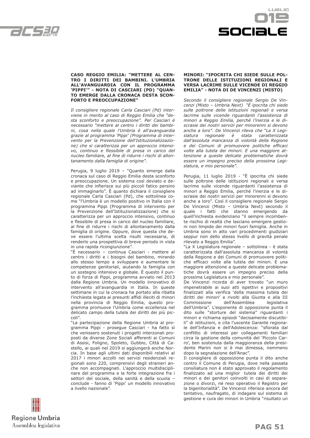



#### **CASO REGGIO EMILIA: "METTERE AL CEN-TRO I DIRITTI DEI BAMBINI. L'UMBRIA ALL'AVANGUARDIA CON IL PROGRAMMA 'PIPPI'" - NOTA DI CASCIARI (PD) "QUAN-TO EMERGE DALLA CRONACA DESTA SCON-FORTO E PREOCCUPAZIONE"**

*Il consigliere regionale Carla Casciari (Pd) interviene in merito al caso di Reggio Emilia che "desta sconforto e preoccupazione". Per Casciari è necessario "mettere al centro i diritti dei bambini, cosa nella quale l'Umbria è all'avanguardia grazie al programma 'Pippi' (Programma di intervento per la Prevenzione dell'Istituzionalizzazione) che si caratterizza per un approccio intensivo, continuo e flessibile di presa in carico del nucleo familiare, al fine di ridurre i rischi di allontanamento dalla famiglia di origine".*

Perugia, 9 luglio 2019 – "Quanto emerge dalla cronaca sul caso di Reggio Emilia desta sconforto e preoccupazione. Un sistema così deviato e deviante che infierisce sui più piccoli fatico persino ad immaginarlo". È quanto dichiara il consigliere regionale Carla Casciari (Pd), che sottolinea come "l'Umbria è un modello positivo in Italia con il programma Pippi (Programma di intervento per la Prevenzione dell'Istituzionalizzazione) che si caratterizza per un approccio intensivo, continuo e flessibile di presa in carico del nucleo familiare, al fine di ridurre i rischi di allontanamento dalla famiglia di origine. Oppure, dove questa che deve essere l'ultima scelta risulti necessaria, di renderlo una prospettiva di breve periodo in vista in una rapida ricongiunzione".

"È necessario – continua Casciari - mettere al centro i diritti e i bisogni del bambino, mirando allo stesso tempo a sviluppare e aumentare le competenze genitoriali, aiutando la famiglia con un sostegno intensivo e globale. È questo il punto di forza di Pippi, programma avviato nel 2013 dalla Regione Umbria. Un modello innovativo di intervento all'avanguardia in Italia. In queste settimane in cui la cronaca ha portato alla ribalta l'inchiesta legata ai presunti affidi illeciti di minori nella provincia di Reggio Emilia, questo programma promuove l'Umbria come eccellenza nel delicato campo della tutela dei diritti dei più piccoli".

"La partecipazione della Regione Umbria al programma Pippi - prosegue Casciari - ha fatto sì che venissero sostenuti i progetti interzonali proposti da diverse Zone Sociali afferenti ai Comuni di Assisi, Foligno, Spoleto, Gubbio, Città di Castello, ai quali nel 2019 si aggiungerà anche Norcia. In base agli ultimi dati disponibili relativi al 2017 i minori accolti nei servizi residenziali regionali sono 220, comprensivi degli stranieri anche non accompagnati. L'approccio multidisciplinare del programma e la forte integrazione fra i settori del sociale, della sanità e della scuola – conclude - fanno di 'Pippi' un modello innovativo a livello nazionale".

#### **MINORI: "IPOCRITA CHI SIEDE SULLE POL-TRONE DELLE ISTITUZIONI REGIONALI E VERSA LACRIME SULLE VICENDE DI REGGIO EMILIA" - NOTA DI DE VINCENZI (MISTO)**

*Secondo il consigliere regionale Sergio De Vincenzi (Misto – Umbria Next) "È ipocrita chi siede sulle poltrone delle istituzioni regionali e versa lacrime sulle vicende riguardanti l'assistenza di minori a Reggio Emilia, perché l'inerzia e le discrasie dei nostri servizi per minorenni si devono anche a loro". De Vincenzi rileva che "La X Legislatura regionale è stata caratterizzata dall'assoluta mancanza di volontà della Regione e dei Comuni di promuovere politiche efficaci volte alla tutela dei minori. E una maggiore attenzione a queste delicate problematiche dovrà essere un impegno preciso della prossima Legislatura, e mio personale".*

Perugia, 11 luglio 2019 - "È ipocrita chi siede sulle poltrone delle istituzioni regionali e versa lacrime sulle vicende riguardanti l'assistenza di minori a Reggio Emilia, perché l'inerzia e le discrasie dei nostri servizi per minorenni si devono anche a loro". Così il consigliere regionale Sergio De Vincenzi (Misto – Umbria Next) secondo il quale i fatti che stanno emergendo da quell'inchiesta evidenziano "il sempre incombente rischio di realtà che lasciano emergere gestioni non limpide dei minori fuori famiglia. Anche in Umbria sono in atto vari procedimenti giudiziari seppur non dello stesso livello di gravità penale rilevato a Reggio Emilia".

"La X Legislatura regionale – sottolinea - è stata caratterizzata dall'assoluta mancanza di volontà della Regione e dei Comuni di promuovere politiche efficaci volte alla tutela dei minori. E una maggiore attenzione a queste delicate problematiche dovrà essere un impegno preciso della prossima Legislatura e mio personale".

De Vincenzi ricorda di aver trovato "un muro impenetrabile ai suoi atti ispettivi e propositivi finalizzati alla verifica 'della massima tutela dei diritti dei minori' e rivolti alla Giunta e alla III Commissione dell'Assemblea legislativa dell'Umbria". L'esponente di opposizione punta il dito sulle "storture del sistema" riguardanti i minori e richiama episodi "decisamente discutibili" di istituzioni, e cita l'uscente Garante regionale dell'Infanzia e dell'Adolescenza: "sfiorata dal conflitto di interessi per collegamenti familiari circa la gestione della comunità del 'Piccolo Carro', ben sostenuta dalla maggioranza della presidente Marini non si è mai dimessa, nemmeno dopo la segnalazione dell'Anac".

Il consigliere di opposizione punta il dito anche contro il Comune di Perugia, dove nella passata consiliatura non è stato approvato il regolamento finalizzato ad una miglior tutela dei diritti dei minori e dei genitori coinvolti in casi di separazione o divorzi, né reso operativo il Registro per la bigenitorialità". De Vincenzi riferisce ancora del tentativo, naufragato, di indagare sul sistema di gestione e cura dei minori in Umbria "risultato un

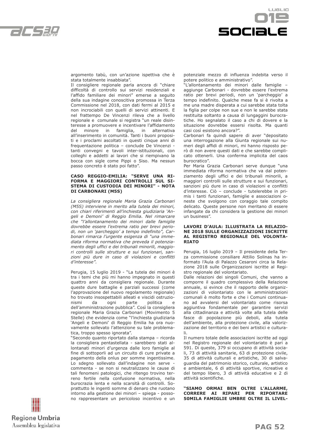



argomento tabù, con un'azione ispettiva che è stata totalmente insabbiata".

Il consigliere regionale parla ancora di "chiare difficoltà di controllo sui servizi residenziali e l'affido familiare dei minori" emerse a seguito della sua indagine conoscitiva promossa in Terza Commissione nel 2018, con dati fermi al 2015 e non incrociabili con quelli di servizi attinenti. E nel frattempo De Vincenzi rileva che a livello regionale e comunale si registra "un reale disinteresse a promuovere e incentivare l'affidamento del minore in famiglia, in alternativa all'inserimento in comunità. Tanti i buoni propositi e i proclami ascoltati in questi cinque anni di frequentazione politica – conclude De Vincenzi tanti convegni e tavoli inter-istituzionali, con colleghi e addetti ai lavori che si riempivano la bocca con sigle come Pippi o Siso. Ma nessun passo concreto è stato poi fatto".

#### **CASO REGGIO-EMILIA: "SERVE UNA RI-FORMA E MAGGIORI CONTROLLI SUL SI-STEMA DI CUSTODIA DEI MINORI" - NOTA DI CARBONARI (M5S)**

*La consigliera regionale Maria Grazia Carbonari (M5S) interviene in merito alla tutela dei minori, con chiari riferimenti all'inchiesta giudiziaria 'Angeli e Demoni' di Reggio Emilia. Nel rimarcare che "l'allontanamento dei minori dalle famiglie dovrebbe essere l'extrema ratio per brevi periodi, non un 'parcheggio' a tempo indefinito", Carbonari rimarca l'urgente esigenza di "una immediata riforma normativa che preveda il potenziamento degli uffici e dei tribunali minorili, maggiori controlli sulle strutture e sui funzionari, sanzioni più dure in caso di violazioni e conflitti d'interesse".*

Perugia, 15 luglio 2019 - "La tutela dei minori è tra i temi che più mi hanno impegnato in questi quattro anni da consigliera regionale. Durante queste dure battaglie e parziali successi (come l'approvazione del nuovo regolamento regionale) ho trovato insospettabili alleati e viscidi ostruzionismi da ogni parte politica e dell'amministrazione pubblica". Così la consigliera regionale Maria Grazia Carbonari (Movimento 5 Stelle) che evidenzia come "l'inchiesta giudiziaria 'Angeli e Demoni' di Reggio Emilia ha ora nuovamente sollevato l'attenzione su tale problematica, troppo spesso ignorata".

"Secondo quanto riportato dalla stampa – ricorda la consigliera pentastellata - sarebbero stati allontanati minori d'urgenza dalle loro famiglie al fine di sottoporli ad un circuito di cure private a pagamento della onlus per somme ingentissime. Lo sdegno sollevato dall'indagine non serve commenta - se non si neutralizzano le cause di tali fenomeni patologici, che ritengo trovino terreno fertile nella confusione normativa, nella burocrazia lenta e nella scarsità di controlli. Soprattutto le ingenti somme di denaro che ruotano intorno alla gestione dei minori – spiega - possono rappresentare un pericoloso incentivo e un potenziale mezzo di influenza indebita verso il potere politico e amministrativo".

"L'allontanamento dei minori dalle famiglie – aggiunge Carbonari - dovrebbe essere l'extrema ratio per brevi periodi, non un 'parcheggio' a tempo indefinito. Qualche mese fa si è rivolta a me una madre disperata a cui sarebbe stata tolta la figlia per colpe non sue e non le sarebbe stata restituita soltanto a causa di lungaggini burocratiche. Ho segnalato il caso a chi di dovere e la situazione dovrebbe essersi risolta. Ma quanti casi così esistono ancora?".

Carbonari fa quindi sapere di aver "depositato una interrogazione alla Giunta regionale sui numeri degli affidi di minori, mi hanno risposto però di non avere questi dati e che sarebbe complicato ottenerli. Una conferma implicita del caos burocratico".

Per Maria Grazia Carbonari serve dunque "una immediata riforma normativa che va dal potenziamento degli uffici e dei tribunali minorili, a maggiori controlli sulle strutture e sui funzionari, sanzioni più dure in caso di violazioni e conflitti d'interesse. Ciò – conclude - tutelerebbe in primis i tanti funzionari, famiglie e associazioni oneste che svolgono con coraggio tale compito delicato. Queste persone non meritano di essere infangate da chi considera la gestione dei minori un business".

#### **LAVORI D'AULA: ILLUSTRATA LA RELAZIO-NE 2018 SULLE ORGANIZZAZIONI ISCRITTE AL REGISTRO REGIONALE DEL VOLONTA-RIATO**

Perugia, 16 luglio 2019 – Il presidente della Terza commissione consiliare Attilio Solinas ha informato l'Aula di Palazzo Cesaroni circa la Relazione 2018 sulle Organizzazioni iscritte al Registro regionale del volontariato.

Dalle relazioni dei singoli Comuni, che vanno a comporre il quadro complessivo della Relazione annuale, si evince che il rapporto delle organizzazioni di volontariato con le amministrazioni comunali è molto forte e che i Comuni continuano ad avvalersi del volontariato come risorsa aggiuntiva fondamentale per garantire servizi alla cittadinanza e attività volte alla tutela delle fasce di popolazione più deboli, alla tutela dell'ambiente, alla protezione civile, alla valorizzazione del territorio e dei beni artistici e culturali.

Il numero totale delle associazioni iscritte ad oggi nel Registro regionale del volontariato è pari a 591. Di queste, 379 si occupano di attività sociali, 73 di attività sanitarie, 63 di protezione civile, 35 di attività culturali e artistiche, 30 di salvaguardia del patrimonio storico, culturale, artistico e ambientale, 6 di attività sportive, ricreative e del tempo libero, 3 di attività educative e 2 di attività scientifiche.

**"SIAMO ORMAI BEN OLTRE L'ALLARME, CORRERE AI RIPARI PER RIPORTARE 50MILA FAMIGLIE UMBRE OLTRE IL LIVEL-**

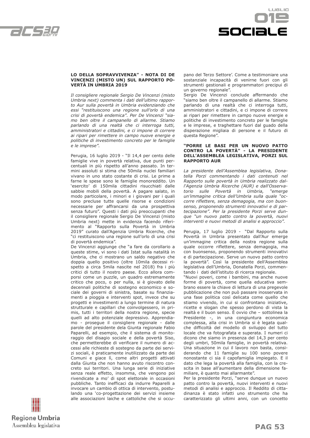



#### **LO DELLA SOPRAVVIVENZA" - NOTA DI DE VINCENZI (MISTO UN) SUL RAPPORTO PO-VERTÀ IN UMBRIA 2019**

*Il consigliere regionale Sergio De Vincenzi (misto Umbria next) commenta i dati dell'ultimo rapporto Aur sulla povertà in Umbria evidenziando che essi "restituiscono una regione sull'orlo di una crisi di povertà endemica". Per De Vincenzi "siamo ben oltre il campanello di allarme. Stiamo parlando di una realtà che ci interroga tutti, amministratori e cittadini, e ci impone di correre ai ripari per rimettere in campo nuove energie e politiche di investimento concreto per le famiglie e le imprese".*

Perugia, 16 luglio 2019 - "Il 14,4 per cento delle famiglie vive in povertà relativa, due punti percentuali in più rispetto all'anno passato. In termini assoluti si stima che 50mila nuclei familiari vivano in uno stato costante di crisi. Le prime a farne le spese sono le famiglie monoreddito. Un 'esercito' di 150mila cittadini risucchiati dalle sabbie mobili della povertà. A pagare salato, in modo particolare, i minori e i giovani per i quali sono precluse tutte quelle risorse e condizioni necessarie per affrancarsi da una prospettiva senza futuro". Questi i dati più preoccupanti che il consigliere regionale Sergio De Vincenzi (misto Umbria next) mette in evidenza facendo riferimento al "Rapporto sulla Povertà in Umbria 2019" curato dall'Agenzia Umbria Ricerche, che "ci restituiscono una regione sull'orlo di una crisi di povertà endemica".

De Vincenzi aggiunge che "a fare da corollario a queste stime, vi sono i dati Istat sulla natalità in Umbria, che ci mostrano un saldo negativo che doppia quello positivo (oltre 10mila decessi rispetto a circa 5mila nascite nel 2018) fra i più critici di tutto il nostro paese. Ecco allora comporsi come un puzzle, un quadro estremamente critico che poco, o per nulla, si è giovato delle decennali politiche di sostegno economico e sociale dei governi di sinistra, basate su finanziamenti a pioggia e interventi spot, invece che su progetti e investimenti a lungo termine di natura strutturale e capillari che coinvolgessero, in primis, tutti i territori della nostra regione, specie quelli ad alto potenziale depressivo. Apprendiamo - prosegue il consigliere regionale - dalle parole del presidente dela Giunta regionale Fabio Paparelli, ad esempio, che il sistema di monitoraggio del disagio sociale e della povertà Siso, che permetterebbe di verificare il numero di accessi alle richieste di sostegno da parte dei servizi sociali, è praticamente inutilizzato da parte dei Comuni e giace lì, come altri progetti attivati dalla Giunta che non hanno avuto riscontro concreto sui territori. Una lunga serie di iniziative senza reale effetto, insomma, che vengono poi rivendicate a mo' di spot elettorale in occasioni pubbliche. Tanto inefficaci da indurre Paparelli a invocare un cambio di ottica di intervento, postulando una 'co-progettazione dei servizi insieme alle associazioni laiche e cattoliche che si occupano del Terzo Settore'. Come a testimoniare una sostanziale incapacità di venirne fuori con gli strumenti gestionali e programmatori precipui di un governo regionale".

Sergio De Vincenzi conclude affermando che "siamo ben oltre il campanello di allarme. Stiamo parlando di una realtà che ci interroga tutti, amministratori e cittadini, e ci impone di correre ai ripari per rimettere in campo nuove energie e politiche di investimento concreto per le famiglie e le imprese, e traghettare fuori dal guado della disperazione migliaia di persone e il futuro di questa Regione".

#### **"PORRE LE BASI PER UN NUOVO PATTO CONTRO LA POVERTÀ" - LA PRESIDENTE DELL'ASSEMBLEA LEGISLATIVA, PORZI SUL RAPPORTO AUR**

*La presidente dell'Assemblea legislativa, Donatella Porzi commentando i dati contenuti nel Rapporto sulle povertà in Umbria realizzato dall'Agenzia Umbria Ricerche (AUR) e dall'Osservatorio sulle Povertà in Umbria, "emerge un'immagine critica dell'Umbria sulla quale "occorre riflettere, senza demagogia, ma con buonsenso, proponendo strumenti innovativi e di partecipazione". Per la presidente Porzi serve dunque "un nuovo patto contro la povertà, nuovi interventi e nuovi metodi di analisi e approccio".*

Perugia, 17 luglio 2019 - "Dal Rapporto sulla Povertà in Umbria presentato dall'Aur emerge un'immagine critica della nostra regione sulla quale occorre riflettere, senza demagogia, ma con buonsenso, proponendo strumenti innovativi e di partecipazione. Serve un nuovo patto contro la povertà". Così la presidente dell'Assemblea legislativa dell'Umbria, Donatella Porzi, commentando i dati dell'istituto di ricerca regionale.

"Nuovi poveri, come i bambini, ma anche nuove forme di povertà, come quella educativa sembrano essere la chiave di lettura di una pregevole pubblicazione che non può passare inosservata in una fase politica così delicata come quello che stiamo vivendo, in cui si confrontano iniziative, ricette e slogan che spesso perdono di vista la realtà e il buon senso. È ovvio che – sottolinea la Presidente -, in una congiuntura economica complessa, alla crisi in Umbria si è legata qualche difficoltà del modello di sviluppo del tutto locale che va fotografata e superata. I numeri ci dicono che siamo in presenza del 14,3 per cento degli umbri, 50mila famiglie, in povertà relativa. Una situazione in cui il lavoro non basta, considerando che 11 famiglie su 100 sono povere nonostante ci sia il capofamiglia impiegato. E il dato che lega la povertà alla famiglia, con la crescita in base all'aumentare della dimensione familiare, è quanto mai allarmante".

Per la presidente Porzi, "serve dunque un nuovo patto contro la povertà, nuovi interventi e nuovi metodi di analisi e approccio. Il Reddito di cittadinanza è stato infatti uno strumento che ha caratterizzato gli ultimi anni, con un concetto

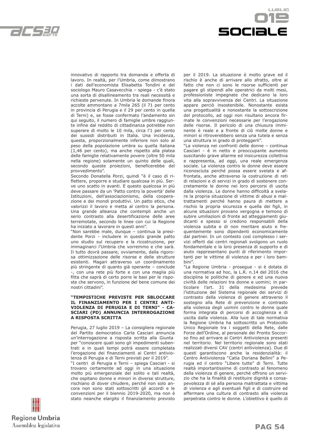

LUSLIO sociale

innovativo di rapporto tra domanda e offerta di lavoro. In realtà, per l'Umbria, come dimostrano i dati dell'economista Elisabetta Tondini e del sociologo Mauro Casavecchia – spiega - c'è stato una sorta di disallineamento tra reali necessità e richieste pervenute. In Umbria le domande finora accolte ammontano a 7mila 265 (il 71 per cento in provincia di Perugia e il 29 per cento in quella di Terni) e, se fosse confermato l'andamento sin qui seguito, il numero di famiglie umbre raggiunte infine dal reddito di cittadinanza potrebbe non superare di molto le 10 mila, circa l'1 per cento dei sussidi distribuiti in Italia. Una incidenza, questa, proporzionalmente inferiore non solo al peso della popolazione umbra su quella italiana (1,46 per cento), ma anche rispetto alla platea delle famiglie relativamente povere (oltre 50 mila nella regione) solamente un quinto delle quali, secondo queste proiezioni, beneficerebbe del provvedimento".

Secondo Donatella Porzi, quindi "è il caso di riflettere, proporre e studiare qualcosa in più. Serve uno scatto in avanti. E questo qualcosa in più deve passare da un 'Patto contro la povertà' delle Istituzioni, dell'associazionismo, della cooperazione e dei mondi produttivi. Un patto etico, che valorizzi il lavoro e metta al centro la persona. Una grande alleanza che contempli anche un serio contrasto alla desertificazione delle aree terremotate, secondo le linee con cui la Regione ha iniziato a lavorare in questi anni".

"Non sarebbe male, dunque – continua la presidente Porzi - includere in questo grande patto uno studio sul recupero e la ricostruzione, per immaginarci l'Umbria che vorremmo e che sarà. Il tutto dovrà passare, ovviamente, dalla rigorosa ottimizzazione delle risorse e delle strutture esistenti. Magari attraverso un coordinamento più stringente di quanto già operante – conclude -, con una rete più forte e con una maglia più fitta che saprà di certo porre le basi per le risposte che servono, in funzione del bene comune dei nostri cittadini".

#### **"TEMPISTICHE PREVISTE PER SBLOCCARE IL FINANZIAMENTO PER I CENTRI ANTI-VIOLENZA DI PERUGIA E DI TERNI" - CA-SCIARI (PD) ANNUNCIA INTERROGAZIONE A RISPOSTA SCRITTA**

Perugia, 27 luglio 2019 – La consigliera regionale del Partito democratico Carla Casciari annuncia un'interrogazione a risposta scritta alla Giunta per "conoscere quali sono gli impedimenti subentrati e in quali tempi potrà essere completata l'erogazione dei finanziamenti ai Centri antiviolenza di Perugia e di Terni previsti per il 2019".

"I centri di Perugia e Terni – spiega Casciari - si trovano certamente ad oggi in una situazione molto più emergenziale del solito e tali realtà, che ospitano donne e minori in diverse strutture, rischiano di dover chiudere, perché non solo ancora non sono stati sottoscritti gli accordi e le convenzioni per il biennio 2019-2020, ma non è stato neanche elargito il finanziamento previsto per il 2019. La situazione è molto grave ed il rischio è anche di arrivare allo sfratto, oltre al fatto che non ci sono le risorse sufficienti per pagare gli stipendi alle operatrici da molti mesi, professioniste impegnate che dedicano la loro vita alla sopravvivenza dei Centri. La situazione appare perciò insostenibile. Nonostante esista una progettualità e nonostante la sottoscrizione del protocollo, ad oggi non risultano ancora firmate le convenzioni necessarie per l'erogazione delle risorse. Il pericolo di una chiusura imminente è reale e a fronte di ciò molte donne e minori si ritroverebbero senza una tutela e senza una struttura in grado di proteggerli".

"La violenza nei confronti delle donne – continua Casciari - è in netto e preoccupante aumento suscitando grave allarme ed insicurezza collettiva e rappresenta, ad oggi, una reale emergenza sociale. La violenza contro le donne deve essere riconosciuta perché possa essere svelata e affrontata, anche attraverso la costruzione di reti di relazioni e di servizi in grado di sostenere concretamente le donne nei loro percorsi di uscita dalla violenza. Le donne hanno difficoltà a svelare la propria situazione di vittime di abusi e maltrattamenti perché hanno paura di mettere a rischio la propria sicurezza e quella dei figli, in alcune situazioni provano vergogna e temono di subire umiliazioni di fronte ad atteggiamenti giudicanti e spesso si credono responsabili della violenza subita e di non meritare aiuto e frequentemente sono dipendenti economicamente dal partner. In un contesto così complesso i servizi offerti dai centri regionali svolgono un ruolo fondamentale e la loro presenza di supporto e di aiuto rappresentano punti di riferimento importanti per le vittime di violenza e per i loro bambini".

"La Regione Umbria - prosegue - si è dotata di una normativa ad hoc, la L.R. n.14 del 2016 che disciplina le politiche di genere e ed una nuova civiltà delle relazioni tra donne e uomini; in particolare l'art. 31 della medesima prevede l'istituzione del Sistema regionale dei servizi di contrasto della violenza di genere attraverso il sostegno alla Rete di prevenzione e contrasto alla violenza degli uomini contro le donne quale forma integrata di percorsi di accoglienza e di uscita dalla violenza. Alla luce di tale normativa la Regione Umbria ha sottoscritto un Protocollo Unico Regionale tra i soggetti della Rete, dalle Forze dell'Ordine, al personale dei Pronto Soccorso fino ad arrivare ai Centri Antiviolenza presenti nel territorio. Nel territorio regionale sono stati realizzati diversi CAV (centri antiviolenza). Due di questi garantiscono anche la residenzialità: il Centro Antiviolenza "Catia Doriana Bellini" a Perugia ed il centro "Libere tutte" di Terni. Tutte realtà importantissime di contrasto al fenomeno della violenza di genere, perché offrono un servizio che ha la finalità di restituire dignità e consapevolezza di sé alla persona maltrattata e vittima di violenza e agli eventuali figli e di costruire ed affermare una cultura di contrasto alla violenza perpetrata contro le donne. L'obiettivo è quello di

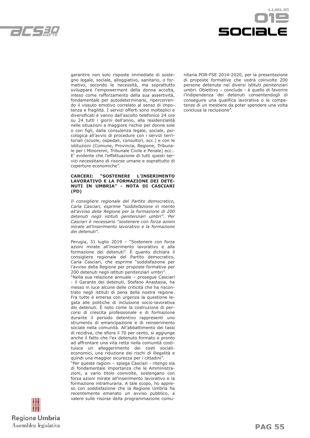



garantire non solo risposte immediate di sostegno legale, sociale, alloggiativo, sanitario, o formativo, secondo le necessità, ma soprattutto sviluppare l'empowerment della donna accolta, inteso come rafforzamento della sua assertività, fondamentale per autodeterminarsi, ripercorrendo il vissuto emotivo correlato al senso di impotenza e fragilità. I servizi offerti sono molteplici e diversificati e vanno dall'ascolto telefonico 24 ore su 24 tutti i giorni dell'anno, alla residenzialità nelle situazioni a maggiore rischio per donne sole o con figli, dalla consulenza legale, sociale, psicologica all'avvio di procedure con i servizi territoriali (scuole, ospedali, consultori, ecc.) e con le istituzioni (Comune, Provincia, Regione, Tribunale per i Minorenni, Tribunale Civile e Penale) ecc… E' evidente che l'effettuazione di tutti questi servizi necessitano di risorse umane e soprattutto di coperture economiche".

#### **CARCERI: "SOSTENERE L'INSERIMENTO LAVORATIVO E LA FORMAZIONE DEI DETE-NUTI IN UMBRIA" - NOTA DI CASCIARI (PD)**

*Il consigliere regionale del Partito democratico, Carla Casciari, esprime "soddisfazione in merito all'avviso della Regione per la formazione di 200 detenuti negli istituti penitenziari umbri". Per Casciari è necessario "sostenere con forza azioni mirate all'inserimento lavorativo e la formazione dei detenuti".*

Perugia, 31 luglio 2019 – "Sostenere con forza azioni mirate all'inserimento lavorativo e alla formazione dei detenuti". È quanto dichiara il consigliere regionale del Partito democratico, Carla Casciari, che esprime "soddisfazione per l'avviso della Regione per proposte formative per 200 detenuti negli istituti penitenziari umbri".

"Nella sua relazione annuale – prosegue Casciari - il Garante dei detenuti, Stefano Anastasia, ha messo in luce alcune delle criticità che ha riscontrato negli istituti di pena della nostra regione. Fra tutte è emersa con urgenza la questione legata alle politiche di inclusione socio-lavorativa dei detenuti. È noto come la costruzione di percorsi di crescita professionale e di formazione durante il periodo detentivo rappresenti uno strumento di emancipazione e di reinserimento sociale nella comunità. All'abbattimento dei tassi di recidiva, che sfiora il 70 per cento, si aggiunge anche il fatto che l'ex detenuto formato e pronto ad affrontare una vita retta nella comunità costituisce un alleggerimento dei costi socialieconomici, una riduzione dei rischi di illegalità e quindi una maggior sicurezza per i cittadini".

"Per queste ragioni – spiega Casciari - ritengo sia di fondamentale importanza che le Amministrazioni, a vario titolo coinvolte, sostengano con forza azioni mirate all'inserimento lavorativo e la formazione intramuraria. A tale scopo, ho appreso con soddisfazione che la Regione Umbria ha recentemente emanato un avviso pubblico, a valere sulle risorse della programmazione comunitaria POR-FSE 2014-2020, per la presentazione di proposte formative che vedrà coinvolte 200 persone detenute nei diversi istituti penitenziari umbri. Obiettivo – conclude - è quello di favorire l'indipendenza dei detenuti consentendogli di conseguire una qualifica lavorativa o le competenze di un mestiere da poter spendere una volta conclusa la reclusione".

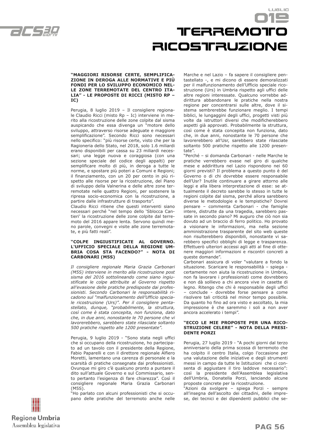

## **TERREMOTO RICOSTFRUZIONE**

LUGLIO

#### **"MAGGIORI RISORSE CERTE, SEMPLIFICA-ZIONE IN DEROGA ALLE NORMATIVE E PIÙ FONDI PER LO SVILUPPO ECONOMICO NEL-LE ZONE TERREMOTATE DEL CENTRO ITA-LIA" - LE PROPOSTE DI RICCI (MISTO RP – IC)**

Perugia, 8 luglio 2019 – Il consigliere regionale Claudio Ricci (misto Rp – Ic) interviene in merito alla ricostruzione delle zone colpite dal sisma auspicando che essa divenga un "motore dello sviluppo, attraverso risorse adeguate e maggiore semplificazione". Secondo Ricci sono necessari nello specifico: "più risorse certe, visto che per la Ragioneria dello Stato, nel 2018, solo 1.6 miliardi erano disponibili per cassa su 23 miliardi necessari; una legge nuova e coraggiosa (con una sezione speciale del codice degli appalti) per semplificare molto di più, in deroga a tutte le norme, e spostare più poteri a Comuni e Regioni; il finanziamento, con un 20 per cento in più rispetto alle risorse per la ricostruzione, del Piano di sviluppo della Valnerina e delle altre zone terremotate nelle quattro Regioni, per sostenere la ripresa socio-economica con la ricostruzione, a partire dalle infrastrutture di trasporto".

Claudio Ricci ritiene che questi interventi siano necessari perché "nel tempo dello 'Sblocca Cantieri' la ricostruzione delle zone colpite dal terremoto del 2016 appare lenta. Servono quindi meno parole, convegni e visite alle zone terremotate, e più fatti reali".

#### **"COLPE INGIUSTIFICATE AL GOVERNO. L'UFFICIO SPECIALE DELLA REGIONE UM-BRIA COSA STA FACENDO?" - NOTA DI CARBONARI (M5S)**

*Il consigliere regionale Maria Grazia Carbonari (M5S) interviene in merito alla ricostruzione post sisma del 2016 sottolineando come siano ingiustificate le colpe attribuite al Governo rispetto all'evasione delle pratiche predisposte dai professionisti. Secondo Carbonari le responsabilità ricadono sul "malfunzionamento dell'Ufficio speciale ricostruzione (Urs)". Per il consigliere pentastellato, dunque, "probabilmente, la struttura, così come è stata concepita, non funziona, dato che, in due anni, nonostante le 70 persone che vi lavorerebbero, sarebbero state rilasciate soltanto 500 pratiche rispetto alle 1200 presentate".*

Perugia, 9 luglio 2019 - "Sono stata negli uffici che si occupano della ricostruzione, ho partecipato ad un tavolo con il presidente della Regione, Fabio Paparelli e con il direttore regionale Alfiero Moretti, lamentano una carenza di personale e la scarsità di pratiche consegnate dai professionisti. Ovunque mi giro c'è qualcuno pronto a puntare il dito sull'attuale Governo e sul Commissario, sento pertanto l'esigenza di fare chiarezza". Così il consigliere regionale Maria Grazia Carbonari (M5S).

"Ho parlato con alcuni professionisti che si occupano delle pratiche del terremoto anche nelle Marche e nel Lazio – fa sapere il consigliere pentastellato -, e mi dicono di essere demoralizzati per il malfunzionamento dell'Ufficio speciale ricostruzione (Urs) in Umbria rispetto agli uffici delle altre regioni interessate. Qualcuno vorrebbe addirittura abbandonare le pratiche nella nostra regione per concentrarsi sulle altre, dove il sistema sembrerebbe funzionare meglio. I tempi biblici, le lungaggini degli uffici, progetti visti più volte da istruttori diversi che modificherebbero aspetti già approvati. Probabilmente la struttura, così come è stata concepita non funziona, dato che, in due anni, nonostante le 70 persone che lavorerebbero all'Usr, sarebbero state rilasciate soltanto 500 pratiche rispetto alle 1200 presentate".

"Perché – si domanda Carbonari - nelle Marche le pratiche verrebbero evase nel giro di qualche mese e addirittura nel Lazio rispondono nei 60 giorni previsti? Il problema a questo punto è del Governo o di chi dovrebbe essere responsabile dell'Usr? Inutile continuare a girare attorno alle leggi e alla libera interpretazione di esse: se attualmente il decreto sarebbe lo stesso in tutte le regioni colpite dal sisma, perché allora sarebbero diverse le metodologie e le tempistiche? Dovrei pensare – commenta Carbonari - che famiglie intere, distrutte da una tragedia, sarebbero passate in secondo piano? Mi auguro che ciò non sia dovuto ad un braccio di ferro politico. Ho provato a visionare le informazioni, ma nella sezione amministrazione trasparente del sito web queste non risulterebbero disponibili, nonostante vi sarebbero specifici obblighi di legge e trasparenza. Effettuerò ulteriori accessi agli atti al fine di ottenere maggiori informazioni e riscontri concreti a queste domande".

Carbonari assicura di voler "valutare a fondo la situazione. Scaricare le responsabilità – spiega certamente non aiuta la ricostruzione in Umbria, non fa lavorare i professionisti come dovrebbero e non dà sollievo a chi ancora vive in casette di legno. Ritengo che chi è responsabile degli uffici – conclude - dovrebbe forse pensare a come risolvere tali criticità nel minor tempo possibile. Da quanto ho fino ad ora visto e ascoltato, la mia impressione è che saremmo i soli a non aver ancora accelerato i tempi".

#### **"ECCO LE MIE PROPOSTE PER UNA RICO-STRUZIONE CELERE" - NOTA DELLA PRESI-DENTE PORZI**

Perugia, 27 luglio 2019 - "A pochi giorni dal terzo anniversario della prima scossa di terremoto che ha colpito il centro Italia, colgo l'occasione per una valutazione delle iniziative e degli strumenti messi in campo da tutte le Istituzioni che ci consenta di aggiustare il tiro laddove necessario": così la presidente dell'Assemblea legislativa dell'Umbria, Donatella Porzi, lanciando alcune proposte concrete per la ricostruzione.

"Azioni da svolgere – spiega Porzi - sempre all'insegna dell'ascolto dei cittadini, delle imprese, dei tecnici e dei dipendenti pubblici che se-

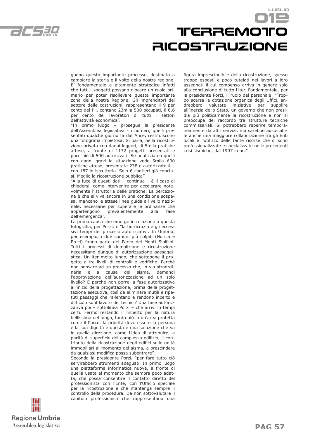

## TreRREMOTO **RICOSTFRUZIONE**

LUSLIO

guono questo importante processo, destinato a cambiare la storia e il volto della nostra regione. E' fondamentale e altamente strategico infatti che tutti i soggetti possano giocare un ruolo primario per poter risollevare questa importante zona della nostra Regione. Gli imprenditori del settore delle costruzioni, rappresentano il 9 per cento del Pil, contano 23mila 500 occupati, il 6,6 per cento dei lavoratori di tutti i settori dell'attività economica".

"In primo luogo – prosegue la presidente dell'Assemblea legislativa - i numeri, quelli presentati qualche giorno fa dall'Ance, restituiscono una fotografia impietosa. Si parla, nella ricostruzione privata con danni leggeri, di 5mila pratiche attese, a fronte di 1172 progetti presentati e poco più di 500 autorizzati. Se analizziamo quelli con danni gravi la situazione vede 5mila 600 pratiche attese, presentate 238 e autorizzate 41, con 187 in istruttoria. Solo 6 cantieri già conclusi. Meglio la ricostruzione pubblica".

"Alla luce di questi dati – continua – è il caso di chiedersi come intervenire per accelerare notevolmente l'istruttoria delle pratiche. La percezione è che si viva ancora in una condizione sospesa, mancano le attese linee guida a livello nazionale, necessarie per superare le ordinanze che appartengono prevalentemente alla fase dell'emergenza".

La prima causa che emerge in relazione a questa fotografia, per Porzi, è "la burocrazia e gli eccessivi tempi dei processi autorizzativi. In Umbria, per esempio, i due comuni più colpiti (Norcia e Preci) fanno parte del Parco dei Monti Sibillini. Tutti i processi di demolizione e ricostruzione necessitano dunque di autorizzazione paesaggistica. Un iter molto lungo, che sottopone il progetto a tre livelli di controlli e verifiche. Perché non pensare ad un processo che, in via straordinaria e a causa del sisma, l'approvazione dell'autorizzazione ad un solo livello? E perché non porre la fase autorizzativa all'inizio della progettazione, prima della progettazione esecutiva, così da eliminare inutili e ripetuti passaggi che rallentano e rendono incerto e difficoltoso il lavoro dei tecnici? Una fase autorizzativa poi – sottolinea Porzi – che arrivi in tempi certi. Fermo restando il rispetto per la natura bellissima del luogo, tanto più in un'area protetta come il Parco, la priorità deve essere la persona e la sua dignità e questa è una soluzione che va in quella direzione, come l'idea di attribuire, a parità di superficie del complesso edilizio, il contributo della ricostruzione degli edifici sulle unità immobiliari al momento del sisma, a prescindere da qualsiasi modifica possa subentrare".

Secondo la presidente Porzi, "per fare tutto ciò servirebbero strumenti adeguati. In primo luogo una piattaforma informatica nuova, a fronte di quella usata al momento che sembra poco adatta, che possa consentire il contatto diretto del professionista con l'Ente, con l'Ufficio speciale per la ricostruzione e che mantenga sempre il controllo della procedura. Da non sottovalutare il capitolo professionisti che rappresentano una figura imprescindibile della ricostruzione, spesso troppo esposti e poco tutelati nei lavori a loro assegnati il cui compenso arriva in genere solo alla conclusione di tutto l'iter. Fondamentale, per la presidente Porzi, il ruolo del personale: "Troppo scarsa la dotazione organica degli Uffici, andrebbero valutate iniziative per supplire all'inerzia dello Stato, un governo che non presidia più politicamente la ricostruzione e non si preoccupa del raccordo tra strutture tecniche commissariali. Si potrebbero reperire temporaneamente da altri servizi, ma sarebbe auspicabile anche una maggiore collaborazione tra gli Enti locali e l'utilizzo delle tante risorse che si sono professionalizzate e specializzate nelle precedenti crisi sismiche, dal 1997 in poi".

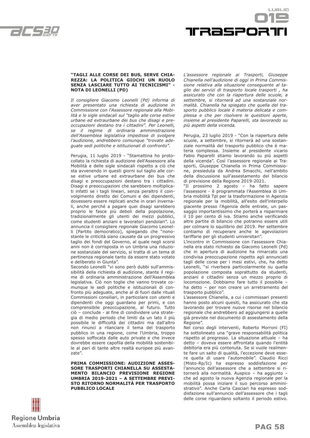



#### **"TAGLI ALLE CORSE DEI BUS, SERVE CHIA-REZZA: LA POLITICA GIOCHI UN RUOLO SENZA LASCIARE TUTTO AI TECNICISMI" - NOTA DI LEONELLI (PD)**

*Il consigliere Giacomo Leonelli (Pd) informa di aver presentato una richiesta di audizione in Commissione con l'Assessore regionale alla Mobilità e le sigle sindacali sul "taglio alle corse estive urbane ed extraurbane dei bus che disagi e preoccupazioni destano tra i cittadini". Per Leonelli, se il regime di ordinaria amministrazione dell'Assemblea legislativa impedisse di svolgere l'audizione, andrebbero comunque "trovate adeguate sedi politiche e istituzionali di confronto".*

Perugia, 11 luglio 2019 - "Stamattina ho protocollato la richiesta di audizione dell'Assessore alla Mobilità e delle sigle sindacali rispetto a ciò che sta avvenendo in questi giorni sul taglio alle corse estive urbane ed extraurbane dei bus che disagi e preoccupazioni destano tra i cittadini. Disagi e preoccupazioni che sarebbero moltiplicati infatti se i tagli lineari, senza peraltro il coinvolgimento diretto dei Comuni e dei dipendenti, dovessero essere replicati anche in orari invernali, anche perché a pagare quei disagi sarebbero proprio le fasce più deboli della popolazione, tradizionalmente gli utenti dei mezzi pubblici, come studenti anziani e lavoratori pendolari". Lo annuncia il consigliere regionale Giacomo Leonelli (Partito democratico), spiegando che "nonostante le criticità siano causate da un progressivo taglio dei fondi del Governo, al quale negli scorsi anni non è corrisposta in un Umbria una riduzione sostanziale del servizio, si tratta di un tema di pertinenza regionale tanto da essere stato votato e deliberato in Giunta".

Secondo Leonelli "vi sono però dubbi sull'ammissibilità della richiesta di audizione, stante il regime di ordinaria amministrazione dell'Assemblea legislativa. Ciò non toglie che vanno trovate comunque le sedi politiche e istituzionali di confronto più adeguate, anche al di fuori dalle rituali Commissioni consiliari, in particolare con utenti e dipendenti che oggi guardano per primi, e con comprensibile preoccupazione, al futuro. Tutto ciò – conclude - al fine di condividere una strategia di medio periodo che limiti da un lato il più possibile le difficoltà dei cittadini ma dall'altro non rinunci a rilanciare il tema del trasporto pubblico in una regione, come l'Umbria, troppo spesso soffocata dalle auto private e che invece dovrebbe essere capofila della mobilità sostenibile al pari di tante altre realtà europee più avanzate".

**PRIMA COMMISSIONE: AUDIZIONE ASSES-SORE TRASPORTI CHIANELLA SU ASSESTA-MENTO BILANCIO PREVISIONE REGIONE UMBRIA 2019-2021 – A SETTEMBRE PREVI-STO RITORNO NORMALITÀ PER TRASPORTO PUBBLICO LOCALE**

*L'assessore regionale ai Trasporti, Giuseppe Chianella nell'audizione di oggi in Prima Commissione relativa alla situazione conseguente al taglio dei servizi di trasporto locale trasporti , ha assicurato che con la riapertura delle scuole, a settembre, si ritornerà ad una sostanziale normalità. Chianella ha spiegato che quella del trasporto pubblico locale è materia delicata e complessa e che per risolvere le questioni aperte, insieme al presidente Paparelli, sta lavorando su più aspetti della vicenda.*

Perugia, 23 luglio 2019 - "Con la riapertura delle scuole, a settembre, si ritornerà ad una sostanziale normalità del trasporto pubblico che è materia complessa. Insieme al presidente vicario Fabio Paparelli stiamo lavorando su più aspetti della vicenda". Così l'assessore regionale ai Trasporti, Giuseppe Chianella in Prima Commissione, presieduta da Andrea Smacchi, nell'ambito della discussione sull'assestamento del bilancio di previsione della Regione 2019-2021.

"Il prossimo 2 agosto – ha fatto sapere l'assessore - è programmata l'Assemblea di Umbria mobilità Tpl per la trasformazione in Agenzia regionale per la mobilità, all'esito dell'interpello giacente presso l'Agenzia delle entrate, un passaggio importantissimo che porterà a risparmiare il 10 per cento di iva. Stiamo anche verificando altre partite di bilancio che potranno essere utili per colmare lo squilibrio del 2019. Per settembre contiamo di recuperare anche le agevolazioni tariffarie per gli studenti universitari".

L'incontro in Commissione con l'assessore Chianella era stato richiesto da Giacomo Leonelli (Pd) che in apertura di audizione ha rimarcato una condivisa preoccupazione rispetto agli annunciati tagli delle corse per i mesi estivi, che, ha detto Leonelli, "si riverbera particolarmente su quella popolazione composta soprattutto da studenti, anziani e cittadini senza un mezzo proprio di locomozione. Dobbiamo fare tutto il possibile – ha detto – per non creare un arretramento del trasporto pubblico".

L'assessore Chianella, a cui i commissari presenti hanno posto alcuni quesiti, ha assicurato che sta lavorando per trovare nuove risorse nel bilancio regionale che andrebbero ad aggiungersi a quelle già previste nel documento di assestamento della Regione".

Nel corso degli interventi, Roberto Morroni (FI) ha sottolineato una "grave responsabilità politica rispetto al pregresso. La situazione attuale – ha detto – doveva essere affrontata quando l'entità debitoria era più contenuta. Se si vuole realmente fare un salto di qualità, l'eccezione deve essere quella di usare l'automobile". Claudio Ricci (Misto-Rp/Ic) ha espresso soddisfazione per l'annuncio dell'assessore che a settembre si ritornerà alla normalità. Auspico – ha aggiunto – che ad agosto la nuova Agenzia regionale per la mobilità possa iniziare il suo percorso amministrativo". Anche Carla Casciari ha espresso soddisfazione sull'annuncio dell'assessore che i tagli delle corse riguardano soltanto il periodo estivo.

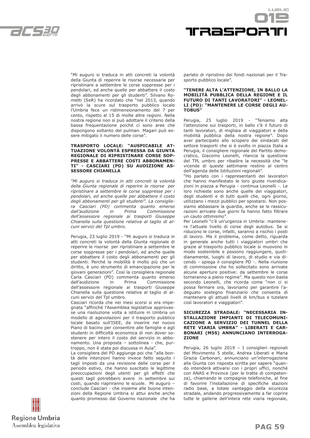



"Mi auguro si traduca in atti concreti la volontà della Giunta di reperire le risorse necessarie per ripristinare a settembre le corse soppresse per i pendolari, ed anche quelle per abbattere il costo degli abbonamenti per gli studenti". Silvano Rometti (SeR) ha ricordato che "nel 2013, quando arrivò la scure sul trasporto pubblico locale l'Umbria fece un ridimensionamento del 7 per cento, rispetto al 15 di molte altre regioni. Nella nostra regione non si può adottare il criterio della bassa frequentazione poiché ci sono aree che dispongono soltanto del pulman. Magari può essere mitigato il numero delle corse".

#### **TRASPORTO LOCALE: "AUSPICABILE AT-TUAZIONE VOLONTÀ ESPRESSA DA GIUNTA REGIONALE DI RIPRISTINARE CORSE SOP-PRESSE E ABBATTERE COSTI ABBONAMEN-TI" - CASCIARI (PD) SU AUDIZIONE AS-SESSORE CHIANELLA**

*"Mi auguro si traduca in atti concreti la volontà della Giunta regionale di reperire le risorse per ripristinare a settembre le corse soppresse per i pendolari, ed anche quelle per abbattere il costo degli abbonamenti per gli studenti". La consigliera Casciari (PD) commenta quanto emerso dall'audizione in Prima Commissione dell'assessore regionale ai trasporti Giuseppe Chianella sulla questione relativa al taglio di alcuni servizi del Tpl umbro.* 

Perugia, 23 luglio 2019 - "Mi auguro si traduca in atti concreti la volontà della Giunta regionale di reperire le risorse per ripristinare a settembre le corse soppresse per i pendolari, ed anche quelle per abbattere il costo degli abbonamenti per gli studenti. Perché la mobilità è molto più che un diritto, è uno strumento di emancipazione per le giovani generazioni". Così la consigliera regionale Carla Casciari (PD) commenta quanto emerso dall'audizione in Prima Commissione dell'assessore regionale ai trasporti Giuseppe Chianella sulla questione relativa al taglio di alcuni servizi del Tpl umbro.

Casciari ricorda che nei mesi scorsi si era impegnata "affinché l'Assemblea legislativa approvasse una risoluzione volta a istituire in Umbria un modello di agevolazioni per il trasporto pubblico locale basato sull'ISEE, da inserire nel nuovo Piano di bacino per consentire alle famiglie e agli studenti in difficoltà economica di non dover sostenere per intero il costo del servizio in abbonamento. Una proposta – sottolinea - che, purtroppo, non è stata poi discussa in Aula".

La consigliera del PD aggiunge poi che "alla bontà delle intenzioni hanno invece fatto seguito i tagli imposti da una revisione delle corse per il periodo estivo, che hanno suscitato le legittime preoccupazioni degli utenti per gli effetti che questi tagli potrebbero avere in settembre sui costi, quando riapriranno le scuole. Mi auguro – conclude Casciari - che insieme alle buone intenzioni della Regione Umbria si attui anche anche quanto promesso dal Governo nazionale che ha parlato di ripristino dei fondi nazionali per il Trasporto pubblico locale".

#### **"TENERE ALTA L'ATTENZIONE, IN BALLO LA MOBILITÀ PUBBLICA DELLA REGIONE E IL FUTURO DI TANTI LAVORATORI" - LEONEL-LI (PD): "MANTENERE LE CORSE DEGLI AU-TOBUS"**

Perugia, 25 luglio 2019 - "Teniamo alta l'attenzione sui trasporti, in ballo c'è il futuro di tanti lavoratori, di migliaia di viaggiatori e della mobilità pubblica della nostra regione". Dopo aver partecipato allo sciopero dei sindacati del settore trasporti che si è svolto in piazza Italia a Perugia, il consigliere regionale del Partito democratico, Giacomo Leonelli, rilancia la questione del TPL umbro per ribadire la necessità che "le vicende di queste settimane restino al centro dell'agenda delle Istituzioni regionali".

"Ho parlato con i rappresentanti dei lavoratori che hanno manifestato le loro giuste rivendicazioni in piazza a Perugia - continua Leonelli -. Le loro richieste sono anche quelle dei viaggiatori, degli studenti e di tutti quelli che, ogni giorno, utilizzano i mezzi pubblici per spostarsi. Non possiamo abbassare la guardia, anche se le rassicurazioni arrivate due giorni fa hanno fatto filtrare un cauto ottimismo".

Per Leonelli "c'è un'urgenza in Umbria: mantenere l'attuale livello di corse degli autobus. Se si riducono le corse, infatti, saranno a rischio i posti di lavoro. Ma il problema, come detto, riguarda in generale anche tutti i viaggiatori umbri che grazie al trasporto pubblico locale si muovono in modo sostenibile e possono raggiungere, quotidianamente, luoghi di lavoro, di studio e via dicendo - spiega il consigliere PD -. Nella riunione di commissione che ho sollecitato sono arrivate alcune aperture positive: da settembre le corse torneranno a pieno regime". Ma questo non basta secondo Leonelli, che ricorda come "non ci si possa fermare ora, lavoriamo per garantire l'adeguato sostegno finanziario che consenta di mantenere gli attuali livelli di km/bus e tutelare così lavoratori e viaggiatori".

#### **SICUREZZA STRADALE: "NECESSARIA IN-STALLAZIONE IMPIANTI DI TELECOMUNI-CAZIONE A SERVIZIO DEI TUNNEL DELLA RETE VIARIA UMBRA" - LIBERATI E CAR-BONARI (M5S) ANNUNCIANO INTERROGA-ZIONE**

Perugia, 26 luglio 2019 – I consiglieri regionali del Movimento 5 stelle, Andrea Liberati e Maria Grazia Carbonari, annunciano un'interrogazione alla Giunta con risposta scritta per sapere "quando intenderà attivarsi con i propri uffici, nonché con ANAS e Province (per le tratte di competenza), chiamando le compagnie telefoniche, al fine di favorire l'installazione di specifiche stazioni radio base, a totale vantaggio della sicurezza stradale, andando progressivamente a far coprire tutte le gallerie dell'intera rete viaria regionale,

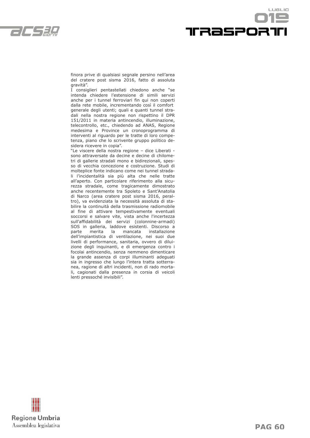



finora prive di qualsiasi segnale persino nell'area del cratere post sisma 2016, fatto di assoluta gravità".

I consiglieri pentastellati chiedono anche "se intenda chiedere l'estensione di simili servizi anche per i tunnel ferroviari fin qui non coperti dalla rete mobile, incrementando così il comfort generale degli utenti; quali e quanti tunnel stradali nella nostra regione non rispettino il DPR 151/2011 in materia antincendio, illuminazione, telecontrollo, etc., chiedendo ad ANAS, Regione medesima e Province un cronoprogramma di interventi al riguardo per le tratte di loro competenza, piano che lo scrivente gruppo politico desidera ricevere in copia".

"Le viscere della nostra regione – dice Liberati sono attraversate da decine e decine di chilometri di gallerie stradali mono e bidirezionali, spesso di vecchia concezione e costruzione. Studi di molteplice fonte indicano come nei tunnel stradali l'incidentalità sia più alta che nelle tratte all'aperto. Con particolare riferimento alla sicurezza stradale, come tragicamente dimostrato anche recentemente tra Spoleto e Sant'Anatolia di Narco (area cratere post sisma 2016, peraltro), va evidenziata la necessità assoluta di stabilire la continuità della trasmissione radiomobile al fine di attivare tempestivamente eventuali soccorsi e salvare vite, vista anche l'incertezza sull'affidabilità dei servizi (colonnine-armadi) SOS in galleria, laddove esistenti. Discorso a parte merita la mancata installazione dell'impiantistica di ventilazione, nei suoi due livelli di performance, sanitaria, ovvero di diluizione degli inquinanti, e di emergenza contro i focolai antincendio, senza nemmeno dimenticare la grande assenza di corpi illuminanti adeguati sia in ingresso che lungo l'intera tratta sotterranea, ragione di altri incidenti, non di rado mortali, cagionati dalla presenza in corsia di veicoli lenti pressoché invisibili".

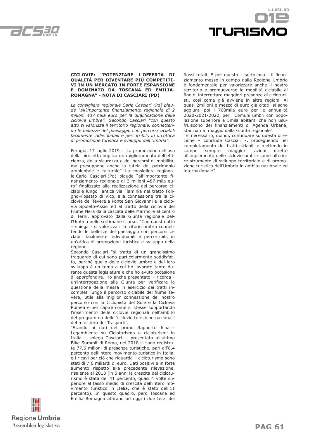



#### **CICLOVIE: "POTENZIARE L'OFFERTA DI QUALITÀ PER DIVENTARE PIÙ COMPETITI-VI IN UN MERCATO IN FORTE ESPANSIONE E DOMINATO DA TOSCANA ED EMILIA-ROMAGNA" - NOTA DI CASCIARI (PD)**

*La consigliera regionale Carla Casciari (Pd) plaude "all'importante finanziamento regionale di 2 milioni 487 mila euro per la qualificazione delle ciclovie umbre". Secondo Casciari "con questo atto si valorizza il territorio regionale, connettendo le bellezze del paesaggio con percorsi ciclabili facilmente individuabili e percorribili, in un'ottica di promozione turistica e sviluppo dell'Umbria".*

Perugia, 17 luglio 2019 - "La promozione dell'uso della bicicletta implica un miglioramento dell'efficienza, della sicurezza e dei percorsi di mobilità, ma presuppone anche la tutela del patrimonio ambientale e culturale". La consigliera regionale Carla Casciari (Pd) plaude "all'importante finanziamento regionale di 2 milioni 487 mila euro" finalizzato alla realizzazione del percorso ciclabile lungo l'antica via Flaminia nel tratto Foligno–Fossato di Vico, alla connessione tra la ciclovia del Tevere a Ponte San Giovanni e la ciclovia Spoleto-Assisi ed al tratto della ciclovia del Fiume Nera dalla cascata delle Marmore al centro di Terni, approvato dalla Giunta regionale dell'Umbria nelle settimane scorse. "Con questo atto – spiega - si valorizza il territorio umbro connettendo le bellezze del paesaggio con percorsi ciclabili facilmente individuabili e percorribili, in un'ottica di promozione turistica e sviluppo della regione".

Secondo Casciari "si tratta di un grandissimo traguardo di cui sono particolarmente soddisfatta, perché quello delle ciclovie umbre e del loro sviluppo è un tema a cui ho lavorato tanto durante questa legislatura e che ho avuto occasione di approfondire. Ho anche presentato – ricorda un'interrogazione alla Giunta per verificare la questione della messa in esercizio dei tratti incompleti lungo il percorso ciclabile del fiume Tevere, utile alla miglior connessione del nostro percorso con la Ciclopista del Sole e la Ciclovia Romea e per capire come si stesse supportando l'inserimento delle ciclovie regionali nell'ambito del programma delle 'ciclovie turistiche nazionali' del ministero dei Trasporti".

"Stando ai dati del primo Rapporto Isnart-Legambiente su Cicloturismo e cicloturismi in Italia – spiega Casciari -, presentato all'ultimo Bike Summit di Roma, nel 2018 si sono registrate 77,6 milioni di presenze turistiche, pari all'8,4 percento dell'intero movimento turistico in Italia, e i ricavi per ciò che riguarda il cicloturismo sono stati di 7,6 miliardi di euro. Dati positivi e in forte aumento rispetto alla precedente rilevazione, risalente al 2013 (in 5 anni la crescita del cicloturismo è stata del 41 percento, quasi 4 volte superiore al tasso medio di crescita dell'intero movimento turistico in Italia, che è stato dell'11 percento). In questo quadro, però Toscana ed Emilia Romagna attirano ad oggi i due terzi dei flussi totali. E per questo – sottolinea - il finanziamento messo in campo dalla Regione Umbria è fondamentale per valorizzare anche il nostro territorio e promuoverne la mobilità ciclabile al fine di intercettare maggiori presenze di cicloturisti, così come già avviene in altre regioni. Ai quasi 2milioni e mezzo di euro già citati, si sono aggiunti poi i 700mila euro per le annualità 2020-2021-2022, per i Comuni umbri con popolazione superiore a 5mila abitanti che non usufruiscono dei finanziamenti di Agenda Urbana, stanziati in maggio dalla Giunta regionale".

"E' necessario, quindi, continuare su questa direzione – conclude Casciari -, proseguendo nel completamento dei tratti ciclabili e mettendo in campo sempre maggiori azioni dirette all'implemento delle ciclovie umbre come ulteriore strumento di sviluppo territoriale e di promozione turistica dell'Umbria in ambito nazionale ed internazionale".

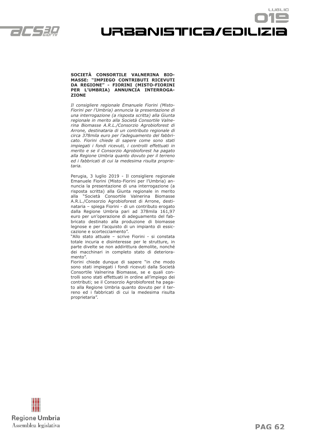

URBANISTICA/EDILIZIa

LUSLIO

#### **SOCIETÀ CONSORTILE VALNERINA BIO-MASSE: "IMPIEGO CONTRIBUTI RICEVUTI DA REGIONE" - FIORINI (MISTO-FIORINI PER L'UMBRIA) ANNUNCIA INTERROGA-ZIONE**

*Il consigliere regionale Emanuele Fiorini (Misto-Fiorini per l'Umbria) annuncia la presentazione di una interrogazione (a risposta scritta) alla Giunta regionale in merito alla Società Consortile Valnerina Biomasse A.R.L./Consorzio Agrobioforest di Arrone, destinataria di un contributo regionale di circa 378mila euro per l'adeguamento del fabbricato. Fiorini chiede di sapere come sono stati impiegati i fondi ricevuti, i controlli effettuati in merito e se il Consorzio Agrobioforest ha pagato alla Regione Umbria quanto dovuto per il terreno ed i fabbricati di cui la medesima risulta proprietaria.*

Perugia, 3 luglio 2019 - Il consigliere regionale Emanuele Fiorini (Misto-Fiorini per l'Umbria) annuncia la presentazione di una interrogazione (a risposta scritta) alla Giunta regionale in merito alla "Società Consortile Valnerina Biomasse A.R.L./Consorzio Agrobioforest di Arrone, destinataria – spiega Fiorini - di un contributo erogato dalla Regione Umbria pari ad 378mila 161,97 euro per un'operazione di adeguamento del fabbricato destinato alla produzione di biomasse legnose e per l'acquisto di un impianto di essiccazione e scortecciamento".

"Allo stato attuale – scrive Fiorini - si constata totale incuria e disinteresse per le strutture, in parte divelte se non addirittura demolite, nonché dei macchinari in completo stato di deterioramento".

Fiorini chiede dunque di sapere "in che modo sono stati impiegati i fondi ricevuti dalla Società Consortile Valnerina Biomasse, se e quali controlli sono stati effettuati in ordine all'impiego dei contributi; se il Consorzio Agrobioforest ha pagato alla Regione Umbria quanto dovuto per il terreno ed i fabbricati di cui la medesima risulta proprietaria".